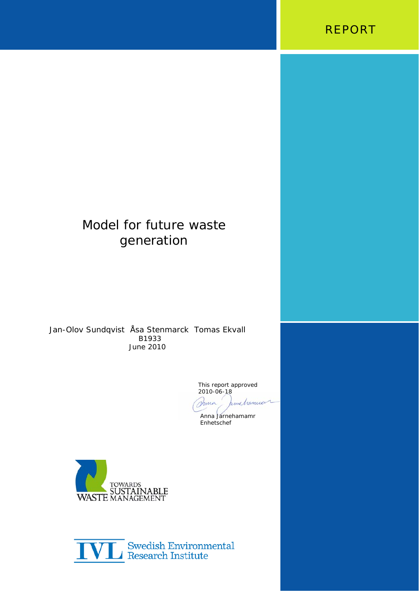

# Model for future waste generation

Jan-Olov Sundqvist Åsa Stenmarck Tomas Ekvall B1933 June 2010

This report approved 2010-06-18 Anna bine hamie

 Anna Jarnehamamr Enhetschef



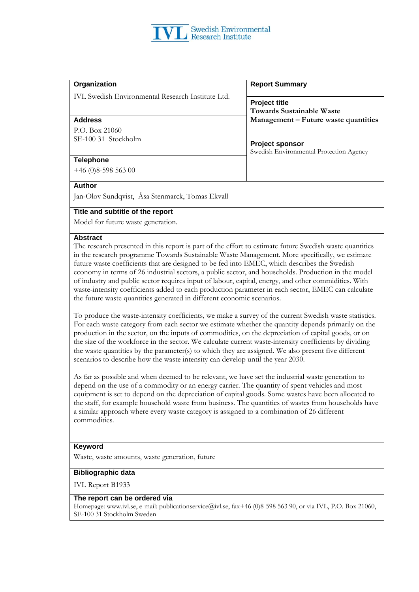IVL Swedish Environmental Research Institute Ltd.

P.O. Box 21060 SE-100 31 Stockholm **Project sponsor** 

#### **Organization Report Summary**

**Project title Towards Sustainable Waste Address Management – Future waste quantities** 

Swedish Environmental Protection Agency

#### **Telephone**

+46 (0)8-598 563 00

#### **Author**

Jan-Olov Sundqvist, Åsa Stenmarck, Tomas Ekvall

#### **Title and subtitle of the report**

Model for future waste generation.

#### **Abstract**

The research presented in this report is part of the effort to estimate future Swedish waste quantities in the research programme Towards Sustainable Waste Management. More specifically, we estimate future waste coefficients that are designed to be fed into EMEC, which describes the Swedish economy in terms of 26 industrial sectors, a public sector, and households. Production in the model of industry and public sector requires input of labour, capital, energy, and other commidities. With waste-intensity coefficients added to each production parameter in each sector, EMEC can calculate the future waste quantities generated in different economic scenarios.

To produce the waste-intensity coefficients, we make a survey of the current Swedish waste statistics. For each waste category from each sector we estimate whether the quantity depends primarily on the production in the sector, on the inputs of commodities, on the depreciation of capital goods, or on the size of the workforce in the sector. We calculate current waste-intensity coefficients by dividing the waste quantities by the parameter(s) to which they are assigned. We also present five different scenarios to describe how the waste intensity can develop until the year 2030.

As far as possible and when deemed to be relevant, we have set the industrial waste generation to depend on the use of a commodity or an energy carrier. The quantity of spent vehicles and most equipment is set to depend on the depreciation of capital goods. Some wastes have been allocated to the staff, for example household waste from business. The quantities of wastes from households have a similar approach where every waste category is assigned to a combination of 26 different commodities.

#### **Keyword**

Waste, waste amounts, waste generation, future

#### **Bibliographic data**

IVL Report B1933

#### **The report can be ordered via**

Homepage: www.ivl.se, e-mail: publicationservice@ivl.se, fax+46 (0)8-598 563 90, or via IVL, P.O. Box 21060, SE-100 31 Stockholm Sweden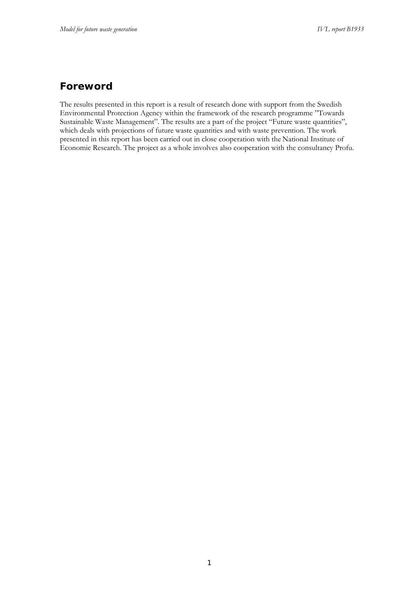## **Foreword**

The results presented in this report is a result of research done with support from the Swedish Environmental Protection Agency within the framework of the research programme "Towards Sustainable Waste Management". The results are a part of the project "Future waste quantities", which deals with projections of future waste quantities and with waste prevention. The work presented in this report has been carried out in close cooperation with the National Institute of Economic Research. The project as a whole involves also cooperation with the consultancy Profu.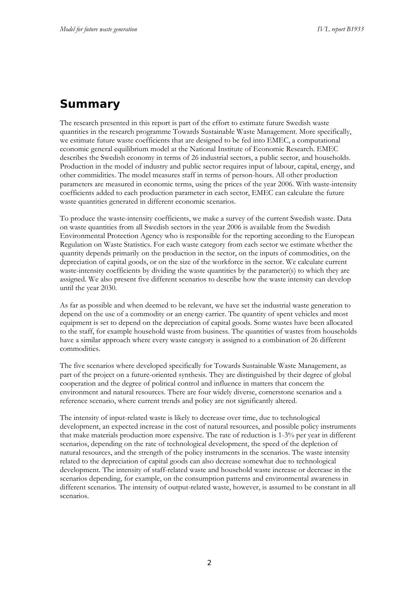# **Summary**

The research presented in this report is part of the effort to estimate future Swedish waste quantities in the research programme Towards Sustainable Waste Management. More specifically, we estimate future waste coefficients that are designed to be fed into EMEC, a computational economic general equilibrium model at the National Institute of Economic Research. EMEC describes the Swedish economy in terms of 26 industrial sectors, a public sector, and households. Production in the model of industry and public sector requires input of labour, capital, energy, and other commidities. The model measures staff in terms of person-hours. All other production parameters are measured in economic terms, using the prices of the year 2006. With waste-intensity coefficients added to each production parameter in each sector, EMEC can calculate the future waste quantities generated in different economic scenarios.

To produce the waste-intensity coefficients, we make a survey of the current Swedish waste. Data on waste quantities from all Swedish sectors in the year 2006 is available from the Swedish Environmental Protection Agency who is responsible for the reporting according to the European Regulation on Waste Statistics. For each waste category from each sector we estimate whether the quantity depends primarily on the production in the sector, on the inputs of commodities, on the depreciation of capital goods, or on the size of the workforce in the sector. We calculate current waste-intensity coefficients by dividing the waste quantities by the parameter(s) to which they are assigned. We also present five different scenarios to describe how the waste intensity can develop until the year 2030.

As far as possible and when deemed to be relevant, we have set the industrial waste generation to depend on the use of a commodity or an energy carrier. The quantity of spent vehicles and most equipment is set to depend on the depreciation of capital goods. Some wastes have been allocated to the staff, for example household waste from business. The quantities of wastes from households have a similar approach where every waste category is assigned to a combination of 26 different commodities.

The five scenarios where developed specifically for Towards Sustainable Waste Management, as part of the project on a future-oriented synthesis. They are distinguished by their degree of global cooperation and the degree of political control and influence in matters that concern the environment and natural resources. There are four widely diverse, cornerstone scenarios and a reference scenario, where current trends and policy are not significantly altered.

The intensity of input-related waste is likely to decrease over time, due to technological development, an expected increase in the cost of natural resources, and possible policy instruments that make materials production more expensive. The rate of reduction is 1-3% per year in different scenarios, depending on the rate of technological development, the speed of the depletion of natural resources, and the strength of the policy instruments in the scenarios. The waste intensity related to the depreciation of capital goods can also decrease somewhat due to technological development. The intensity of staff-related waste and household waste increase or decrease in the scenarios depending, for example, on the consumption patterns and environmental awareness in different scenarios. The intensity of output-related waste, however, is assumed to be constant in all scenarios.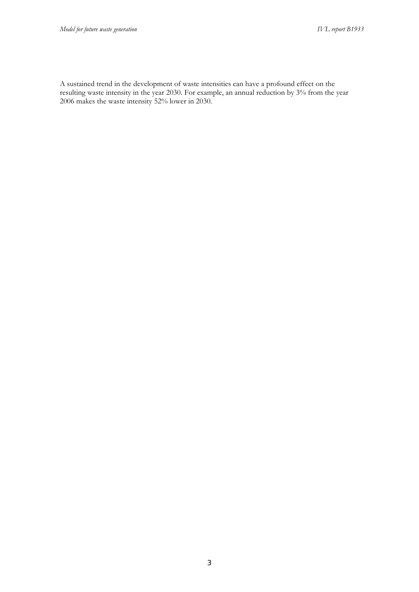A sustained trend in the development of waste intensities can have a profound effect on the resulting waste intensity in the year 2030. For example, an annual reduction by 3% from the year 2006 makes the waste intensity 52% lower in 2030.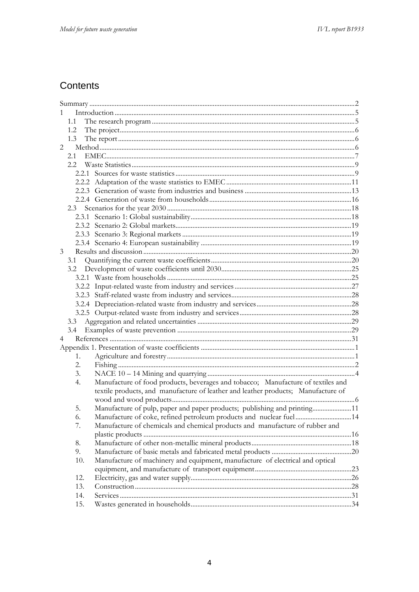# Contents

| $\mathbf{1}$   |     |                                                                                   |  |
|----------------|-----|-----------------------------------------------------------------------------------|--|
|                | 1.1 |                                                                                   |  |
|                | 1.2 |                                                                                   |  |
|                | 1.3 |                                                                                   |  |
| $\overline{2}$ |     |                                                                                   |  |
|                | 2.1 |                                                                                   |  |
|                | 2.2 |                                                                                   |  |
|                |     |                                                                                   |  |
|                |     |                                                                                   |  |
|                |     |                                                                                   |  |
|                |     |                                                                                   |  |
|                | 2.3 |                                                                                   |  |
|                |     |                                                                                   |  |
|                |     |                                                                                   |  |
|                |     |                                                                                   |  |
|                |     |                                                                                   |  |
| 3              |     |                                                                                   |  |
|                | 3.1 |                                                                                   |  |
|                |     |                                                                                   |  |
|                |     |                                                                                   |  |
|                |     |                                                                                   |  |
|                |     |                                                                                   |  |
|                |     |                                                                                   |  |
|                |     |                                                                                   |  |
|                | 3.3 |                                                                                   |  |
|                | 3.4 |                                                                                   |  |
| 4              |     |                                                                                   |  |
|                |     |                                                                                   |  |
|                | 1.  |                                                                                   |  |
|                | 2.  |                                                                                   |  |
|                | 3.  |                                                                                   |  |
|                | 4.  | Manufacture of food products, beverages and tobacco; Manufacture of textiles and  |  |
|                |     | textile products, and manufacture of leather and leather products; Manufacture of |  |
|                |     |                                                                                   |  |
|                | 5.  | Manufacture of pulp, paper and paper products; publishing and printing11          |  |
|                | 6.  | Manufacture of coke, refined petroleum products and nuclear fuel14                |  |
|                | 7.  | Manufacture of chemicals and chemical products and manufacture of rubber and      |  |
|                |     |                                                                                   |  |
|                | 8.  |                                                                                   |  |
|                | 9.  |                                                                                   |  |
|                | 10. | Manufacture of machinery and equipment, manufacture of electrical and optical     |  |
|                |     |                                                                                   |  |
|                | 12. |                                                                                   |  |
|                | 13. |                                                                                   |  |
|                | 14. |                                                                                   |  |
|                | 15. |                                                                                   |  |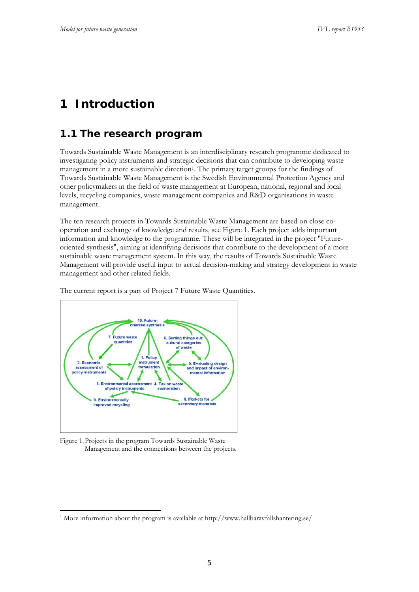# **1 Introduction**

## **1.1 The research program**

Towards Sustainable Waste Management is an interdisciplinary research programme dedicated to investigating policy instruments and strategic decisions that can contribute to developing waste management in a more sustainable direction<sup>1</sup>. The primary target groups for the findings of Towards Sustainable Waste Management is the Swedish Environmental Protection Agency and other policymakers in the field of waste management at European, national, regional and local levels, recycling companies, waste management companies and R&D organisations in waste management.

The ten research projects in Towards Sustainable Waste Management are based on close cooperation and exchange of knowledge and results, see Figure 1. Each project adds important information and knowledge to the programme. These will be integrated in the project "Futureoriented synthesis", aiming at identifying decisions that contribute to the development of a more sustainable waste management system. In this way, the results of Towards Sustainable Waste Management will provide useful input to actual decision-making and strategy development in waste management and other related fields.



The current report is a part of Project 7 Future Waste Quantities.

Figure 1. Projects in the program Towards Sustainable Waste Management and the connections between the projects.

<sup>&</sup>lt;u>.</u> <sup>1</sup> More information about the program is available at http://www.hallbaravfallshantering.se/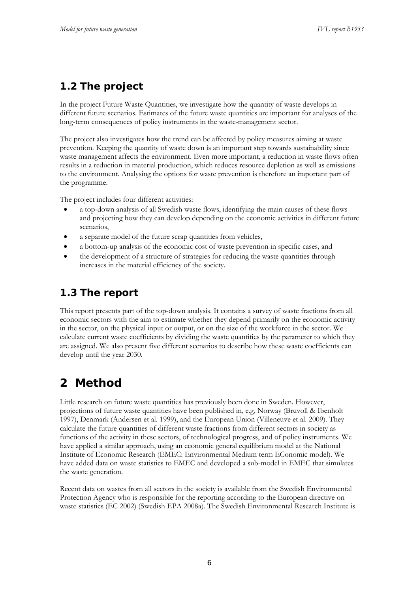# **1.2 The project**

In the project Future Waste Quantities, we investigate how the quantity of waste develops in different future scenarios. Estimates of the future waste quantities are important for analyses of the long-term consequences of policy instruments in the waste-management sector.

The project also investigates how the trend can be affected by policy measures aiming at waste prevention. Keeping the quantity of waste down is an important step towards sustainability since waste management affects the environment. Even more important, a reduction in waste flows often results in a reduction in material production, which reduces resource depletion as well as emissions to the environment. Analysing the options for waste prevention is therefore an important part of the programme.

The project includes four different activities:

- a top-down analysis of all Swedish waste flows, identifying the main causes of these flows and projecting how they can develop depending on the economic activities in different future scenarios,
- a separate model of the future scrap quantities from vehicles,
- a bottom-up analysis of the economic cost of waste prevention in specific cases, and
- the development of a structure of strategies for reducing the waste quantities through increases in the material efficiency of the society.

# **1.3 The report**

This report presents part of the top-down analysis. It contains a survey of waste fractions from all economic sectors with the aim to estimate whether they depend primarily on the economic activity in the sector, on the physical input or output, or on the size of the workforce in the sector. We calculate current waste coefficients by dividing the waste quantities by the parameter to which they are assigned. We also present five different scenarios to describe how these waste coefficients can develop until the year 2030.

# **2 Method**

Little research on future waste quantities has previously been done in Sweden. However, projections of future waste quantities have been published in, e.g, Norway (Bruvoll & Ibenholt 1997), Denmark (Andersen et al. 1999), and the European Union (Villeneuve et al. 2009). They calculate the future quantities of different waste fractions from different sectors in society as functions of the activity in these sectors, of technological progress, and of policy instruments. We have applied a similar approach, using an economic general equilibrium model at the National Institute of Economic Research (EMEC: Environmental Medium term EConomic model). We have added data on waste statistics to EMEC and developed a sub-model in EMEC that simulates the waste generation.

Recent data on wastes from all sectors in the society is available from the Swedish Environmental Protection Agency who is responsible for the reporting according to the European directive on waste statistics (EC 2002) (Swedish EPA 2008a). The Swedish Environmental Research Institute is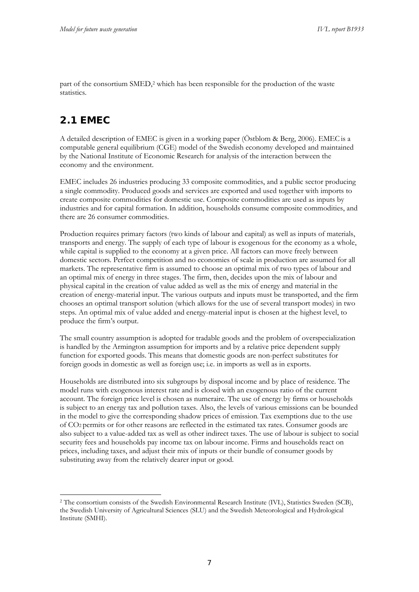part of the consortium SMED,2 which has been responsible for the production of the waste statistics.

# **2.1 EMEC**

<u>.</u>

A detailed description of EMEC is given in a working paper (Östblom & Berg, 2006). EMECis a computable general equilibrium (CGE) model of the Swedish economy developed and maintained by the National Institute of Economic Research for analysis of the interaction between the economy and the environment.

EMEC includes 26 industries producing 33 composite commodities, and a public sector producing a single commodity. Produced goods and services are exported and used together with imports to create composite commodities for domestic use. Composite commodities are used as inputs by industries and for capital formation. In addition, households consume composite commodities, and there are 26 consumer commodities.

Production requires primary factors (two kinds of labour and capital) as well as inputs of materials, transports and energy. The supply of each type of labour is exogenous for the economy as a whole, while capital is supplied to the economy at a given price. All factors can move freely between domestic sectors. Perfect competition and no economies of scale in production are assumed for all markets. The representative firm is assumed to choose an optimal mix of two types of labour and an optimal mix of energy in three stages. The firm, then, decides upon the mix of labour and physical capital in the creation of value added as well as the mix of energy and material in the creation of energy-material input. The various outputs and inputs must be transported, and the firm chooses an optimal transport solution (which allows for the use of several transport modes) in two steps. An optimal mix of value added and energy-material input is chosen at the highest level, to produce the firm's output.

The small country assumption is adopted for tradable goods and the problem of overspecialization is handled by the Armington assumption for imports and by a relative price dependent supply function for exported goods. This means that domestic goods are non-perfect substitutes for foreign goods in domestic as well as foreign use; i.e. in imports as well as in exports.

Households are distributed into six subgroups by disposal income and by place of residence. The model runs with exogenous interest rate and is closed with an exogenous ratio of the current account. The foreign price level is chosen as numeraire. The use of energy by firms or households is subject to an energy tax and pollution taxes. Also, the levels of various emissions can be bounded in the model to give the corresponding shadow prices of emission. Tax exemptions due to the use of CO2 permits or for other reasons are reflected in the estimated tax rates. Consumer goods are also subject to a value-added tax as well as other indirect taxes. The use of labour is subject to social security fees and households pay income tax on labour income. Firms and households react on prices, including taxes, and adjust their mix of inputs or their bundle of consumer goods by substituting away from the relatively dearer input or good.

<sup>2</sup> The consortium consists of the Swedish Environmental Research Institute (IVL), Statistics Sweden (SCB), the Swedish University of Agricultural Sciences (SLU) and the Swedish Meteorological and Hydrological Institute (SMHI).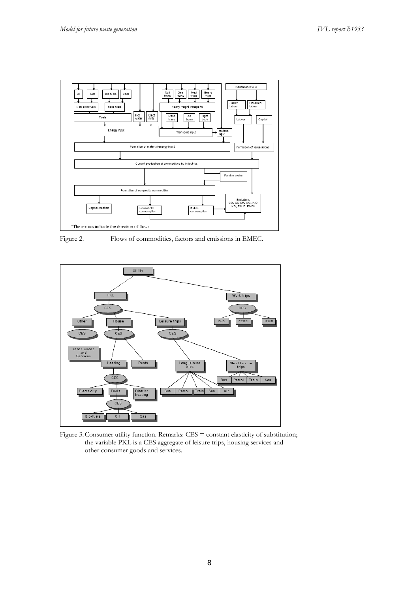

Figure 2. Flows of commodities, factors and emissions in EMEC.



Figure 3. Consumer utility function. Remarks: CES = constant elasticity of substitution; the variable PKL is a CES aggregate of leisure trips, housing services and other consumer goods and services.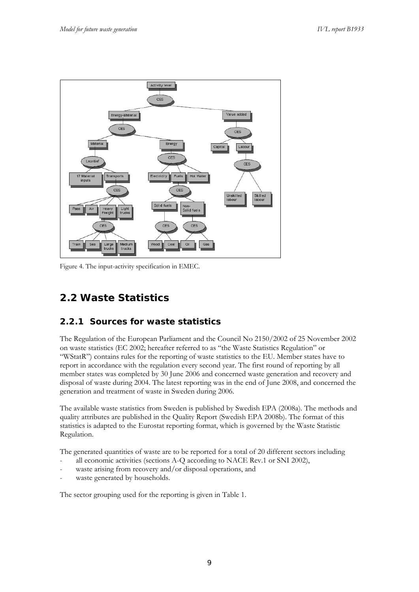

Figure 4. The input-activity specification in EMEC.

# **2.2 Waste Statistics**

## **2.2.1 Sources for waste statistics**

The Regulation of the European Parliament and the Council No 2150/2002 of 25 November 2002 on waste statistics (EC 2002; hereafter referred to as "the Waste Statistics Regulation" or "WStatR") contains rules for the reporting of waste statistics to the EU. Member states have to report in accordance with the regulation every second year. The first round of reporting by all member states was completed by 30 June 2006 and concerned waste generation and recovery and disposal of waste during 2004. The latest reporting was in the end of June 2008, and concerned the generation and treatment of waste in Sweden during 2006.

The available waste statistics from Sweden is published by Swedish EPA (2008a). The methods and quality attributes are published in the Quality Report (Swedish EPA 2008b). The format of this statistics is adapted to the Eurostat reporting format, which is governed by the Waste Statistic Regulation.

The generated quantities of waste are to be reported for a total of 20 different sectors including

- all economic activities (sections A-Q according to NACE Rev.1 or SNI 2002),
- waste arising from recovery and/or disposal operations, and
- waste generated by households.

The sector grouping used for the reporting is given in Table 1.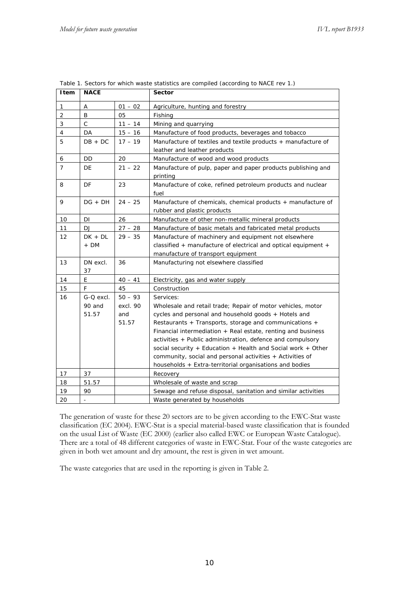| Item           | <b>NACE</b>  |           | <b>Sector</b>                                                       |
|----------------|--------------|-----------|---------------------------------------------------------------------|
| 1              | Α            | $01 - 02$ | Agriculture, hunting and forestry                                   |
| $\overline{2}$ | B            | 05        | Fishing                                                             |
| 3              | $\mathsf{C}$ | $11 - 14$ | Mining and quarrying                                                |
| 4              | DA           | $15 - 16$ | Manufacture of food products, beverages and tobacco                 |
| 5              | $DB + DC$    | $17 - 19$ | Manufacture of textiles and textile products + manufacture of       |
|                |              |           | leather and leather products                                        |
| 6              | DD           | 20        | Manufacture of wood and wood products                               |
| $\overline{7}$ | DE           | $21 - 22$ | Manufacture of pulp, paper and paper products publishing and        |
|                |              |           | printing                                                            |
| 8              | DF           | 23        | Manufacture of coke, refined petroleum products and nuclear<br>fuel |
| 9              | $DG + DH$    | $24 - 25$ | Manufacture of chemicals, chemical products + manufacture of        |
|                |              |           | rubber and plastic products                                         |
| $10$           | DΙ           | 26        | Manufacture of other non-metallic mineral products                  |
| 11             | DJ           | $27 - 28$ | Manufacture of basic metals and fabricated metal products           |
| 12             | $DK + DL$    | $29 - 35$ | Manufacture of machinery and equipment not elsewhere                |
|                | + DM         |           | classified + manufacture of electrical and optical equipment +      |
|                |              |           | manufacture of transport equipment                                  |
| 13             | DN excl.     | 36        | Manufacturing not elsewhere classified                              |
|                | 37           |           |                                                                     |
| 14             | E.           | $40 - 41$ | Electricity, gas and water supply                                   |
| 15             | F.           | 45        | Construction                                                        |
| 16             | G-Q excl.    | $50 - 93$ | Services:                                                           |
|                | 90 and       | excl. 90  | Wholesale and retail trade; Repair of motor vehicles, motor         |
|                | 51.57        | and       | cycles and personal and household goods + Hotels and                |
|                |              | 51.57     | Restaurants + Transports, storage and communications +              |
|                |              |           | Financial intermediation $+$ Real estate, renting and business      |
|                |              |           | activities + Public administration, defence and compulsory          |
|                |              |           | social security + Education + Health and Social work + Other        |
|                |              |           | community, social and personal activities + Activities of           |
|                |              |           | households + Extra-territorial organisations and bodies             |
| 17             | 37           |           | Recovery                                                            |
| 18             | 51.57        |           | Wholesale of waste and scrap                                        |
| 19             | 90           |           | Sewage and refuse disposal, sanitation and similar activities       |
| 20             |              |           | Waste generated by households                                       |

Table 1. Sectors for which waste statistics are compiled (according to NACE rev 1.)

The generation of waste for these 20 sectors are to be given according to the EWC-Stat waste classification (EC 2004). EWC-Stat is a special material-based waste classification that is founded on the usual List of Waste (EC 2000) (earlier also called EWC or European Waste Catalogue). There are a total of 48 different categories of waste in EWC-Stat. Four of the waste categories are given in both wet amount and dry amount, the rest is given in wet amount.

The waste categories that are used in the reporting is given in Table 2.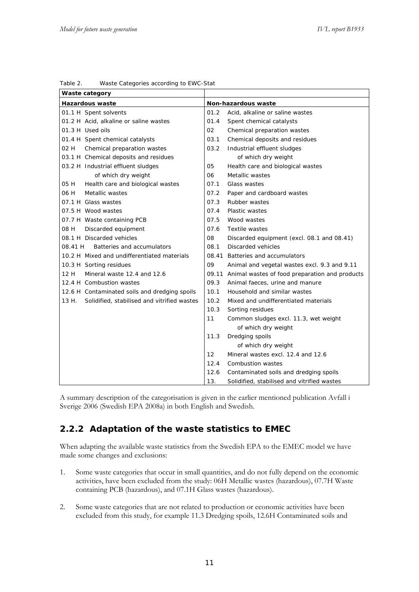| Waste category                                       |      |                                                      |
|------------------------------------------------------|------|------------------------------------------------------|
| <b>Hazardous waste</b>                               |      | Non-hazardous waste                                  |
| 01.1 H Spent solvents                                | 01.2 | Acid, alkaline or saline wastes                      |
| 01.2 H Acid, alkaline or saline wastes               | 01.4 | Spent chemical catalysts                             |
| 01.3 H Used oils                                     | 02   | Chemical preparation wastes                          |
| 01.4 H Spent chemical catalysts                      | 03.1 | Chemical deposits and residues                       |
| Chemical preparation wastes<br>02 H                  | 03.2 | Industrial effluent sludges                          |
| 03.1 H Chemical deposits and residues                |      | of which dry weight                                  |
| 03.2 H Industrial effluent sludges                   | 05   | Health care and biological wastes                    |
| of which dry weight                                  | 06   | Metallic wastes                                      |
| 05 H<br>Health care and biological wastes            | 07.1 | Glass wastes                                         |
| Metallic wastes<br>06 H                              | 07.2 | Paper and cardboard wastes                           |
| 07.1 H Glass wastes                                  | 07.3 | Rubber wastes                                        |
| 07.5 H Wood wastes                                   | 07.4 | <b>Plastic wastes</b>                                |
| 07.7 H Waste containing PCB                          | 07.5 | Wood wastes                                          |
| Discarded equipment<br>08 H                          | 07.6 | Textile wastes                                       |
| 08.1 H Discarded vehicles                            | 08   | Discarded equipment (excl. 08.1 and 08.41)           |
| 08.41 H<br>Batteries and accumulators                | 08.1 | Discarded vehicles                                   |
| 10.2 H Mixed and undifferentiated materials          |      | 08.41 Batteries and accumulators                     |
| 10.3 H Sorting residues                              | 09   | Animal and vegetal wastes excl. 9.3 and 9.11         |
| 12 H<br>Mineral waste 12.4 and 12.6                  |      | 09.11 Animal wastes of food preparation and products |
| 12.4 H Combustion wastes                             | 09.3 | Animal faeces, urine and manure                      |
| 12.6 H Contaminated soils and dredging spoils        | 10.1 | Household and similar wastes                         |
| Solidified, stabilised and vitrified wastes<br>13 H. | 10.2 | Mixed and undifferentiated materials                 |
|                                                      | 10.3 | Sorting residues                                     |
|                                                      | 11   | Common sludges excl. 11.3, wet weight                |
|                                                      |      | of which dry weight                                  |
|                                                      | 11.3 | Dredging spoils                                      |
|                                                      |      | of which dry weight                                  |
|                                                      | 12   | Mineral wastes excl. 12.4 and 12.6                   |
|                                                      | 12.4 | Combustion wastes                                    |
|                                                      | 12.6 | Contaminated soils and dredging spoils               |
|                                                      | 13.  | Solidified, stabilised and vitrified wastes          |

Table 2. Waste Categories according to EWC-Stat

A summary description of the categorisation is given in the earlier mentioned publication Avfall i Sverige 2006 (Swedish EPA 2008a) in both English and Swedish.

## **2.2.2 Adaptation of the waste statistics to EMEC**

When adapting the available waste statistics from the Swedish EPA to the EMEC model we have made some changes and exclusions:

- 1. Some waste categories that occur in small quantities, and do not fully depend on the economic activities, have been excluded from the study: 06H Metallic wastes (hazardous), 07.7H Waste containing PCB (hazardous), and 07.1H Glass wastes (hazardous).
- 2. Some waste categories that are not related to production or economic activities have been excluded from this study, for example 11.3 Dredging spoils, 12.6H Contaminated soils and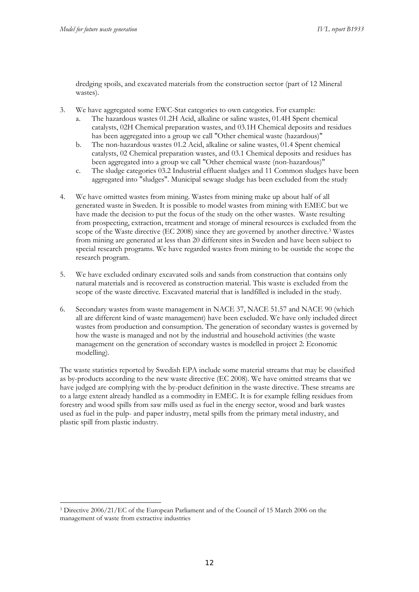**.** 

dredging spoils, and excavated materials from the construction sector (part of 12 Mineral wastes).

- 3. We have aggregated some EWC-Stat categories to own categories. For example:
	- a. The hazardous wastes 01.2H Acid, alkaline or saline wastes, 01.4H Spent chemical catalysts, 02H Chemical preparation wastes, and 03.1H Chemical deposits and residues has been aggregated into a group we call "Other chemical waste (hazardous)"
	- b. The non-hazardous wastes 01.2 Acid, alkaline or saline wastes, 01.4 Spent chemical catalysts, 02 Chemical preparation wastes, and 03.1 Chemical deposits and residues has been aggregated into a group we call "Other chemical waste (non-hazardous)"
	- c. The sludge categories 03.2 Industrial effluent sludges and 11 Common sludges have been aggregated into "sludges". Municipal sewage sludge has been excluded from the study
- 4. We have omitted wastes from mining. Wastes from mining make up about half of all generated waste in Sweden. It is possible to model wastes from mining with EMEC but we have made the decision to put the focus of the study on the other wastes. Waste resulting from prospecting, extraction, treatment and storage of mineral resources is excluded from the scope of the Waste directive (EC 2008) since they are governed by another directive.3 Wastes from mining are generated at less than 20 different sites in Sweden and have been subject to special research programs. We have regarded wastes from mining to be oustide the scope the research program.
- 5. We have excluded ordinary excavated soils and sands from construction that contains only natural materials and is recovered as construction material. This waste is excluded from the scope of the waste directive. Excavated material that is landfilled is included in the study.
- 6. Secondary wastes from waste management in NACE 37, NACE 51.57 and NACE 90 (which all are different kind of waste management) have been excluded. We have only included direct wastes from production and consumption. The generation of secondary wastes is governed by how the waste is managed and not by the industrial and household activities (the waste management on the generation of secondary wastes is modelled in project 2: Economic modelling).

The waste statistics reported by Swedish EPA include some material streams that may be classified as by-products according to the new waste directive (EC 2008). We have omitted streams that we have judged are complying with the by-product definition in the waste directive. These streams are to a large extent already handled as a commodity in EMEC. It is for example felling residues from forestry and wood spills from saw mills used as fuel in the energy sector, wood and bark wastes used as fuel in the pulp- and paper industry, metal spills from the primary metal industry, and plastic spill from plastic industry.

<sup>3</sup> Directive 2006/21/EC of the European Parliament and of the Council of 15 March 2006 on the management of waste from extractive industries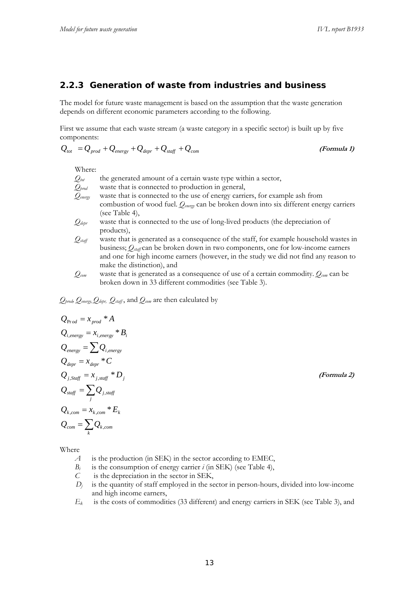#### **2.2.3 Generation of waste from industries and business**

The model for future waste management is based on the assumption that the waste generation depends on different economic parameters according to the following.

First we assume that each waste stream (a waste category in a specific sector) is built up by five components:

$$
Q_{\text{tot}} = Q_{\text{prod}} + Q_{\text{energy}} + Q_{\text{depr}} + Q_{\text{staff}} + Q_{\text{com}}
$$
 (Formula 1)

Where:

- $Q_{tot}$  the generated amount of a certain waste type within a sector,  $Q_{\text{broad}}$  waste that is connected to production in general,
- *Qenergy* waste that is connected to the use of energy carriers, for example ash from combustion of wood fuel. *Qenergy* can be broken down into six different energy carriers (see Table 4),
- $Q_{\text{depr}}$  waste that is connected to the use of long-lived products (the depreciation of products),
- *Qstaff* waste that is generated as a consequence of the staff, for example household wastes in business; *Qstaff* can be broken down in two components, one for low-income earners and one for high income earners (however, in the study we did not find any reason to make the distinction), and
- *Qcom* waste that is generated as a consequence of use of a certain commodity. *Qcom* can be broken down in 33 different commodities (see Table 3).

*Qprod, Qenergy, Qdepr, Qstaff* , and *Qcom* are then calculated by

$$
Q_{Prod} = x_{prod} * A
$$
  
\n
$$
Q_{i,energy} = x_{i,energy} * B_i
$$
  
\n
$$
Q_{energy} = \sum Q_{i,energy}
$$
  
\n
$$
Q_{depr} = x_{depr} * C
$$
  
\n
$$
Q_{j,Staff} = x_{j,staff} * D_j
$$
  
\n
$$
Q_{staff} = \sum_j Q_{j,staff}
$$
  
\n
$$
Q_{k,com} = x_{k,com} * E_k
$$
  
\n
$$
Q_{com} = \sum_k Q_{k,com}
$$

Where

- *A* is the production (in SEK) in the sector according to EMEC,
- *B<sub>i</sub>* is the consumption of energy carrier *i* (in SEK) (see Table 4),
- *C* is the depreciation in the sector in SEK,
- $D_i$  is the quantity of staff employed in the sector in person-hours, divided into low-income and high income earners,
- *Ek* is the costs of commodities (33 different) and energy carriers in SEK (see Table 3), and

**(Formula 2)**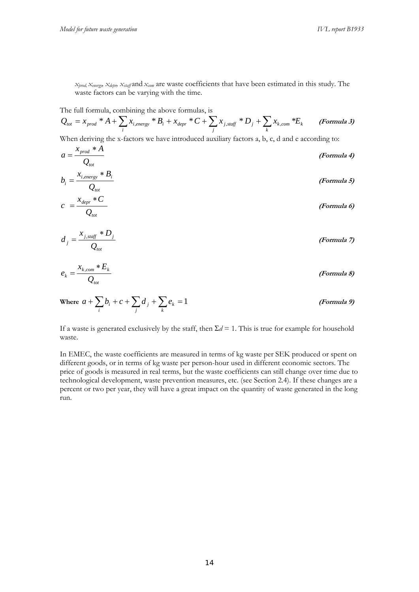$Q_{\text{tot}}$ 

*xprod, xenergy, xdepr, xstaff* and *xcom* are waste coefficients that have been estimated in this study. The waste factors can be varying with the time.

The full formula, combining the above formulas, is

$$
Q_{tot} = x_{prod} * A + \sum_{i} x_{i, energy} * B_i + x_{depr} * C + \sum_{j} x_{j, staff} * D_j + \sum_{k} x_{k, com} * E_k
$$
 (Formula 3)

When deriving the x-factors we have introduced auxiliary factors a, b, c, d and e according to:

$$
a = \frac{x_{prod} * A}{Q_{tot}}
$$
 (Formula 4)  

$$
b_i = \frac{x_{i,energy} * B_i}{Q_{tot}}
$$
 (Formula 5)  

$$
c = \frac{x_{depr} * C}{Q_{tot}}
$$
 (Formula 6)

$$
d_j = \frac{x_{j, \text{staff}} \cdot D_j}{Q_{\text{tot}}} \tag{Formula 7}
$$

$$
e_k = \frac{x_{k,com} * E_k}{Q_{tot}}
$$
 (Formula 8)

Where 
$$
a + \sum_{i} b_i + c + \sum_{j} d_j + \sum_{k} e_k = 1
$$
 (*Formula 9*)

If a waste is generated exclusively by the staff, then  $\Sigma d = 1$ . This is true for example for household waste.

In EMEC, the waste coefficients are measured in terms of kg waste per SEK produced or spent on different goods, or in terms of kg waste per person-hour used in different economic sectors. The price of goods is measured in real terms, but the waste coefficients can still change over time due to technological development, waste prevention measures, etc. (see Section 2.4). If these changes are a percent or two per year, they will have a great impact on the quantity of waste generated in the long run.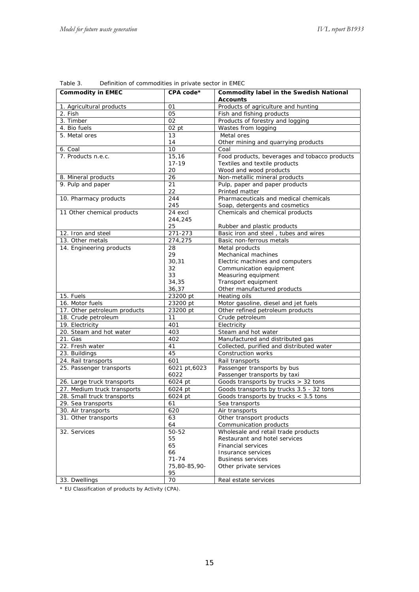| <b>Commodity in EMEC</b>     | CPA code*            | <b>Commodity label in the Swedish National</b>                    |  |
|------------------------------|----------------------|-------------------------------------------------------------------|--|
|                              |                      | <b>Accounts</b>                                                   |  |
| 1. Agricultural products     | 01                   | Products of agriculture and hunting                               |  |
| 2. Fish                      | 05                   | Fish and fishing products                                         |  |
| 3. Timber                    | 02                   | Products of forestry and logging                                  |  |
| 4. Bio fuels                 | $02$ pt              | Wastes from logging                                               |  |
| 5. Metal ores                | 13                   | Metal ores                                                        |  |
|                              | 14                   | Other mining and quarrying products                               |  |
| 6. Coal                      | 10                   | Coal                                                              |  |
| 7. Products n.e.c.           | 15,16                | Food products, beverages and tobacco products                     |  |
|                              | $17 - 19$            | Textiles and textile products                                     |  |
|                              | 20                   | Wood and wood products                                            |  |
| 8. Mineral products          | 26                   | Non-metallic mineral products                                     |  |
| 9. Pulp and paper            | 21                   | Pulp, paper and paper products<br>Printed matter                  |  |
|                              | 22                   | Pharmaceuticals and medical chemicals                             |  |
| 10. Pharmacy products        | 244<br>245           |                                                                   |  |
| 11 Other chemical products   | $\overline{24}$ excl | Soap, detergents and cosmetics<br>Chemicals and chemical products |  |
|                              | 244,245              |                                                                   |  |
|                              | 25                   | Rubber and plastic products                                       |  |
| 12. Iron and steel           | 271-273              | Basic iron and steel, tubes and wires                             |  |
| 13. Other metals             | 274,275              | Basic non-ferrous metals                                          |  |
| 14. Engineering products     | 28                   | Metal products                                                    |  |
|                              | 29                   | Mechanical machines                                               |  |
|                              | 30,31                | Electric machines and computers                                   |  |
|                              | 32                   | Communication equipment                                           |  |
|                              | 33                   | Measuring equipment                                               |  |
|                              | 34,35                | Transport equipment                                               |  |
|                              | 36,37                | Other manufactured products                                       |  |
| 15. Fuels                    | 23200 pt             | Heating oils                                                      |  |
| 16. Motor fuels              | 23200 pt             | Motor gasoline, diesel and jet fuels                              |  |
| 17. Other petroleum products | 23200 pt             | Other refined petroleum products                                  |  |
| 18. Crude petroleum          | 11                   | Crude petroleum                                                   |  |
| 19. Electricity              | 401                  | Electricity                                                       |  |
| 20. Steam and hot water      | 403                  | Steam and hot water                                               |  |
| 21. Gas                      | 402                  | Manufactured and distributed gas                                  |  |
| 22. Fresh water              | 41                   | Collected, purified and distributed water                         |  |
| 23. Buildings                | 45                   | Construction works                                                |  |
| 24. Rail transports          | 601                  | Rail transports                                                   |  |
| 25. Passenger transports     | 6021 pt, 6023        | Passenger transports by bus                                       |  |
|                              | 6022                 | Passenger transports by taxi                                      |  |
| 26. Large truck transports   | 6024 pt              | Goods transports by trucks > 32 tons                              |  |
| 27. Medium truck transports  | 6024 pt              | Goods transports by trucks 3.5 - 32 tons                          |  |
| 28. Small truck transports   | 6024 pt              | Goods transports by trucks $<$ 3.5 tons                           |  |
| 29. Sea transports           | 61                   | Sea transports                                                    |  |
| 30. Air transports           | 620                  | Air transports                                                    |  |
| 31. Other transports         | 63                   | Other transport products                                          |  |
|                              | 64                   | Communication products                                            |  |
| 32. Services                 | 50-52                | Wholesale and retail trade products                               |  |
|                              | 55                   | Restaurant and hotel services                                     |  |
|                              | 65                   | <b>Financial services</b>                                         |  |
|                              | 66                   | Insurance services                                                |  |
|                              | $71 - 74$            | <b>Business services</b>                                          |  |
|                              | 75,80-85,90-         | Other private services                                            |  |
|                              | 95                   |                                                                   |  |
| 33. Dwellings                | 70                   | Real estate services                                              |  |

Table 3. Definition of commodities in private sector in EMEC

\* EU Classification of products by Activity (CPA).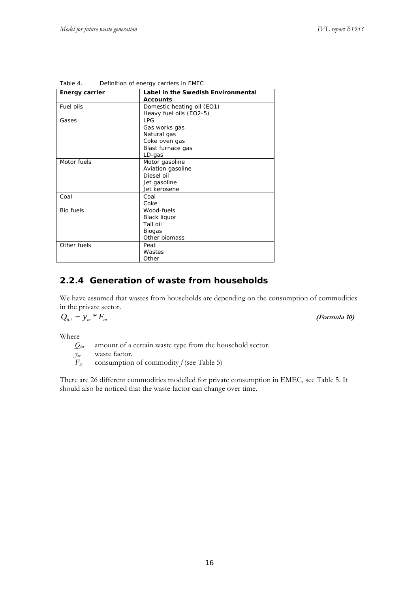| <b>Energy carrier</b> | Label in the Swedish Environmental<br><b>Accounts</b>                             |
|-----------------------|-----------------------------------------------------------------------------------|
| Fuel oils             | Domestic heating oil (EO1)<br>Heavy fuel oils (EO2-5)                             |
| Gases                 | I PG<br>Gas works gas<br>Natural gas<br>Coke oven gas                             |
|                       | Blast furnace gas<br>LD-gas                                                       |
| Motor fuels           | Motor gasoline<br>Aviation gasoline<br>Diesel oil<br>Jet gasoline<br>Jet kerosene |
| Coal                  | Coal<br>Coke                                                                      |
| <b>Bio fuels</b>      | Wood-fuels<br><b>Black liquor</b><br>Tall oil<br><b>Biogas</b><br>Other biomass   |
| Other fuels           | Peat<br>Wastes<br>Other                                                           |

| Table 4. | Definition of energy carriers in EMEC |  |  |
|----------|---------------------------------------|--|--|

#### **2.2.4 Generation of waste from households**

We have assumed that wastes from households are depending on the consumption of commodities in the private sector.

$$
Q_{\text{tot}} = y_m * F_m
$$

*tot <sup>m</sup> Fm Q y* \* **(Formula 10)**

Where

 $Q_{\text{tot}}$  amount of a certain waste type from the household sector.

*y<sub>m</sub>* waste factor.<br>  $F_m$  consumption consumption of commodity  $f$  (see Table 5)

There are 26 different commodities modelled for private consumption in EMEC, see Table 5. It should also be noticed that the waste factor can change over time.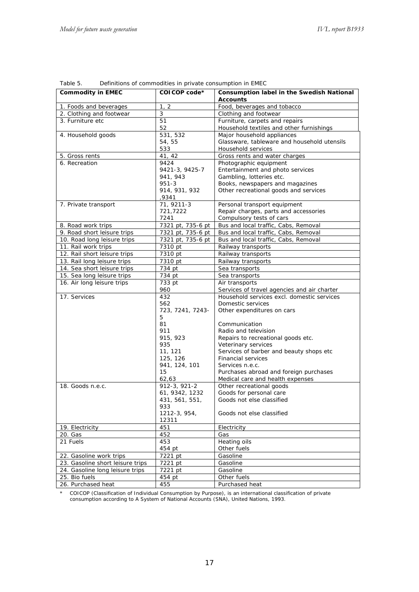| <b>Commodity in EMEC</b>         | COICOP code*          | Consumption label in the Swedish National<br><b>Accounts</b> |
|----------------------------------|-----------------------|--------------------------------------------------------------|
| 1. Foods and beverages           | 1, 2                  | Food, beverages and tobacco                                  |
| 2. Clothing and footwear         | 3                     | Clothing and footwear                                        |
| 3. Furniture etc                 | 51                    | Furniture, carpets and repairs                               |
|                                  | 52                    | Household textiles and other furnishings                     |
| 4. Household goods               | 531, 532              | Major household appliances                                   |
|                                  | 54, 55                | Glassware, tableware and household utensils                  |
|                                  | 533                   | Household services                                           |
| 5. Gross rents                   | 41, 42                | Gross rents and water charges                                |
| 6. Recreation                    | 9424                  | Photographic equipment                                       |
|                                  | 9421-3, 9425-7        | Entertainment and photo services                             |
|                                  | 941, 943              | Gambling, lotteries etc.                                     |
|                                  | $951 - 3$             | Books, newspapers and magazines                              |
|                                  | 914, 931, 932         | Other recreational goods and services                        |
|                                  | ,9341                 |                                                              |
| 7. Private transport             | 71, 9211-3            | Personal transport equipment                                 |
|                                  | 721,7222              | Repair charges, parts and accessories                        |
|                                  | 7241                  | Compulsory tests of cars                                     |
| 8. Road work trips               | 7321 pt, 735-6 pt     | Bus and local traffic, Cabs, Removal                         |
| 9. Road short leisure trips      | 7321 pt, 735-6 pt     | Bus and local traffic, Cabs, Removal                         |
| 10. Road long leisure trips      | 7321 pt, 735-6 pt     | Bus and local traffic, Cabs, Removal                         |
| 11. Rail work trips              | 7310 pt               | Railway transports                                           |
| 12. Rail short leisure trips     | 7310 pt               | Railway transports                                           |
| 13. Rail long leisure trips      | 7310 pt               | Railway transports                                           |
| 14. Sea short leisure trips      | 734 pt                | Sea transports                                               |
| 15. Sea long leisure trips       | 734 pt                | Sea transports                                               |
| 16. Air long leisure trips       | 733 pt                | Air transports                                               |
|                                  | 960                   | Services of travel agencies and air charter                  |
| 17. Services                     | 432                   | Household services excl. domestic services                   |
|                                  | 562                   | Domestic services                                            |
|                                  | 723, 7241, 7243-      | Other expenditures on cars                                   |
|                                  | 5                     |                                                              |
|                                  | 81                    | Communication                                                |
|                                  | 911                   | Radio and television                                         |
|                                  | 915, 923              | Repairs to recreational goods etc.                           |
|                                  | 935                   | Veterinary services                                          |
|                                  | 11, 121               | Services of barber and beauty shops etc                      |
|                                  | 125, 126              | Financial services                                           |
|                                  | 941, 124, 101         | Services n.e.c.                                              |
|                                  | 15                    | Purchases abroad and foreign purchases                       |
|                                  | 62,63                 | Medical care and health expenses                             |
| 18. Goods n.e.c.                 | 912-3, 921-2          | Other recreational goods<br>Goods for personal care          |
|                                  | 61, 9342, 1232        | Goods not else classified                                    |
|                                  | 431, 561, 551,<br>933 |                                                              |
|                                  | 1212-3, 954,          | Goods not else classified                                    |
|                                  | 12311                 |                                                              |
| 19. Electricity                  | 451                   | Electricity                                                  |
| 20. Gas                          | 452                   | Gas                                                          |
| 21 Fuels                         | 453                   | Heating oils                                                 |
|                                  | 454 pt                | Other fuels                                                  |
| 22. Gasoline work trips          | 7221 pt               | Gasoline                                                     |
| 23. Gasoline short leisure trips | 7221 pt               | Gasoline                                                     |
| 24. Gasoline long leisure trips  | 7221 pt               | Gasoline                                                     |
| 25. Bio fuels                    | 454 pt                | Other fuels                                                  |
| 26. Purchased heat               | 455                   | Purchased heat                                               |

Table 5. Definitions of commodities in private consumption in EMEC

\* COICOP (Classification of Individual Consumption by Purpose), is an international classification of private consumption according to A System of National Accounts (SNA), United Nations, 1993.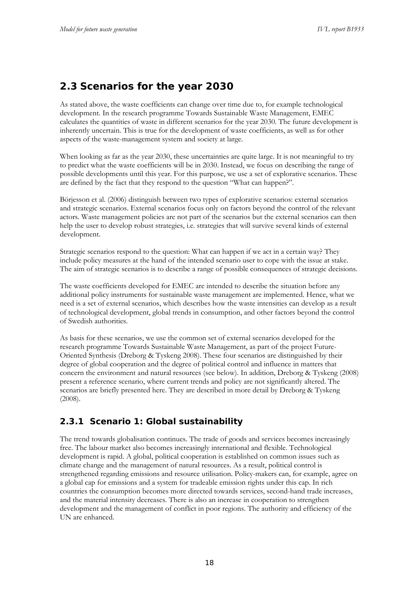## **2.3 Scenarios for the year 2030**

As stated above, the waste coefficients can change over time due to, for example technological development. In the research programme Towards Sustainable Waste Management, EMEC calculates the quantities of waste in different scenarios for the year 2030. The future development is inherently uncertain. This is true for the development of waste coefficients, as well as for other aspects of the waste-management system and society at large.

When looking as far as the year 2030, these uncertainties are quite large. It is not meaningful to try to predict what the waste coefficients will be in 2030. Instead, we focus on describing the range of possible developments until this year. For this purpose, we use a set of explorative scenarios. These are defined by the fact that they respond to the question "What can happen?".

Börjesson et al. (2006) distinguish between two types of explorative scenarios: external scenarios and strategic scenarios. External scenarios focus only on factors beyond the control of the relevant actors. Waste management policies are not part of the scenarios but the external scenarios can then help the user to develop robust strategies, i.e. strategies that will survive several kinds of external development.

Strategic scenarios respond to the question: What can happen if we act in a certain way? They include policy measures at the hand of the intended scenario user to cope with the issue at stake. The aim of strategic scenarios is to describe a range of possible consequences of strategic decisions.

The waste coefficients developed for EMEC are intended to describe the situation before any additional policy instruments for sustainable waste management are implemented. Hence, what we need is a set of external scenarios, which describes how the waste intensities can develop as a result of technological development, global trends in consumption, and other factors beyond the control of Swedish authorities.

As basis for these scenarios, we use the common set of external scenarios developed for the research programme Towards Sustainable Waste Management, as part of the project Future-Oriented Synthesis (Dreborg & Tyskeng 2008). These four scenarios are distinguished by their degree of global cooperation and the degree of political control and influence in matters that concern the environment and natural resources (see below). In addition, Dreborg & Tyskeng (2008) present a reference scenario, where current trends and policy are not significantly altered. The scenarios are briefly presented here. They are described in more detail by Dreborg & Tyskeng (2008).

## **2.3.1 Scenario 1: Global sustainability**

The trend towards globalisation continues. The trade of goods and services becomes increasingly free. The labour market also becomes increasingly international and flexible. Technological development is rapid. A global, political cooperation is established on common issues such as climate change and the management of natural resources. As a result, political control is strengthened regarding emissions and resource utilisation. Policy-makers can, for example, agree on a global cap for emissions and a system for tradeable emission rights under this cap. In rich countries the consumption becomes more directed towards services, second-hand trade increases, and the material intensity decreases. There is also an increase in cooperation to strengthen development and the management of conflict in poor regions. The authority and efficiency of the UN are enhanced.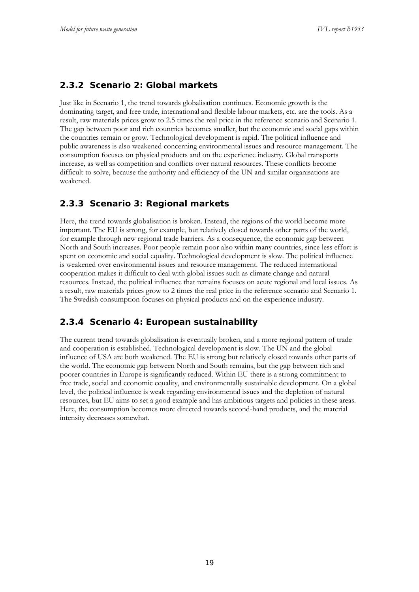### **2.3.2 Scenario 2: Global markets**

Just like in Scenario 1, the trend towards globalisation continues. Economic growth is the dominating target, and free trade, international and flexible labour markets, etc. are the tools. As a result, raw materials prices grow to 2.5 times the real price in the reference scenario and Scenario 1. The gap between poor and rich countries becomes smaller, but the economic and social gaps within the countries remain or grow. Technological development is rapid. The political influence and public awareness is also weakened concerning environmental issues and resource management. The consumption focuses on physical products and on the experience industry. Global transports increase, as well as competition and conflicts over natural resources. These conflicts become difficult to solve, because the authority and efficiency of the UN and similar organisations are weakened.

## **2.3.3 Scenario 3: Regional markets**

Here, the trend towards globalisation is broken. Instead, the regions of the world become more important. The EU is strong, for example, but relatively closed towards other parts of the world, for example through new regional trade barriers. As a consequence, the economic gap between North and South increases. Poor people remain poor also within many countries, since less effort is spent on economic and social equality. Technological development is slow. The political influence is weakened over environmental issues and resource management. The reduced international cooperation makes it difficult to deal with global issues such as climate change and natural resources. Instead, the political influence that remains focuses on acute regional and local issues. As a result, raw materials prices grow to 2 times the real price in the reference scenario and Scenario 1. The Swedish consumption focuses on physical products and on the experience industry.

### **2.3.4 Scenario 4: European sustainability**

The current trend towards globalisation is eventually broken, and a more regional pattern of trade and cooperation is established. Technological development is slow. The UN and the global influence of USA are both weakened. The EU is strong but relatively closed towards other parts of the world. The economic gap between North and South remains, but the gap between rich and poorer countries in Europe is significantly reduced. Within EU there is a strong commitment to free trade, social and economic equality, and environmentally sustainable development. On a global level, the political influence is weak regarding environmental issues and the depletion of natural resources, but EU aims to set a good example and has ambitious targets and policies in these areas. Here, the consumption becomes more directed towards second-hand products, and the material intensity decreases somewhat.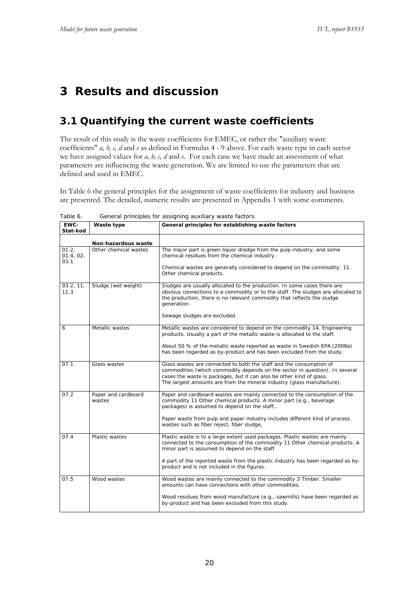# **3 Results and discussion**

# **3.1 Quantifying the current waste coefficients**

The result of this study is the waste coefficients for EMEC, or rather the "auxiliary waste coefficients" *a, b, c, d* and *e* as defined in Formulas 4 - 9 above. For each waste type in each sector we have assigned values for *a, b, c, d* and *e*. For each case we have made an assessment of what parameters are influencing the waste generation. We are limited to use the parameters that are defined and used in EMEC.

In Table 6 the general principles for the assignment of waste coefficients for industry and business are presented. The detailed, numeric results are presented in Appendix 1 with some comments.

| EWC-<br>Stat-kod           | Waste type                    | General principles for establishing waste factors                                                                                                                                                                                                                                                                                             |
|----------------------------|-------------------------------|-----------------------------------------------------------------------------------------------------------------------------------------------------------------------------------------------------------------------------------------------------------------------------------------------------------------------------------------------|
|                            | Non-hazardous waste           |                                                                                                                                                                                                                                                                                                                                               |
| 01.2,<br>01.4, 02,<br>03.1 | Other chemical wastes         | The major part is green liquor dredge from the pulp industry, and some<br>chemical residues from the chemical industry.<br>Chemical wastes are generally considered to depend on the commodity: 11.<br>Other chemical products.                                                                                                               |
| 03.2, 11,<br>11.3          | Sludge (wet weight)           | Sludges are usually allocated to the production. In some cases there are<br>obvious connections to a commodity or to the staff. The sludges are allocated to<br>the production, there is no relevant commodity that reflects the sludge<br>generation.<br>Sewage sludges are excluded.                                                        |
| 6                          | Metallic wastes               | Metallic wastes are considered to depend on the commodity 14. Engineering<br>products. Usually a part of the metallic waste is allocated to the staff.<br>About 50 % of the metallic waste reported as waste in Swedish EPA (2008a)<br>has been regarded as by-product and has been excluded from the study.                                  |
| 07.1                       | Glass wastes                  | Glass wastes are connected to both the staff and the consumption of<br>commodities (which commodity depends on the sector in question). In several<br>cases the waste is packages, but it can also be other kind of glass.<br>The largest amounts are from the mineral industry (glass manufacture).                                          |
| 07.2                       | Paper and cardboard<br>wastes | Paper and cardboard wastes are mainly connected to the consumption of the<br>commodity 11 Other chemical products. A minor part (e.g., beverage<br>packages) is assumed to depend on the staff<br>Paper waste from pulp and paper industry includes different kind of process<br>wastes such as fiber reject, fiber sludge,                   |
| 07.4                       | Plastic wastes                | Plastic waste is to a large extent used packages. Plastic wastes are mainly<br>connected to the consumption of the commodity 11 Other chemical products. A<br>minor part is assumed to depend on the staff.<br>A part of the reported waste from the plastic industry has been regarded as by-<br>product and is not included in the figures. |
| 07.5                       | Wood wastes                   | Wood wastes are mainly connected to the commodity 3 Timber. Smaller<br>amounts can have connections with other commodities.<br>Wood residues from wood manufacture (e.g., sawmills) have been regarded as<br>by-product and has been excluded from this study.                                                                                |

Table 6. General principles for assigning auxiliary waste factors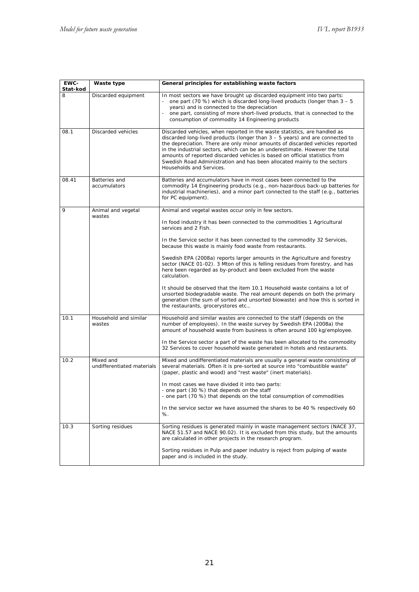| EWC-<br>Stat-kod | Waste type                              | General principles for establishing waste factors                                                                                                                                                                                                                                                                                                                                                                                                                                                                  |
|------------------|-----------------------------------------|--------------------------------------------------------------------------------------------------------------------------------------------------------------------------------------------------------------------------------------------------------------------------------------------------------------------------------------------------------------------------------------------------------------------------------------------------------------------------------------------------------------------|
| 8                | Discarded equipment                     | In most sectors we have brought up discarded equipment into two parts:<br>one part (70 %) which is discarded long-lived products (longer than $3 - 5$<br>years) and is connected to the depreciation<br>one part, consisting of more short-lived products, that is connected to the<br>consumption of commodity 14 Engineering products                                                                                                                                                                            |
| 08.1             | Discarded vehicles                      | Discarded vehicles, when reported in the waste statistics, are handled as<br>discarded long-lived products (longer than $3 - 5$ years) and are connected to<br>the depreciation. There are only minor amounts of discarded vehicles reported<br>in the industrial sectors, which can be an underestimate. However the total<br>amounts of reported discarded vehicles is based on official statistics from<br>Swedish Road Administration and has been allocated mainly to the sectors<br>Households and Services. |
| 08.41            | Batteries and<br>accumulators           | Batteries and accumulators have in most cases been connected to the<br>commodity 14 Engineering products (e.g., non-hazardous back-up batteries for<br>industrial machineries), and a minor part connected to the staff (e.g., batteries<br>for PC equipment).                                                                                                                                                                                                                                                     |
| 9                | Animal and vegetal<br>wastes            | Animal and vegetal wastes occur only in few sectors.                                                                                                                                                                                                                                                                                                                                                                                                                                                               |
|                  |                                         | In food industry it has been connected to the commodities 1 Agricultural<br>services and 2 Fish.                                                                                                                                                                                                                                                                                                                                                                                                                   |
|                  |                                         | In the Service sector it has been connected to the commodity 32 Services,<br>because this waste is mainly food waste from restaurants.                                                                                                                                                                                                                                                                                                                                                                             |
|                  |                                         | Swedish EPA (2008a) reports larger amounts in the Agriculture and forestry<br>sector (NACE 01-02). 3 Mton of this is felling residues from forestry, and has<br>here been regarded as by-product and been excluded from the waste<br>calculation.                                                                                                                                                                                                                                                                  |
|                  |                                         | It should be observed that the item 10.1 Household waste contains a lot of<br>unsorted biodegradable waste. The real amount depends on both the primary<br>generation (the sum of sorted and unsorted biowaste) and how this is sorted in<br>the restaurants, grocerystores etc.,                                                                                                                                                                                                                                  |
| 10.1             | Household and similar<br>wastes         | Household and similar wastes are connected to the staff (depends on the<br>number of employees). In the waste survey by Swedish EPA (2008a) the<br>amount of household waste from business is often around 100 kg/employee.                                                                                                                                                                                                                                                                                        |
|                  |                                         | In the Service sector a part of the waste has been allocated to the commodity<br>32 Services to cover household waste generated in hotels and restaurants.                                                                                                                                                                                                                                                                                                                                                         |
| 10.2             | Mixed and<br>undifferentiated materials | Mixed and undifferentiated materials are usually a general waste consisting of<br>several materials. Often it is pre-sorted at source into "combustible waste"<br>(paper, plastic and wood) and "rest waste" (inert materials).                                                                                                                                                                                                                                                                                    |
|                  |                                         | In most cases we have divided it into two parts:<br>- one part (30 %) that depends on the staff<br>- one part (70 %) that depends on the total consumption of commodities                                                                                                                                                                                                                                                                                                                                          |
|                  |                                         | In the service sector we have assumed the shares to be 40 % respectively 60<br>%.                                                                                                                                                                                                                                                                                                                                                                                                                                  |
| 10.3             | Sorting residues                        | Sorting residues is generated mainly in waste management sectors (NACE 37,<br>NACE 51.57 and NACE 90.02). It is excluded from this study, but the amounts<br>are calculated in other projects in the research program.                                                                                                                                                                                                                                                                                             |
|                  |                                         | Sorting residues in Pulp and paper industry is reject from pulping of waste<br>paper and is included in the study.                                                                                                                                                                                                                                                                                                                                                                                                 |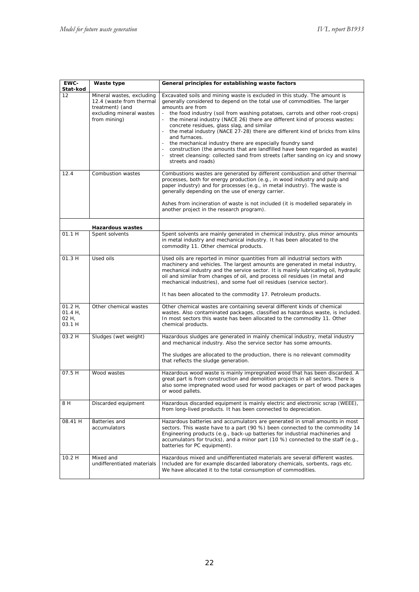| EWC-<br>Stat-kod                            | Waste type                                                                                                           | General principles for establishing waste factors                                                                                                                                                                                                                                                                                                                                                                                                                                                                                                                                                                                                                                                                                                               |
|---------------------------------------------|----------------------------------------------------------------------------------------------------------------------|-----------------------------------------------------------------------------------------------------------------------------------------------------------------------------------------------------------------------------------------------------------------------------------------------------------------------------------------------------------------------------------------------------------------------------------------------------------------------------------------------------------------------------------------------------------------------------------------------------------------------------------------------------------------------------------------------------------------------------------------------------------------|
| 12                                          | Mineral wastes, excluding<br>12.4 (waste from thermal<br>treatment) (and<br>excluding mineral wastes<br>from mining) | Excavated soils and mining waste is excluded in this study. The amount is<br>generally considered to depend on the total use of commodities. The larger<br>amounts are from<br>the food industry (soil from washing potatoes, carrots and other root-crops)<br>the mineral industry (NACE 26) there are different kind of process wastes:<br>concrete residues, glass slag, and similar<br>the metal industry (NACE 27-28) there are different kind of bricks from kilns<br>and furnaces.<br>the mechanical industry there are especially foundry sand<br>- construction (the amounts that are landfilled have been regarded as waste)<br>street cleansing: collected sand from streets (after sanding on icy and snowy<br>$\blacksquare$<br>streets and roads) |
| 12.4                                        | Combustion wastes                                                                                                    | Combustions wastes are generated by different combustion and other thermal<br>processes, both for energy production (e.g., in wood industry and pulp and<br>paper industry) and for processes (e.g., in metal industry). The waste is<br>generally depending on the use of energy carrier.<br>Ashes from incineration of waste is not included (it is modelled separately in<br>another project in the research program).                                                                                                                                                                                                                                                                                                                                       |
|                                             | <b>Hazardous wastes</b>                                                                                              |                                                                                                                                                                                                                                                                                                                                                                                                                                                                                                                                                                                                                                                                                                                                                                 |
| 01.1 H                                      | Spent solvents                                                                                                       | Spent solvents are mainly generated in chemical industry, plus minor amounts<br>in metal industry and mechanical industry. It has been allocated to the<br>commodity 11. Other chemical products.                                                                                                                                                                                                                                                                                                                                                                                                                                                                                                                                                               |
| 01.3 H                                      | Used oils                                                                                                            | Used oils are reported in minor quantities from all industrial sectors with<br>machinery and vehicles. The largest amounts are generated in metal industry,<br>mechanical industry and the service sector. It is mainly lubricating oil, hydraulic<br>oil and similar from changes of oil, and process oil residues (in metal and<br>mechanical industries), and some fuel oil residues (service sector).<br>It has been allocated to the commodity 17. Petroleum products.                                                                                                                                                                                                                                                                                     |
| $01.2 H$ ,<br>$01.4 H$ ,<br>02 H,<br>03.1 H | Other chemical wastes                                                                                                | Other chemical wastes are containing several different kinds of chemical<br>wastes. Also contaminated packages, classified as hazardous waste, is included.<br>In most sectors this waste has been allocated to the commodity 11. Other<br>chemical products.                                                                                                                                                                                                                                                                                                                                                                                                                                                                                                   |
| 03.2H                                       | Sludges (wet weight)                                                                                                 | Hazardous sludges are generated in mainly chemical industry, metal industry<br>and mechanical industry. Also the service sector has some amounts.<br>The sludges are allocated to the production, there is no relevant commodity<br>that reflects the sludge generation.                                                                                                                                                                                                                                                                                                                                                                                                                                                                                        |
| 07.5 H                                      | Wood wastes                                                                                                          | Hazardous wood waste is mainly impregnated wood that has been discarded. A<br>great part is from construction and demolition projects in all sectors. There is<br>also some impregnated wood used for wood packages or part of wood packages<br>or wood pallets.                                                                                                                                                                                                                                                                                                                                                                                                                                                                                                |
| 8 H                                         | Discarded equipment                                                                                                  | Hazardous discarded equipment is mainly electric and electronic scrap (WEEE),<br>from long-lived products. It has been connected to depreciation.                                                                                                                                                                                                                                                                                                                                                                                                                                                                                                                                                                                                               |
| 08.41 H                                     | Batteries and<br>accumulators                                                                                        | Hazardous batteries and accumulators are generated in small amounts in most<br>sectors. This waste have to a part (90 %) been connected to the commodity 14<br>Engineering products (e.g., back-up batteries for industrial machineries and<br>accumulators for trucks), and a minor part (10 %) connected to the staff (e.g.,<br>batteries for PC equipment).                                                                                                                                                                                                                                                                                                                                                                                                  |
| 10.2 H                                      | Mixed and<br>undifferentiated materials                                                                              | Hazardous mixed and undifferentiated materials are several different wastes.<br>Included are for example discarded laboratory chemicals, sorbents, rags etc.<br>We have allocated it to the total consumption of commodities.                                                                                                                                                                                                                                                                                                                                                                                                                                                                                                                                   |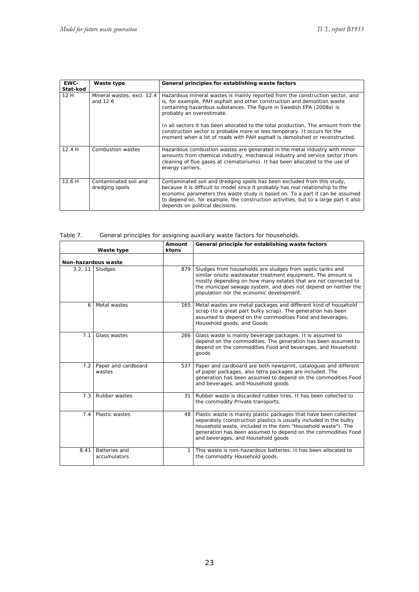٦

| EWC-<br>Stat-kod | Waste type                               | General principles for establishing waste factors                                                                                                                                                                                                                                                                                                                      |
|------------------|------------------------------------------|------------------------------------------------------------------------------------------------------------------------------------------------------------------------------------------------------------------------------------------------------------------------------------------------------------------------------------------------------------------------|
| 12H              | Mineral wastes, excl. 12.4<br>and 12.6   | Hazardous mineral wastes is mainly reported from the construction sector, and<br>is, for example, PAH asphalt and other construction and demolition waste<br>containing hazardous substances. The figure in Swedish EPA (2008a) is<br>probably an overestimate.                                                                                                        |
|                  |                                          | In all sectors it has been allocated to the total production. The amount from the<br>construction sector is probable more or less temporary. It occurs for the<br>moment when a lot of roads with PAH asphalt is demolished or reconstructed.                                                                                                                          |
| 12.4H            | Combustion wastes                        | Hazardous combustion wastes are generated in the metal industry with minor<br>amounts from chemical industry, mechanical industry and service sector (from<br>cleaning of flue gases at crematoriums). It has been allocated to the use of<br>energy carriers.                                                                                                         |
| 12.6H            | Contaminated soil and<br>dredging spoils | Contaminated soil and dredging spoils has been excluded from this study,<br>because it is difficult to model since it probably has real relationship to the<br>economic parameters this waste study is based on. To a part it can be assumed<br>to depend on, for example, the construction activities, but to a large part it also<br>depends on political decisions. |

| Table 7. | General principles for assigning auxiliary waste factors for households. |  |
|----------|--------------------------------------------------------------------------|--|
|----------|--------------------------------------------------------------------------|--|

| Waste type          |                               | Amount<br>ktons | General principle for establishing waste factors                                                                                                                                                                                                                                                                |
|---------------------|-------------------------------|-----------------|-----------------------------------------------------------------------------------------------------------------------------------------------------------------------------------------------------------------------------------------------------------------------------------------------------------------|
| Non-hazardous waste |                               |                 |                                                                                                                                                                                                                                                                                                                 |
| 3.2.11              | Sludges                       | 879             | Sludges from households are sludges from septic tanks and<br>similar onsite wastewater treatment equipment. The amount is<br>mostly depending on how many estates that are not connected to<br>the municipal sewage system, and does not depend on neither the<br>population nor the economic development.      |
| 6                   | Metal wastes                  | 165             | Metal wastes are metal packages and different kind of household<br>scrap (to a great part bulky scrap). The generation has been<br>assumed to depend on the commodities Food and beverages,<br>Household goods, and Goods                                                                                       |
| 7.1                 | Glass wastes                  | 266             | Glass waste is mainly beverage packages. It is assumed to<br>depend on the commodities. The generation has been assumed to<br>depend on the commodities Food and beverages, and Household<br>goods                                                                                                              |
| 7.2                 | Paper and cardboard<br>wastes | 537             | Paper and cardboard are both newsprint, catalogues and different<br>of paper packages, also tetra packages are included. The<br>generation has been assumed to depend on the commodities Food<br>and beverages, and Household goods                                                                             |
| 7.3                 | Rubber wastes                 | 31              | Rubber waste is discarded rubber tires. It has been collected to<br>the commodity Private transports.                                                                                                                                                                                                           |
| 7.4                 | Plastic wastes                | 48              | Plastic waste is mainly plastic packages that have been collected<br>separately (construction plastics is usually included in the bulky<br>household waste, included in the item "Household waste"). The<br>generation has been assumed to depend on the commodities Food<br>and beverages, and Household goods |
| 8.41                | Batteries and<br>accumulators | 1               | This waste is non-hazardous batteries. It has been allocated to<br>the commodity Household goods.                                                                                                                                                                                                               |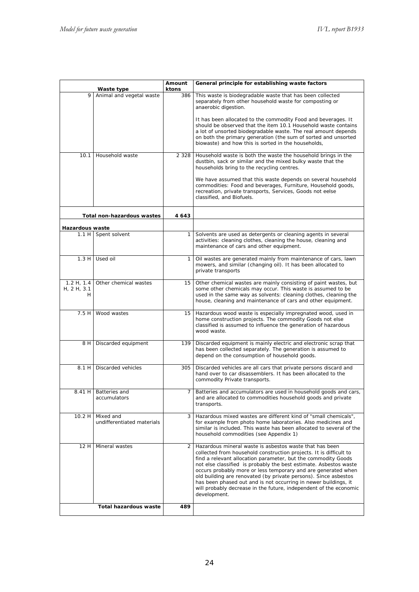| Waste type                    |                                         | Amount<br>ktons | General principle for establishing waste factors                                                                                                                                                                                                                                                                                                                                                                                                                                                                                                                |  |  |  |
|-------------------------------|-----------------------------------------|-----------------|-----------------------------------------------------------------------------------------------------------------------------------------------------------------------------------------------------------------------------------------------------------------------------------------------------------------------------------------------------------------------------------------------------------------------------------------------------------------------------------------------------------------------------------------------------------------|--|--|--|
| 9                             | Animal and vegetal waste                | 386             | This waste is biodegradable waste that has been collected<br>separately from other household waste for composting or<br>anaerobic digestion.<br>It has been allocated to the commodity Food and beverages. It                                                                                                                                                                                                                                                                                                                                                   |  |  |  |
|                               |                                         |                 | should be observed that the item 10.1 Household waste contains<br>a lot of unsorted biodegradable waste. The real amount depends<br>on both the primary generation (the sum of sorted and unsorted<br>biowaste) and how this is sorted in the households,                                                                                                                                                                                                                                                                                                       |  |  |  |
| 10.1                          | Household waste                         | 2 3 2 8         | Household waste is both the waste the household brings in the<br>dustbin, sack or similar and the mixed bulky waste that the<br>households bring to the recycling centres.                                                                                                                                                                                                                                                                                                                                                                                      |  |  |  |
|                               |                                         |                 | We have assumed that this waste depends on several household<br>commodities: Food and beverages, Furniture, Household goods,<br>recreation, private transports, Services, Goods not eelse<br>classified, and Biofuels.                                                                                                                                                                                                                                                                                                                                          |  |  |  |
|                               | Total non-hazardous wastes              | 4643            |                                                                                                                                                                                                                                                                                                                                                                                                                                                                                                                                                                 |  |  |  |
| Hazardous waste               |                                         |                 |                                                                                                                                                                                                                                                                                                                                                                                                                                                                                                                                                                 |  |  |  |
| 1.1H                          | Spent solvent                           | 1               | Solvents are used as detergents or cleaning agents in several<br>activities: cleaning clothes, cleaning the house, cleaning and<br>maintenance of cars and other equipment.                                                                                                                                                                                                                                                                                                                                                                                     |  |  |  |
| 1.3H                          | Used oil                                | 1               | Oil wastes are generated mainly from maintenance of cars, lawn<br>mowers, and similar (changing oil). It has been allocated to<br>private transports                                                                                                                                                                                                                                                                                                                                                                                                            |  |  |  |
| 1.2 H, 1.4<br>H, 2H, 3.1<br>н | Other chemical wastes                   | 15              | Other chemical wastes are mainly consisting of paint wastes, but<br>some other chemicals may occur. This waste is assumed to be<br>used in the same way as solvents: cleaning clothes, cleaning the<br>house, cleaning and maintenance of cars and other equipment.                                                                                                                                                                                                                                                                                             |  |  |  |
| 7.5H                          | Wood wastes                             | 15              | Hazardous wood waste is especially impregnated wood, used in<br>home construction projects. The commodity Goods not else<br>classified is assumed to influence the generation of hazardous<br>wood waste.                                                                                                                                                                                                                                                                                                                                                       |  |  |  |
| 8 H                           | Discarded equipment                     | 139             | Discarded equipment is mainly electric and electronic scrap that<br>has been collected separately. The generation is assumed to<br>depend on the consumption of household goods.                                                                                                                                                                                                                                                                                                                                                                                |  |  |  |
| 8.1 H                         | Discarded vehicles                      | 305             | Discarded vehicles are all cars that private persons discard and<br>hand over to car disassemblers. It has been allocated to the<br>commodity Private transports.                                                                                                                                                                                                                                                                                                                                                                                               |  |  |  |
|                               | 8.41 H   Batteries and<br>accumulators  | 7               | Batteries and accumulators are used in household goods and cars,<br>and are allocated to commodities household goods and private<br>transports.                                                                                                                                                                                                                                                                                                                                                                                                                 |  |  |  |
| 10.2H                         | Mixed and<br>undifferentiated materials | 3               | Hazardous mixed wastes are different kind of "small chemicals",<br>for example from photo home laboratories. Also medicines and<br>similar is included. This waste has been allocated to several of the<br>household commodities (see Appendix 1)                                                                                                                                                                                                                                                                                                               |  |  |  |
| 12 H                          | Mineral wastes                          | 2               | Hazardous mineral waste is asbestos waste that has been<br>collected from household construction projects. It is difficult to<br>find a relevant allocation parameter, but the commodity Goods<br>not else classified is probably the best estimate. Asbestos waste<br>occurs probably more or less temporary and are generated when<br>old building are renovated (by private persons). Since asbestos<br>has been phased out and is not occurring in newer buildings, it<br>will probably decrease in the future, independent of the economic<br>development. |  |  |  |
|                               | <b>Total hazardous waste</b>            | 489             |                                                                                                                                                                                                                                                                                                                                                                                                                                                                                                                                                                 |  |  |  |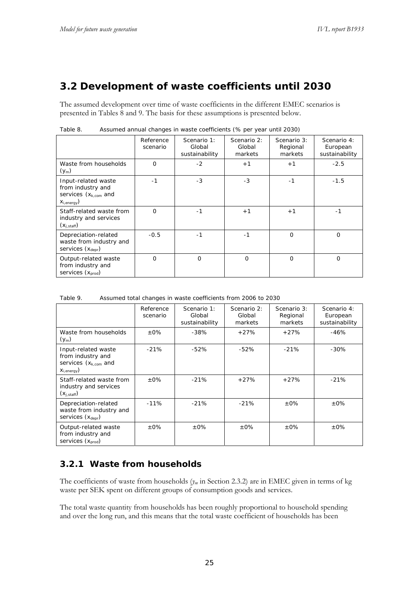## **3.2 Development of waste coefficients until 2030**

The assumed development over time of waste coefficients in the different EMEC scenarios is presented in Tables 8 and 9. The basis for these assumptions is presented below.

|                                                                                            | Reference<br>scenario | Scenario 1:<br>Global<br>sustainability | Scenario 2:<br>Global<br>markets | Scenario 3:<br>Regional<br>markets | Scenario 4:<br>European<br>sustainability |
|--------------------------------------------------------------------------------------------|-----------------------|-----------------------------------------|----------------------------------|------------------------------------|-------------------------------------------|
| Waste from households<br>$(y_m)$                                                           | $\Omega$              | $-2$                                    | $+1$                             | $+1$                               | $-2.5$                                    |
| Input-related waste<br>from industry and<br>services $(x_{k,com}$ and<br>$X_{i, energy}$ ) | $-1$                  | $-3$                                    | $-3$                             | $-1$                               | $-1.5$                                    |
| Staff-related waste from<br>industry and services<br>$(X_{i,stat})$                        | $\Omega$              | $-1$                                    | $+1$                             | $+1$                               | $-1$                                      |
| Depreciation-related<br>waste from industry and<br>services $(x_{deor})$                   | $-0.5$                | $-1$                                    | $-1$                             | $\Omega$                           | $\Omega$                                  |
| Output-related waste<br>from industry and<br>services $(x_{prod})$                         | 0                     | $\Omega$                                | $\mathbf 0$                      | $\Omega$                           | 0                                         |

Table 8. Assumed annual changes in waste coefficients (% per year until 2030)

Table 9. Assumed total changes in waste coefficients from 2006 to 2030

|                                                                                            | Reference<br>scenario | Scenario 1:<br>Global<br>sustainability | Scenario 2:<br>Global<br>markets | Scenario 3:<br>Regional<br>markets | Scenario 4:<br>European<br>sustainability |
|--------------------------------------------------------------------------------------------|-----------------------|-----------------------------------------|----------------------------------|------------------------------------|-------------------------------------------|
| Waste from households<br>$(y_m)$                                                           | $+0\%$                | $-38%$                                  | $+27%$                           | $+27%$                             | $-46%$                                    |
| Input-related waste<br>from industry and<br>services $(x_{k,com}$ and<br>$X_{i, energy}$ ) | $-21%$                | $-52%$                                  | $-52%$                           | $-21%$                             | $-30%$                                    |
| Staff-related waste from<br>industry and services<br>$(X_{i,stat})$                        | $+0\%$                | $-21%$                                  | $+27%$                           | $+27%$                             | $-21%$                                    |
| Depreciation-related<br>waste from industry and<br>services $(x_{deor})$                   | $-11%$                | $-21%$                                  | $-21%$                           | $+0\%$                             | $+0\%$                                    |
| Output-related waste<br>from industry and<br>services $(x_{\text{prod}})$                  | $+0\%$                | $+0\%$                                  | $+0\%$                           | $+0\%$                             | $+0\%$                                    |

### **3.2.1 Waste from households**

The coefficients of waste from households (*ym* in Section 2.3.2) are in EMEC given in terms of kg waste per SEK spent on different groups of consumption goods and services.

The total waste quantity from households has been roughly proportional to household spending and over the long run, and this means that the total waste coefficient of households has been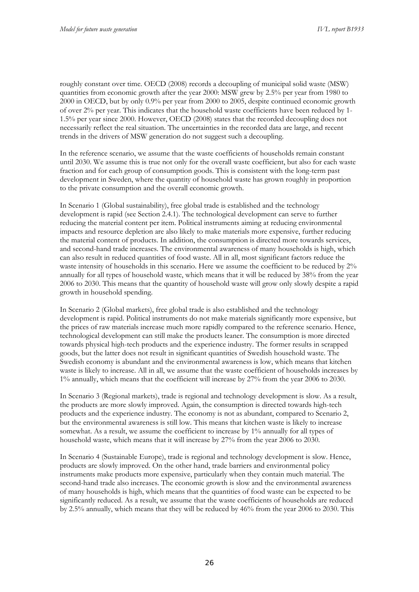roughly constant over time. OECD (2008) records a decoupling of municipal solid waste (MSW) quantities from economic growth after the year 2000: MSW grew by 2.5% per year from 1980 to 2000 in OECD, but by only 0.9% per year from 2000 to 2005, despite continued economic growth of over 2% per year. This indicates that the household waste coefficients have been reduced by 1- 1.5% per year since 2000. However, OECD (2008) states that the recorded decoupling does not necessarily reflect the real situation. The uncertainties in the recorded data are large, and recent trends in the drivers of MSW generation do not suggest such a decoupling.

In the reference scenario, we assume that the waste coefficients of households remain constant until 2030. We assume this is true not only for the overall waste coefficient, but also for each waste fraction and for each group of consumption goods. This is consistent with the long-term past development in Sweden, where the quantity of household waste has grown roughly in proportion to the private consumption and the overall economic growth.

In Scenario 1 (Global sustainability), free global trade is established and the technology development is rapid (see Section 2.4.1). The technological development can serve to further reducing the material content per item. Political instruments aiming at reducing environmental impacts and resource depletion are also likely to make materials more expensive, further reducing the material content of products. In addition, the consumption is directed more towards services, and second-hand trade increases. The environmental awareness of many households is high, which can also result in reduced quantities of food waste. All in all, most significant factors reduce the waste intensity of households in this scenario. Here we assume the coefficient to be reduced by 2% annually for all types of household waste, which means that it will be reduced by 38% from the year 2006 to 2030. This means that the quantity of household waste will grow only slowly despite a rapid growth in household spending.

In Scenario 2 (Global markets), free global trade is also established and the technology development is rapid. Political instruments do not make materials significantly more expensive, but the prices of raw materials increase much more rapidly compared to the reference scenario. Hence, technological development can still make the products leaner. The consumption is more directed towards physical high-tech products and the experience industry. The former results in scrapped goods, but the latter does not result in significant quantities of Swedish household waste. The Swedish economy is abundant and the environmental awareness is low, which means that kitchen waste is likely to increase. All in all, we assume that the waste coefficient of households increases by 1% annually, which means that the coefficient will increase by 27% from the year 2006 to 2030.

In Scenario 3 (Regional markets), trade is regional and technology development is slow. As a result, the products are more slowly improved. Again, the consumption is directed towards high-tech products and the experience industry. The economy is not as abundant, compared to Scenario 2, but the environmental awareness is still low. This means that kitchen waste is likely to increase somewhat. As a result, we assume the coefficient to increase by 1% annually for all types of household waste, which means that it will increase by 27% from the year 2006 to 2030.

In Scenario 4 (Sustainable Europe), trade is regional and technology development is slow. Hence, products are slowly improved. On the other hand, trade barriers and environmental policy instruments make products more expensive, particularly when they contain much material. The second-hand trade also increases. The economic growth is slow and the environmental awareness of many households is high, which means that the quantities of food waste can be expected to be significantly reduced. As a result, we assume that the waste coefficients of households are reduced by 2.5% annually, which means that they will be reduced by 46% from the year 2006 to 2030. This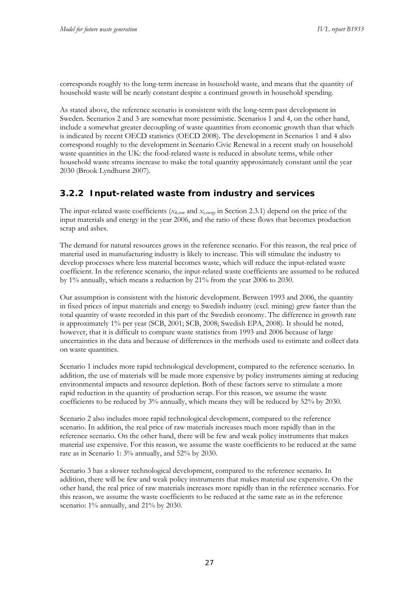corresponds roughly to the long-term increase in household waste, and means that the quantity of household waste will be nearly constant despite a continued growth in household spending.

As stated above, the reference scenario is consistent with the long-term past development in Sweden. Scenarios 2 and 3 are somewhat more pessimistic. Scenarios 1 and 4, on the other hand, include a somewhat greater decoupling of waste quantities from economic growth than that which is indicated by recent OECD statistics (OECD 2008). The development in Scenarios 1 and 4 also correspond roughly to the development in Scenario Civic Renewal in a recent study on household waste quantities in the UK: the food-related waste is reduced in absolute terms, while other household waste streams increase to make the total quantity approximately constant until the year 2030 (Brook Lyndhurst 2007).

## **3.2.2 Input-related waste from industry and services**

The input-related waste coefficients (*xk,com* and *xi,energy* in Section 2.3.1) depend on the price of the input materials and energy in the year 2006, and the ratio of these flows that becomes production scrap and ashes.

The demand for natural resources grows in the reference scenario. For this reason, the real price of material used in manufacturing industry is likely to increase. This will stimulate the industry to develop processes where less material becomes waste, which will reduce the input-related waste coefficient. In the reference scenario, the input-related waste coefficients are assumed to be reduced by 1% annually, which means a reduction by 21% from the year 2006 to 2030.

Our assumption is consistent with the historic development. Between 1993 and 2006, the quantity in fixed prices of input materials and energy to Swedish industry (excl. mining) grew faster than the total quantity of waste recorded in this part of the Swedish economy. The difference in growth rate is approximately 1% per year (SCB, 2001; SCB, 2008; Swedish EPA, 2008). It should be noted, however, that it is difficult to compare waste statistics from 1993 and 2006 because of large uncertainties in the data and because of differences in the methods used to estimate and collect data on waste quantities.

Scenario 1 includes more rapid technological development, compared to the reference scenario. In addition, the use of materials will be made more expensive by policy instruments aiming at reducing environmental impacts and resource depletion. Both of these factors serve to stimulate a more rapid reduction in the quantity of production scrap. For this reason, we assume the waste coefficients to be reduced by 3% annually, which means they will be reduced by 52% by 2030.

Scenario 2 also includes more rapid technological development, compared to the reference scenario. In addition, the real price of raw materials increases much more rapidly than in the reference scenario. On the other hand, there will be few and weak policy instruments that makes material use expensive. For this reason, we assume the waste coefficients to be reduced at the same rate as in Scenario 1: 3% annually, and 52% by 2030.

Scenario 3 has a slower technological development, compared to the reference scenario. In addition, there will be few and weak policy instruments that makes material use expensive. On the other hand, the real price of raw materials increases more rapidly than in the reference scenario. For this reason, we assume the waste coefficients to be reduced at the same rate as in the reference scenario: 1% annually, and 21% by 2030.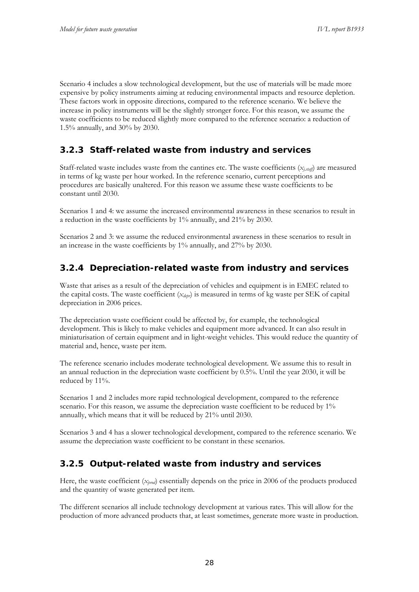Scenario 4 includes a slow technological development, but the use of materials will be made more expensive by policy instruments aiming at reducing environmental impacts and resource depletion. These factors work in opposite directions, compared to the reference scenario. We believe the increase in policy instruments will be the slightly stronger force. For this reason, we assume the waste coefficients to be reduced slightly more compared to the reference scenario: a reduction of 1.5% annually, and 30% by 2030.

## **3.2.3 Staff-related waste from industry and services**

Staff-related waste includes waste from the cantines etc. The waste coefficients  $(x_{i,stat})$  are measured in terms of kg waste per hour worked. In the reference scenario, current perceptions and procedures are basically unaltered. For this reason we assume these waste coefficients to be constant until 2030.

Scenarios 1 and 4: we assume the increased environmental awareness in these scenarios to result in a reduction in the waste coefficients by 1% annually, and 21% by 2030.

Scenarios 2 and 3: we assume the reduced environmental awareness in these scenarios to result in an increase in the waste coefficients by 1% annually, and 27% by 2030.

## **3.2.4 Depreciation-related waste from industry and services**

Waste that arises as a result of the depreciation of vehicles and equipment is in EMEC related to the capital costs. The waste coefficient (*xdepr*) is measured in terms of kg waste per SEK of capital depreciation in 2006 prices.

The depreciation waste coefficient could be affected by, for example, the technological development. This is likely to make vehicles and equipment more advanced. It can also result in miniaturisation of certain equipment and in light-weight vehicles. This would reduce the quantity of material and, hence, waste per item.

The reference scenario includes moderate technological development. We assume this to result in an annual reduction in the depreciation waste coefficient by 0.5%. Until the year 2030, it will be reduced by 11%.

Scenarios 1 and 2 includes more rapid technological development, compared to the reference scenario. For this reason, we assume the depreciation waste coefficient to be reduced by 1% annually, which means that it will be reduced by 21% until 2030.

Scenarios 3 and 4 has a slower technological development, compared to the reference scenario. We assume the depreciation waste coefficient to be constant in these scenarios.

## **3.2.5 Output-related waste from industry and services**

Here, the waste coefficient (*xprod*) essentially depends on the price in 2006 of the products produced and the quantity of waste generated per item.

The different scenarios all include technology development at various rates. This will allow for the production of more advanced products that, at least sometimes, generate more waste in production.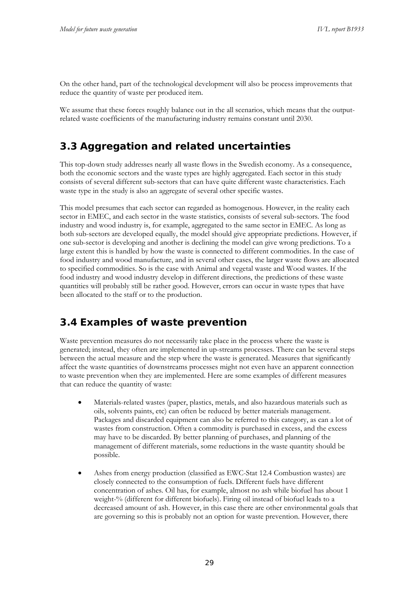On the other hand, part of the technological development will also be process improvements that reduce the quantity of waste per produced item.

We assume that these forces roughly balance out in the all scenarios, which means that the outputrelated waste coefficients of the manufacturing industry remains constant until 2030.

## **3.3 Aggregation and related uncertainties**

This top-down study addresses nearly all waste flows in the Swedish economy. As a consequence, both the economic sectors and the waste types are highly aggregated. Each sector in this study consists of several different sub-sectors that can have quite different waste characteristics. Each waste type in the study is also an aggregate of several other specific wastes.

This model presumes that each sector can regarded as homogenous. However, in the reality each sector in EMEC, and each sector in the waste statistics, consists of several sub-sectors. The food industry and wood industry is, for example, aggregated to the same sector in EMEC. As long as both sub-sectors are developed equally, the model should give appropriate predictions. However, if one sub-sector is developing and another is declining the model can give wrong predictions. To a large extent this is handled by how the waste is connected to different commodities. In the case of food industry and wood manufacture, and in several other cases, the larger waste flows are allocated to specified commodities. So is the case with Animal and vegetal waste and Wood wastes. If the food industry and wood industry develop in different directions, the predictions of these waste quantities will probably still be rather good. However, errors can occur in waste types that have been allocated to the staff or to the production.

## **3.4 Examples of waste prevention**

Waste prevention measures do not necessarily take place in the process where the waste is generated; instead, they often are implemented in up-streams processes. There can be several steps between the actual measure and the step where the waste is generated. Measures that significantly affect the waste quantities of downstreams processes might not even have an apparent connection to waste prevention when they are implemented. Here are some examples of different measures that can reduce the quantity of waste:

- Materials-related wastes (paper, plastics, metals, and also hazardous materials such as oils, solvents paints, etc) can often be reduced by better materials management. Packages and discarded equipment can also be referred to this category, as can a lot of wastes from construction. Often a commodity is purchased in excess, and the excess may have to be discarded. By better planning of purchases, and planning of the management of different materials, some reductions in the waste quantity should be possible.
- Ashes from energy production (classified as EWC-Stat 12.4 Combustion wastes) are closely connected to the consumption of fuels. Different fuels have different concentration of ashes. Oil has, for example, almost no ash while biofuel has about 1 weight-% (different for different biofuels). Firing oil instead of biofuel leads to a decreased amount of ash. However, in this case there are other environmental goals that are governing so this is probably not an option for waste prevention. However, there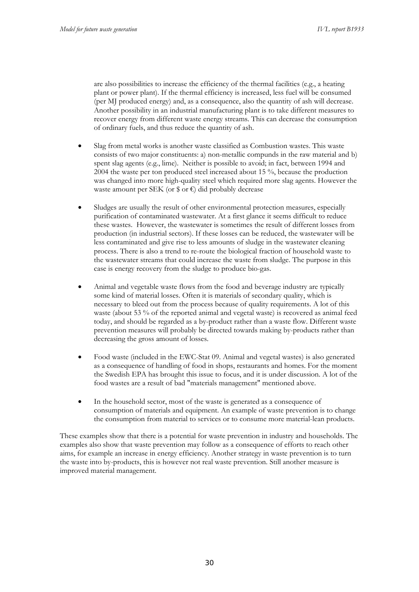are also possibilities to increase the efficiency of the thermal facilities (e.g., a heating plant or power plant). If the thermal efficiency is increased, less fuel will be consumed (per MJ produced energy) and, as a consequence, also the quantity of ash will decrease. Another possibility in an industrial manufacturing plant is to take different measures to recover energy from different waste energy streams. This can decrease the consumption of ordinary fuels, and thus reduce the quantity of ash.

- Slag from metal works is another waste classified as Combustion wastes. This waste consists of two major constituents: a) non-metallic compunds in the raw material and b) spent slag agents (e.g., lime). Neither is possible to avoid; in fact, between 1994 and 2004 the waste per ton produced steel increased about 15 %, because the production was changed into more high-quality steel which required more slag agents. However the waste amount per SEK (or  $\gamma$  or  $\epsilon$ ) did probably decrease
- Sludges are usually the result of other environmental protection measures, especially purification of contaminated wastewater. At a first glance it seems difficult to reduce these wastes. However, the wastewater is sometimes the result of different losses from production (in industrial sectors). If these losses can be reduced, the wastewater will be less contaminated and give rise to less amounts of sludge in the wastewater cleaning process. There is also a trend to re-route the biological fraction of household waste to the wastewater streams that could increase the waste from sludge. The purpose in this case is energy recovery from the sludge to produce bio-gas.
- Animal and vegetable waste flows from the food and beverage industry are typically some kind of material losses. Often it is materials of secondary quality, which is necessary to bleed out from the process because of quality requirements. A lot of this waste (about 53 % of the reported animal and vegetal waste) is recovered as animal feed today, and should be regarded as a by-product rather than a waste flow. Different waste prevention measures will probably be directed towards making by-products rather than decreasing the gross amount of losses.
- Food waste (included in the EWC-Stat 09. Animal and vegetal wastes) is also generated as a consequence of handling of food in shops, restaurants and homes. For the moment the Swedish EPA has brought this issue to focus, and it is under discussion. A lot of the food wastes are a result of bad "materials management" mentioned above.
- In the household sector, most of the waste is generated as a consequence of consumption of materials and equipment. An example of waste prevention is to change the consumption from material to services or to consume more material-lean products.

These examples show that there is a potential for waste prevention in industry and households. The examples also show that waste prevention may follow as a consequence of efforts to reach other aims, for example an increase in energy efficiency. Another strategy in waste prevention is to turn the waste into by-products, this is however not real waste prevention. Still another measure is improved material management.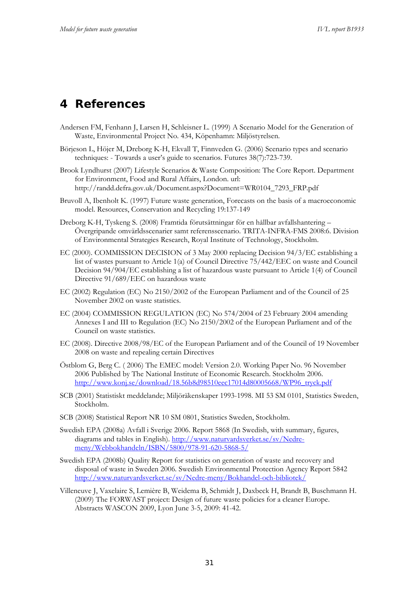# **4 References**

- Andersen FM, Fenhann J, Larsen H, Schleisner L. (1999) A Scenario Model for the Generation of Waste, Environmental Project No. 434, Köpenhamn: Miljöstyrelsen.
- Börjeson L, Höjer M, Dreborg K-H, Ekvall T, Finnveden G. (2006) Scenario types and scenario techniques: - Towards a user's guide to scenarios. Futures 38(7):723-739.
- Brook Lyndhurst (2007) Lifestyle Scenarios & Waste Composition: The Core Report. Department for Environment, Food and Rural Affairs, London. url: http://randd.defra.gov.uk/Document.aspx?Document=WR0104\_7293\_FRP.pdf
- Bruvoll A, Ibenholt K. (1997) Future waste generation, Forecasts on the basis of a macroeconomic model. Resources, Conservation and Recycling 19:137-149
- Dreborg K-H, Tyskeng S. (2008) Framtida förutsättningar för en hållbar avfallshantering Övergripande omvärldsscenarier samt referensscenario. TRITA-INFRA-FMS 2008:6. Division of Environmental Strategies Research, Royal Institute of Technology, Stockholm.
- EC (2000). COMMISSION DECISION of 3 May 2000 replacing Decision 94/3/EC establishing a list of wastes pursuant to Article 1(a) of Council Directive 75/442/EEC on waste and Council Decision 94/904/EC establishing a list of hazardous waste pursuant to Article 1(4) of Council Directive 91/689/EEC on hazardous waste
- EC (2002) Regulation (EC) No 2150/2002 of the European Parliament and of the Council of 25 November 2002 on waste statistics.
- EC (2004) COMMISSION REGULATION (EC) No 574/2004 of 23 February 2004 amending Annexes I and III to Regulation (EC) No 2150/2002 of the European Parliament and of the Council on waste statistics.
- EC (2008). Directive 2008/98/EC of the European Parliament and of the Council of 19 November 2008 on waste and repealing certain Directives
- Östblom G, Berg C. ( 2006) The EMEC model: Version 2.0. Working Paper No. 96 November 2006 Published by The National Institute of Economic Research. Stockholm 2006. http://www.konj.se/download/18.56b8d98510eec17014d80005668/WP96\_tryck.pdf
- SCB (2001) Statistiskt meddelande; Miljöräkenskaper 1993-1998. MI 53 SM 0101, Statistics Sweden, Stockholm.
- SCB (2008) Statistical Report NR 10 SM 0801, Statistics Sweden, Stockholm.
- Swedish EPA (2008a) Avfall i Sverige 2006. Report 5868 (In Swedish, with summary, figures, diagrams and tables in English). http://www.naturvardsverket.se/sv/Nedremeny/Webbokhandeln/ISBN/5800/978-91-620-5868-5/
- Swedish EPA (2008b) Quality Report for statistics on generation of waste and recovery and disposal of waste in Sweden 2006. Swedish Environmental Protection Agency Report 5842 http://www.naturvardsverket.se/sv/Nedre-meny/Bokhandel-och-bibliotek/
- Villeneuve J, Vaxelaire S, Lemière B, Weidema B, Schmidt J, Daxbeck H, Brandt B, Buschmann H. (2009) The FORWAST project: Design of future waste policies for a cleaner Europe. Abstracts WASCON 2009, Lyon June 3-5, 2009: 41-42.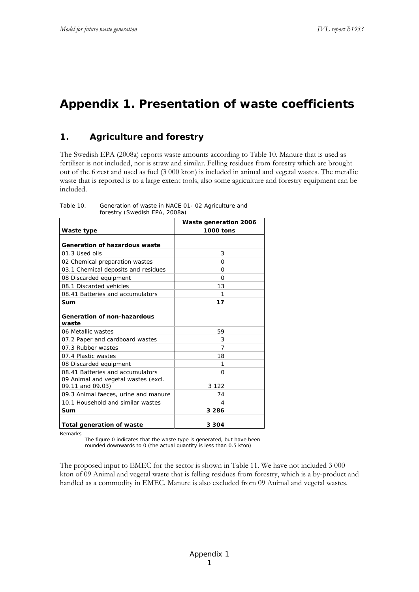# **Appendix 1. Presentation of waste coefficients**

#### **1. Agriculture and forestry**

The Swedish EPA (2008a) reports waste amounts according to Table 10. Manure that is used as fertiliser is not included, nor is straw and similar. Felling residues from forestry which are brought out of the forest and used as fuel (3 000 kton) is included in animal and vegetal wastes. The metallic waste that is reported is to a large extent tools, also some agriculture and forestry equipment can be included.

|                                      | Waste generation 2006 |
|--------------------------------------|-----------------------|
| Waste type                           | 1000 tons             |
|                                      |                       |
| Generation of hazardous waste        |                       |
| 01.3 Used oils                       | 3                     |
| 02 Chemical preparation wastes       | O                     |
| 03.1 Chemical deposits and residues  | $\Omega$              |
| 08 Discarded equipment               | $\Omega$              |
| 08.1 Discarded vehicles              | 13                    |
| 08.41 Batteries and accumulators     | 1                     |
| Sum                                  | 17                    |
|                                      |                       |
| Generation of non-hazardous          |                       |
| waste                                |                       |
| 06 Metallic wastes                   | 59                    |
| 07.2 Paper and cardboard wastes      | 3                     |
| 07.3 Rubber wastes                   | 7                     |
| 07.4 Plastic wastes                  | 18                    |
| 08 Discarded equipment               | 1                     |
| 08.41 Batteries and accumulators     | O                     |
| 09 Animal and vegetal wastes (excl.  |                       |
| 09.11 and 09.03)                     | 3 1 2 2               |
| 09.3 Animal faeces, urine and manure | 74                    |
| 10.1 Household and similar wastes    | 4                     |
| Sum                                  | 3 2 8 6               |
|                                      |                       |
| Total generation of waste            | 3 3 0 4               |

Table 10. Generation of waste in NACE 01- 02 Agriculture and forestry (Swedish EPA, 2008a)

Remarks

The figure 0 indicates that the waste type is generated, but have been rounded downwards to 0 (the actual quantity is less than 0.5 kton)

The proposed input to EMEC for the sector is shown in Table 11. We have not included 3 000 kton of 09 Animal and vegetal waste that is felling residues from forestry, which is a by-product and handled as a commodity in EMEC. Manure is also excluded from 09 Animal and vegetal wastes.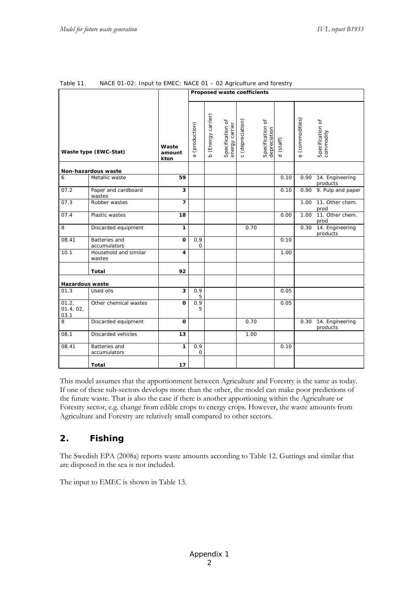|                            |                                 |                         | Proposed waste coefficients |                              |                                    |                           |                                  |                     |                           |                                  |
|----------------------------|---------------------------------|-------------------------|-----------------------------|------------------------------|------------------------------------|---------------------------|----------------------------------|---------------------|---------------------------|----------------------------------|
|                            | Waste type (EWC-Stat)           | Waste<br>amount<br>kton | (production)<br>$\omega$    | (Energy carrier)<br><u>م</u> | Specification of<br>energy carrier | (depreciation)<br>$\circ$ | Specification of<br>depreciation | (staff)<br>$\sigma$ | (commodities)<br>$\omega$ | Specification of<br>commodity    |
|                            | Non-hazardous waste             |                         |                             |                              |                                    |                           |                                  |                     |                           |                                  |
| 6                          | Metallic waste                  | 59                      |                             |                              |                                    |                           |                                  | 0.10                |                           | 0.90 14. Engineering<br>products |
| 07.2                       | Paper and cardboard<br>wastes   | $\overline{\mathbf{3}}$ |                             |                              |                                    |                           |                                  | 0.10                |                           | 0.90 9. Pulp and paper           |
| 07.3                       | Rubber wastes                   | $\overline{7}$          |                             |                              |                                    |                           |                                  |                     | 1.00                      | 11. Other chem.<br>prod          |
| 07.4                       | Plastic wastes                  | 18                      |                             |                              |                                    |                           |                                  | 0.00                | 1.00                      | 11. Other chem.<br>prod          |
| 8                          | Discarded equipment             | $\mathbf{1}$            |                             |                              |                                    | 0.70                      |                                  |                     | 0.30                      | 14. Engineering<br>products      |
| 08.41                      | Batteries and<br>accumulators   | $\mathbf{o}$            | 0.9<br>$\mathbf 0$          |                              |                                    |                           |                                  | 0.10                |                           |                                  |
| 10.1                       | Household and similar<br>wastes | 4                       |                             |                              |                                    |                           |                                  | 1.00                |                           |                                  |
|                            | Total                           | 92                      |                             |                              |                                    |                           |                                  |                     |                           |                                  |
| <b>Hazardous waste</b>     |                                 |                         |                             |                              |                                    |                           |                                  |                     |                           |                                  |
| 01.3                       | Used oils                       | 3                       | 0.9<br>5                    |                              |                                    |                           |                                  | 0.05                |                           |                                  |
| 01.2,<br>01.4, 02,<br>03.1 | Other chemical wastes           | O                       | 0.9<br>5                    |                              |                                    |                           |                                  | 0.05                |                           |                                  |
| 8                          | Discarded equipment             | $\Omega$                |                             |                              |                                    | 0.70                      |                                  |                     | 0.30                      | 14. Engineering<br>products      |
| 08.1                       | <b>Discarded vehicles</b>       | 13                      |                             |                              |                                    | 1.00                      |                                  |                     |                           |                                  |
| 08.41                      | Batteries and<br>accumulators   | $\mathbf{1}$            | 0.9<br>0                    |                              |                                    |                           |                                  | 0.10                |                           |                                  |
|                            | Total                           | 17                      |                             |                              |                                    |                           |                                  |                     |                           |                                  |

#### Table 11. NACE 01-02: Input to EMEC: NACE 01 – 02 Agriculture and forestry

This model assumes that the apportionment between Agriculture and Forestry is the same as today. If one of these sub-sectors develops more than the other, the model can make poor predictions of the future waste. That is also the case if there is another apportioning within the Agriculture or Forestry sector, e.g. change from edible crops to energy crops. However, the waste amounts from Agriculture and Forestry are relatively small compared to other sectors.

## **2. Fishing**

The Swedish EPA (2008a) reports waste amounts according to Table 12. Guttings and similar that are disposed in the sea is not included.

The input to EMEC is shown in Table 13.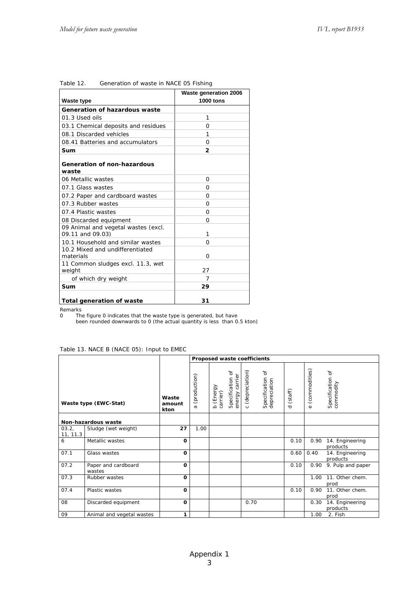| <b>Waste type</b>                                       | <b>Waste generation 2006</b><br><b>1000 tons</b> |
|---------------------------------------------------------|--------------------------------------------------|
| Generation of hazardous waste                           |                                                  |
| 01.3 Used oils                                          | 1                                                |
| 03.1 Chemical deposits and residues                     | O                                                |
| 08.1 Discarded vehicles                                 | 1                                                |
| 08.41 Batteries and accumulators                        | O                                                |
| Sum                                                     | 2                                                |
| <b>Generation of non-hazardous</b><br>waste             |                                                  |
| 06 Metallic wastes                                      | O                                                |
| 07.1 Glass wastes                                       | O                                                |
| 07.2 Paper and cardboard wastes                         | O                                                |
| 07.3 Rubber wastes                                      | O                                                |
| 07.4 Plastic wastes                                     | $\Omega$                                         |
| 08 Discarded equipment                                  | $\Omega$                                         |
| 09 Animal and vegetal wastes (excl.<br>09.11 and 09.03) | 1                                                |
| 10.1 Household and similar wastes                       | O                                                |
| 10.2 Mixed and undifferentiated<br>materials            | O                                                |
| 11 Common sludges excl. 11.3, wet<br>weight             | 27                                               |
| of which dry weight                                     | 7                                                |
| Sum                                                     | 29                                               |
| Total generation of waste                               | 31                                               |

| Table 12. | Generation of waste in NACE 05 Fishing |  |  |
|-----------|----------------------------------------|--|--|
|           |                                        |  |  |

Remarks

0 The figure 0 indicates that the waste type is generated, but have

been rounded downwards to 0 (the actual quantity is less than 0.5 kton)

#### Table 13. NACE B (NACE 05): Input to EMEC

|                   |                               |                         |                    | Proposed waste coefficients |                                         |                           |                                  |                     |                           |                                 |
|-------------------|-------------------------------|-------------------------|--------------------|-----------------------------|-----------------------------------------|---------------------------|----------------------------------|---------------------|---------------------------|---------------------------------|
|                   | Waste type (EWC-Stat)         | Waste<br>amount<br>kton | (production)<br>ω, | b (Energy<br>carrier)       | đ<br>carrier<br>Specification<br>energy | (depreciation)<br>$\circ$ | Specification of<br>depreciation | (staff)<br>$\sigma$ | (commodities)<br>$\omega$ | đ<br>Specification<br>commodity |
|                   | Non-hazardous waste           |                         |                    |                             |                                         |                           |                                  |                     |                           |                                 |
| 03.2,<br>11, 11.3 | Sludge (wet weight)           | 27                      | 1.00               |                             |                                         |                           |                                  |                     |                           |                                 |
| 6                 | Metallic wastes               | O                       |                    |                             |                                         |                           |                                  | 0.10                | 0.90                      | 14. Engineering<br>products     |
| 07.1              | Glass wastes                  | O                       |                    |                             |                                         |                           |                                  | 0.60                | 0.40                      | 14. Engineering<br>products     |
| 07.2              | Paper and cardboard<br>wastes | O                       |                    |                             |                                         |                           |                                  | 0.10                | 0.90                      | 9. Pulp and paper               |
| 07.3              | Rubber wastes                 | $\mathbf{o}$            |                    |                             |                                         |                           |                                  |                     | 1.00                      | 11. Other chem.<br>prod         |
| 07.4              | Plastic wastes                | O                       |                    |                             |                                         |                           |                                  | 0.10                | 0.90                      | 11. Other chem.<br>prod         |
| 08                | Discarded equipment           | $\Omega$                |                    |                             |                                         | 0.70                      |                                  |                     | 0.30                      | 14. Engineering<br>products     |
| 09                | Animal and vegetal wastes     | 1                       |                    |                             |                                         |                           |                                  |                     | 1.00                      | 2. Fish                         |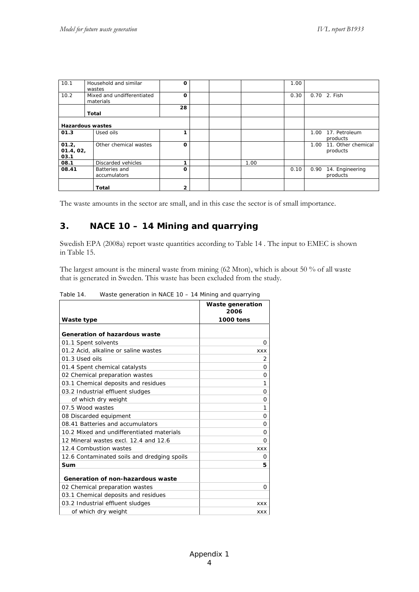| 10.1      | Household and similar      | 0            |  |      | 1.00 |          |                    |
|-----------|----------------------------|--------------|--|------|------|----------|--------------------|
|           | wastes                     |              |  |      |      |          |                    |
|           |                            |              |  |      |      |          |                    |
| 10.2      | Mixed and undifferentiated | 0            |  |      | 0.30 |          | 0.70 2. Fish       |
|           | materials                  |              |  |      |      |          |                    |
|           |                            | 28           |  |      |      |          |                    |
|           | Total                      |              |  |      |      |          |                    |
|           |                            |              |  |      |      |          |                    |
|           |                            |              |  |      |      |          |                    |
|           | <b>Hazardous wastes</b>    |              |  |      |      |          |                    |
| 01.3      | Used oils                  |              |  |      |      | 1.00     | 17. Petroleum      |
|           |                            |              |  |      |      |          | products           |
|           |                            |              |  |      |      |          |                    |
| 01.2,     | Other chemical wastes      | O            |  |      |      | $1.00 -$ | 11. Other chemical |
| 01.4, 02, |                            |              |  |      |      |          | products           |
| 03.1      |                            |              |  |      |      |          |                    |
| 08.1      | Discarded vehicles         |              |  | 1.00 |      |          |                    |
| 08.41     | Batteries and              | O            |  |      | 0.10 | 0.90     | 14. Engineering    |
|           |                            |              |  |      |      |          |                    |
|           | accumulators               |              |  |      |      |          | products           |
|           |                            |              |  |      |      |          |                    |
|           | <b>Total</b>               | $\mathbf{2}$ |  |      |      |          |                    |
|           |                            |              |  |      |      |          |                    |

The waste amounts in the sector are small, and in this case the sector is of small importance.

## **3. NACE 10 – 14 Mining and quarrying**

Swedish EPA (2008a) report waste quantities according to Table 14 . The input to EMEC is shown in Table 15.

The largest amount is the mineral waste from mining (62 Mton), which is about 50 % of all waste that is generated in Sweden. This waste has been excluded from the study.

|                                             | Waste generation<br>2006 |
|---------------------------------------------|--------------------------|
| Waste type                                  | 1000 tons                |
| Generation of hazardous waste               |                          |
| 01.1 Spent solvents                         | O                        |
| 01.2 Acid, alkaline or saline wastes        | <b>XXX</b>               |
| 01.3 Used oils                              | 2                        |
| 01.4 Spent chemical catalysts               | O                        |
| 02 Chemical preparation wastes              | O                        |
| 03.1 Chemical deposits and residues         | 1                        |
| 03.2 Industrial effluent sludges            | Ο                        |
| of which dry weight                         | Ο                        |
| 07.5 Wood wastes                            | 1                        |
| 08 Discarded equipment                      | O                        |
| 08.41 Batteries and accumulators            | O                        |
| 10.2 Mixed and undifferentiated materials   | O                        |
| 12 Mineral wastes excl. 12.4 and 12.6       | O                        |
| 12.4 Combustion wastes                      | <b>XXX</b>               |
| 12.6 Contaminated soils and dredging spoils | Ο                        |
| Sum                                         | 5                        |
|                                             |                          |
| Generation of non-hazardous waste           |                          |
| 02 Chemical preparation wastes              | O                        |
| 03.1 Chemical deposits and residues         |                          |
| 03.2 Industrial effluent sludges            | <b>XXX</b>               |
| of which dry weight                         | <b>XXX</b>               |

Table 14. Waste generation in NACE 10 – 14 Mining and quarrying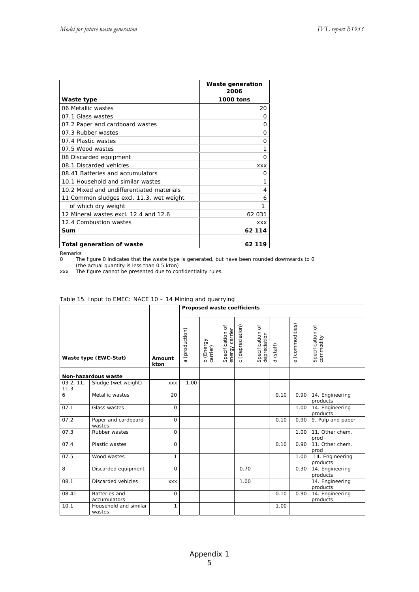|                                           | Waste generation<br>2006 |
|-------------------------------------------|--------------------------|
| Waste type                                | 1000 tons                |
| 06 Metallic wastes                        | 20                       |
| 07.1 Glass wastes                         | O                        |
| 07.2 Paper and cardboard wastes           | O                        |
| 07.3 Rubber wastes                        | O                        |
| 07.4 Plastic wastes                       | O                        |
| 07.5 Wood wastes                          | 1                        |
| 08 Discarded equipment                    | O                        |
| 08.1 Discarded vehicles                   | <b>XXX</b>               |
| 08.41 Batteries and accumulators          | O                        |
| 10.1 Household and similar wastes         | 1                        |
| 10.2 Mixed and undifferentiated materials | 4                        |
| 11 Common sludges excl. 11.3, wet weight  | 6                        |
| of which dry weight                       | 1                        |
| 12 Mineral wastes excl. 12.4 and 12.6     | 62 031                   |
| 12.4 Combustion wastes                    | <b>XXX</b>               |
| Sum                                       | 62 114                   |
| Total generation of waste                 | 62 119                   |

Remarks

0 The figure 0 indicates that the waste type is generated, but have been rounded downwards to 0 (the actual quantity is less than 0.5 kton)

xxx The figure cannot be presented due to confidentiality rules.

|                       |                                 |                | Proposed waste coefficients |                       |                                    |                  |                                    |                     |                           |                               |
|-----------------------|---------------------------------|----------------|-----------------------------|-----------------------|------------------------------------|------------------|------------------------------------|---------------------|---------------------------|-------------------------------|
| Waste type (EWC-Stat) |                                 | Amount<br>kton | (production)<br>$\sigma$    | b (Energy<br>carrier) | Specification of<br>energy carrier | c (depreciation) | ď<br>Specification<br>depreciation | (staff)<br>$\sigma$ | (commodities)<br>$\omega$ | Specification of<br>commodity |
|                       | Non-hazardous waste             |                |                             |                       |                                    |                  |                                    |                     |                           |                               |
| 03.2, 11,<br>11.3     | Sludge (wet weight)             | <b>XXX</b>     | 1.00                        |                       |                                    |                  |                                    |                     |                           |                               |
| 6                     | Metallic wastes                 | 20             |                             |                       |                                    |                  |                                    | 0.10                | 0.90                      | 14. Engineering<br>products   |
| 07.1                  | Glass wastes                    | $\Omega$       |                             |                       |                                    |                  |                                    |                     | 1.00                      | 14. Engineering<br>products   |
| 07.2                  | Paper and cardboard<br>wastes   | $\mathbf 0$    |                             |                       |                                    |                  |                                    | 0.10                | 0.90                      | 9. Pulp and paper             |
| 07.3                  | Rubber wastes                   | $\overline{0}$ |                             |                       |                                    |                  |                                    |                     | 1.00                      | 11. Other chem.<br>prod       |
| 07.4                  | Plastic wastes                  | $\mathbf 0$    |                             |                       |                                    |                  |                                    | 0.10                | 0.90                      | 11. Other chem.<br>prod       |
| 07.5                  | Wood wastes                     | $\mathbf{1}$   |                             |                       |                                    |                  |                                    |                     | 1.00                      | 14. Engineering<br>products   |
| 8                     | Discarded equipment             | $\Omega$       |                             |                       |                                    | 0.70             |                                    |                     | 0.30                      | 14. Engineering<br>products   |
| 08.1                  | Discarded vehicles              | <b>XXX</b>     |                             |                       |                                    | 1.00             |                                    |                     |                           | 14. Engineering<br>products   |
| 08.41                 | Batteries and<br>accumulators   | 0              |                             |                       |                                    |                  |                                    | 0.10                | 0.90                      | 14. Engineering<br>products   |
| 10.1                  | Household and similar<br>wastes | 1              |                             |                       |                                    |                  |                                    | 1.00                |                           |                               |

#### Table 15. Input to EMEC: NACE 10 – 14 Mining and quarrying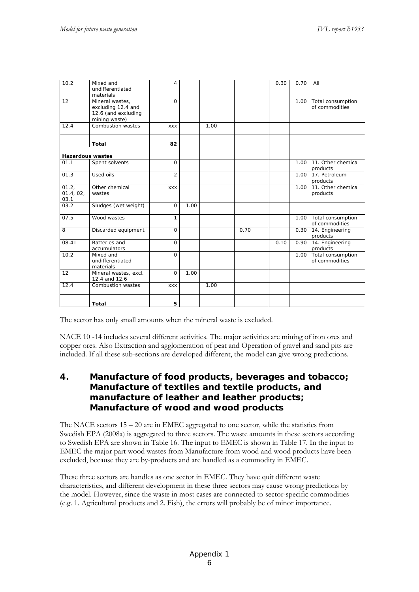| 10.2                       | Mixed and<br>undifferentiated<br>materials                                    | 4              |      |      |      | 0.30 | 0.70 | All                                      |
|----------------------------|-------------------------------------------------------------------------------|----------------|------|------|------|------|------|------------------------------------------|
| 12                         | Mineral wastes,<br>excluding 12.4 and<br>12.6 (and excluding<br>mining waste) | $\Omega$       |      |      |      |      |      | 1.00 Total consumption<br>of commodities |
| 12.4                       | Combustion wastes                                                             | <b>XXX</b>     |      | 1.00 |      |      |      |                                          |
|                            | <b>Total</b>                                                                  | 82             |      |      |      |      |      |                                          |
| <b>Hazardous wastes</b>    |                                                                               |                |      |      |      |      |      |                                          |
| 01.1                       | Spent solvents                                                                | $\mathbf 0$    |      |      |      |      | 1.00 | 11. Other chemical<br>products           |
| 01.3                       | Used oils                                                                     | $\overline{2}$ |      |      |      |      | 1.00 | 17. Petroleum<br>products                |
| 01.2,<br>01.4, 02,<br>03.1 | Other chemical<br>wastes                                                      | <b>XXX</b>     |      |      |      |      | 1.00 | 11. Other chemical<br>products           |
| 03.2                       | Sludges (wet weight)                                                          | $\mathbf 0$    | 1.00 |      |      |      |      |                                          |
| 07.5                       | Wood wastes                                                                   | 1              |      |      |      |      |      | 1.00 Total consumption<br>of commodities |
| 8                          | Discarded equipment                                                           | $\mathbf 0$    |      |      | 0.70 |      | 0.30 | 14. Engineering<br>products              |
| 08.41                      | Batteries and<br>accumulators                                                 | $\mathbf 0$    |      |      |      | 0.10 | 0.90 | 14. Engineering<br>products              |
| 10.2                       | Mixed and<br>undifferentiated<br>materials                                    | $\Omega$       |      |      |      |      | 1.00 | Total consumption<br>of commodities      |
| 12                         | Mineral wastes, excl.<br>12.4 and 12.6                                        | $\Omega$       | 1.00 |      |      |      |      |                                          |
| 12.4                       | Combustion wastes                                                             | <b>XXX</b>     |      | 1.00 |      |      |      |                                          |
|                            | <b>Total</b>                                                                  | 5              |      |      |      |      |      |                                          |

The sector has only small amounts when the mineral waste is excluded.

NACE 10 -14 includes several different activities. The major activities are mining of iron ores and copper ores. Also Extraction and agglomeration of peat and Operation of gravel and sand pits are included. If all these sub-sections are developed different, the model can give wrong predictions.

#### **4. Manufacture of food products, beverages and tobacco; Manufacture of textiles and textile products, and manufacture of leather and leather products; Manufacture of wood and wood products**

The NACE sectors 15 – 20 are in EMEC aggregated to one sector, while the statistics from Swedish EPA (2008a) is aggregated to three sectors. The waste amounts in these sectors according to Swedish EPA are shown in Table 16. The input to EMEC is shown in Table 17. In the input to EMEC the major part wood wastes from Manufacture from wood and wood products have been excluded, because they are by-products and are handled as a commodity in EMEC.

These three sectors are handles as one sector in EMEC. They have quit different waste characteristics, and different development in these three sectors may cause wrong predictions by the model. However, since the waste in most cases are connected to sector-specific commodities (e.g. 1. Agricultural products and 2. Fish), the errors will probably be of minor importance.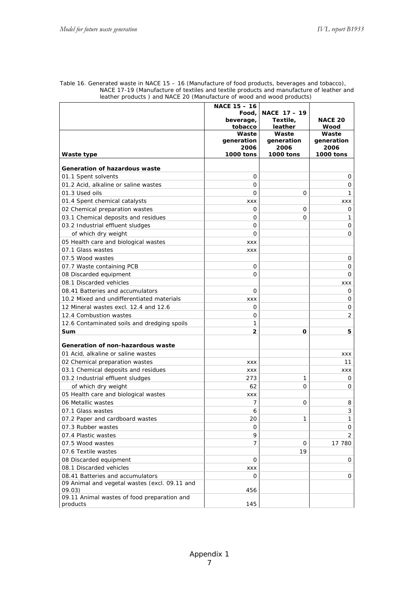|                                                         | <b>NACE 15 - 16</b><br>Food, | <b>NACE 17 - 19</b> |                    |
|---------------------------------------------------------|------------------------------|---------------------|--------------------|
|                                                         | beverage,                    | Textile,            | <b>NACE 20</b>     |
|                                                         | tobacco                      | leather             | Wood               |
|                                                         | Waste                        | Waste<br>generation | Waste              |
|                                                         | generation<br>2006           | 2006                | generation<br>2006 |
| Waste type                                              | 1000 tons                    | 1000 tons           | <b>1000 tons</b>   |
| Generation of hazardous waste                           |                              |                     |                    |
| 01.1 Spent solvents                                     | 0                            |                     | 0                  |
| 01.2 Acid, alkaline or saline wastes                    | 0                            |                     | 0                  |
| 01.3 Used oils                                          | $\Omega$                     | $\Omega$            | 1                  |
| 01.4 Spent chemical catalysts                           | <b>XXX</b>                   |                     | XXX                |
| 02 Chemical preparation wastes                          | 0                            | 0                   | 0                  |
| 03.1 Chemical deposits and residues                     | 0                            | 0                   | 1                  |
| 03.2 Industrial effluent sludges                        | 0                            |                     | 0                  |
| of which dry weight                                     | 0                            |                     | 0                  |
| 05 Health care and biological wastes                    | <b>XXX</b>                   |                     |                    |
| 07.1 Glass wastes                                       | <b>XXX</b>                   |                     |                    |
| 07.5 Wood wastes                                        |                              |                     | 0                  |
| 07.7 Waste containing PCB                               | 0                            |                     | $\mathbf 0$        |
| 08 Discarded equipment                                  | 0                            |                     | $\mathbf{O}$       |
| 08.1 Discarded vehicles                                 |                              |                     | <b>XXX</b>         |
| 08.41 Batteries and accumulators                        | 0                            |                     | 0                  |
| 10.2 Mixed and undifferentiated materials               | <b>XXX</b>                   |                     | 0                  |
| 12 Mineral wastes excl. 12.4 and 12.6                   | 0                            |                     | 0                  |
| 12.4 Combustion wastes                                  | 0                            |                     | 2                  |
| 12.6 Contaminated soils and dredging spoils             | 1                            |                     |                    |
| Sum                                                     | 2                            | O                   | 5                  |
|                                                         |                              |                     |                    |
| Generation of non-hazardous waste                       |                              |                     |                    |
| 01 Acid, alkaline or saline wastes                      |                              |                     | XXX                |
| 02 Chemical preparation wastes                          | XXX                          |                     | 11                 |
| 03.1 Chemical deposits and residues                     | XXX                          |                     | XXX                |
| 03.2 Industrial effluent sludges                        | 273                          | 1                   | 0                  |
| of which dry weight                                     | 62                           | 0                   | 0                  |
| 05 Health care and biological wastes                    | XXX                          |                     |                    |
| 06 Metallic wastes                                      | 7                            | 0                   | 8                  |
| 07.1 Glass wastes                                       | 6                            |                     | 3                  |
| 07.2 Paper and cardboard wastes                         | 20                           | 1                   | 1                  |
| 07.3 Rubber wastes                                      | 0                            |                     | 0                  |
| 07.4 Plastic wastes                                     | 9                            |                     | $\overline{2}$     |
| 07.5 Wood wastes                                        | $\overline{7}$               | 0                   | 17 780             |
| 07.6 Textile wastes                                     |                              | 19                  |                    |
| 08 Discarded equipment                                  | 0                            |                     | 0                  |
| 08.1 Discarded vehicles                                 | XXX                          |                     |                    |
| 08.41 Batteries and accumulators                        | 0                            |                     | 0                  |
| 09 Animal and vegetal wastes (excl. 09.11 and<br>09.03) | 456                          |                     |                    |
| 09.11 Animal wastes of food preparation and             |                              |                     |                    |
| products                                                | 145                          |                     |                    |

Table 16. Generated waste in NACE 15 – 16 (Manufacture of food products, beverages and tobacco), NACE 17-19 (Manufacture of textiles and textile products and manufacture of leather and leather products ) and NACE 20 (Manufacture of wood and wood products)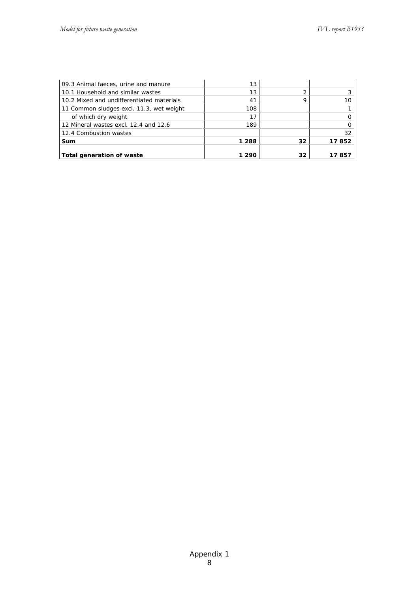| 09.3 Animal faeces, urine and manure      | 13    |    |       |
|-------------------------------------------|-------|----|-------|
| 10.1 Household and similar wastes         | 13    | 2  |       |
| 10.2 Mixed and undifferentiated materials | 41    | 9  |       |
| 11 Common sludges excl. 11.3, wet weight  | 108   |    |       |
| of which dry weight                       |       |    |       |
| 12 Mineral wastes excl. 12.4 and 12.6     | 189   |    |       |
| 12.4 Combustion wastes                    |       |    | 32    |
| Sum                                       | 1 288 | 32 | 17852 |
|                                           |       |    |       |
| Total generation of waste                 | 1 290 | 32 | 85    |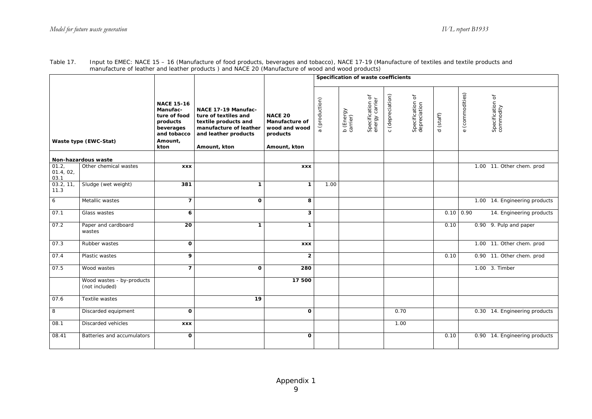|                            |                                             |                                                                                                          |                                                                                                                                       |                                                                                      | Specification of waste coefficients |                       |                                    |                  |                                  |           |                 |                               |
|----------------------------|---------------------------------------------|----------------------------------------------------------------------------------------------------------|---------------------------------------------------------------------------------------------------------------------------------------|--------------------------------------------------------------------------------------|-------------------------------------|-----------------------|------------------------------------|------------------|----------------------------------|-----------|-----------------|-------------------------------|
|                            | Waste type (EWC-Stat)                       | <b>NACE 15-16</b><br>Manufac-<br>ture of food<br>products<br>beverages<br>and tobacco<br>Amount,<br>kton | NACE 17-19 Manufac-<br>ture of textiles and<br>textile products and<br>manufacture of leather<br>and leather products<br>Amount, kton | <b>NACE 20</b><br><b>Manufacture of</b><br>wood and wood<br>products<br>Amount, kton | (production)<br>$\sigma$            | b (Energy<br>carrier) | Specification of<br>energy carrier | c (depreciation) | Specification of<br>depreciation | d (staff) | e (commodities) | Specification of<br>commodity |
|                            | Non-hazardous waste                         |                                                                                                          |                                                                                                                                       |                                                                                      |                                     |                       |                                    |                  |                                  |           |                 |                               |
| 01.2,<br>01.4, 02,<br>03.1 | Other chemical wastes                       | <b>XXX</b>                                                                                               |                                                                                                                                       | <b>XXX</b>                                                                           |                                     |                       |                                    |                  |                                  |           |                 | 1.00 11. Other chem. prod     |
| 03.2, 11,<br>11.3          | Sludge (wet weight)                         | 381                                                                                                      | 1                                                                                                                                     | $\mathbf{1}$                                                                         | 1.00                                |                       |                                    |                  |                                  |           |                 |                               |
| $6\phantom{.}6$            | Metallic wastes                             | $\overline{7}$                                                                                           | $\mathbf{o}$                                                                                                                          | 8                                                                                    |                                     |                       |                                    |                  |                                  |           |                 | 1.00 14. Engineering products |
| 07.1                       | Glass wastes                                | 6                                                                                                        |                                                                                                                                       | $\mathbf{3}$                                                                         |                                     |                       |                                    |                  |                                  |           | $0.10 \ 0.90$   | 14. Engineering products      |
| 07.2                       | Paper and cardboard<br>wastes               | 20                                                                                                       | 1                                                                                                                                     | $\mathbf{1}$                                                                         |                                     |                       |                                    |                  |                                  | 0.10      |                 | 0.90 9. Pulp and paper        |
| 07.3                       | Rubber wastes                               | $\mathbf{o}$                                                                                             |                                                                                                                                       | <b>XXX</b>                                                                           |                                     |                       |                                    |                  |                                  |           |                 | 1.00 11. Other chem. prod     |
| 07.4                       | Plastic wastes                              | 9                                                                                                        |                                                                                                                                       | $\overline{2}$                                                                       |                                     |                       |                                    |                  |                                  | 0.10      |                 | 0.90 11. Other chem. prod     |
| 07.5                       | Wood wastes                                 | $\overline{\mathbf{z}}$                                                                                  | 0                                                                                                                                     | 280                                                                                  |                                     |                       |                                    |                  |                                  |           |                 | 1.00 3. Timber                |
|                            | Wood wastes - by-products<br>(not included) |                                                                                                          |                                                                                                                                       | 17 500                                                                               |                                     |                       |                                    |                  |                                  |           |                 |                               |
| 07.6                       | Textile wastes                              |                                                                                                          | $\overline{19}$                                                                                                                       |                                                                                      |                                     |                       |                                    |                  |                                  |           |                 |                               |
| 8                          | Discarded equipment                         | $\mathbf o$                                                                                              |                                                                                                                                       | $\mathbf{o}$                                                                         |                                     |                       |                                    |                  | 0.70                             |           |                 | 0.30 14. Engineering products |
| 08.1                       | Discarded vehicles                          | <b>XXX</b>                                                                                               |                                                                                                                                       |                                                                                      |                                     |                       |                                    |                  | 1.00                             |           |                 |                               |
| 08.41                      | Batteries and accumulators                  | O                                                                                                        |                                                                                                                                       | $\mathbf{o}$                                                                         |                                     |                       |                                    |                  |                                  | 0.10      |                 | 0.90 14. Engineering products |

| Table 17 | Input to EMEC: NACE 15 - 16 (Manufacture of food products, beverages and tobacco), NACE 17-19 (Manufacture of textiles and textile products and |
|----------|-------------------------------------------------------------------------------------------------------------------------------------------------|
|          | manufacture of leather and leather products) and NACE 20 (Manufacture of wood and wood products)                                                |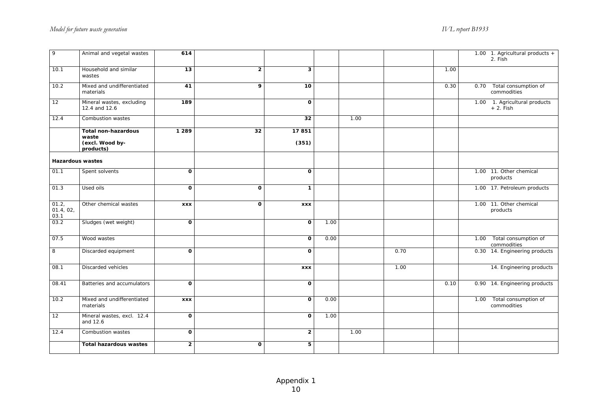| $\circ$                    | Animal and vegetal wastes                                           | 614                     |                |                |      |      |      |      |      | 1.00 1. Agricultural products $+$<br>2. Fish |
|----------------------------|---------------------------------------------------------------------|-------------------------|----------------|----------------|------|------|------|------|------|----------------------------------------------|
| 10.1                       | Household and similar<br>wastes                                     | 13                      | $\overline{2}$ | 3              |      |      |      | 1.00 |      |                                              |
| 10.2                       | Mixed and undifferentiated<br>materials                             | 41                      | 9              | 10             |      |      |      | 0.30 | 0.70 | Total consumption of<br>commodities          |
| 12                         | Mineral wastes, excluding<br>12.4 and 12.6                          | 189                     |                | 0              |      |      |      |      |      | 1.00 1. Agricultural products<br>$+2.$ Fish  |
| 12.4                       | Combustion wastes                                                   |                         |                | 32             |      | 1.00 |      |      |      |                                              |
|                            | <b>Total non-hazardous</b><br>waste<br>(excl. Wood by-<br>products) | 1 2 8 9                 | 32             | 17851<br>(351) |      |      |      |      |      |                                              |
| <b>Hazardous wastes</b>    |                                                                     |                         |                |                |      |      |      |      |      |                                              |
| 01.1                       | Spent solvents                                                      | $\mathbf{o}$            |                | 0              |      |      |      |      |      | 1.00 11. Other chemical<br>products          |
| 01.3                       | Used oils                                                           | $\mathbf 0$             | $\Omega$       | 1              |      |      |      |      |      | 1.00 17. Petroleum products                  |
| 01.2,<br>01.4, 02,<br>03.1 | Other chemical wastes                                               | <b>XXX</b>              | $\mathbf{o}$   | <b>XXX</b>     |      |      |      |      |      | 1.00 11. Other chemical<br>products          |
| 03.2                       | Sludges (wet weight)                                                | $\mathbf{o}$            |                | $\mathbf{o}$   | 1.00 |      |      |      |      |                                              |
| 07.5                       | Wood wastes                                                         |                         |                | 0              | 0.00 |      |      |      | 1.00 | Total consumption of<br>commodities          |
| $\,$ 8                     | Discarded equipment                                                 | $\mathbf{o}$            |                | O              |      |      | 0.70 |      |      | 0.30 14. Engineering products                |
| 08.1                       | Discarded vehicles                                                  |                         |                | <b>XXX</b>     |      |      | 1.00 |      |      | 14. Engineering products                     |
| 08.41                      | Batteries and accumulators                                          | O                       |                | 0              |      |      |      | 0.10 |      | 0.90 14. Engineering products                |
| 10.2                       | Mixed and undifferentiated<br>materials                             | <b>XXX</b>              |                | 0              | 0.00 |      |      |      | 1.00 | Total consumption of<br>commodities          |
| 12                         | Mineral wastes, excl. 12.4<br>and 12.6                              | O                       |                | 0              | 1.00 |      |      |      |      |                                              |
| 12.4                       | Combustion wastes                                                   | $\mathbf{o}$            |                | $\mathbf{2}$   |      | 1.00 |      |      |      |                                              |
|                            | <b>Total hazardous wastes</b>                                       | $\overline{\mathbf{c}}$ | $\mathbf 0$    | 5              |      |      |      |      |      |                                              |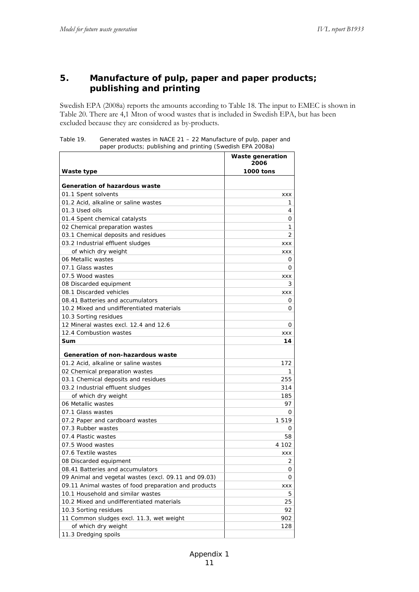#### **5. Manufacture of pulp, paper and paper products; publishing and printing**

Swedish EPA (2008a) reports the amounts according to Table 18. The input to EMEC is shown in Table 20. There are 4,1 Mton of wood wastes that is included in Swedish EPA, but has been excluded because they are considered as by-products.

| Table 19. | Generated wastes in NACE 21 – 22 Manufacture of pulp, paper and |
|-----------|-----------------------------------------------------------------|
|           | paper products; publishing and printing (Swedish EPA 2008a)     |

| Waste type                                           | Waste generation<br>2006<br><b>1000 tons</b> |
|------------------------------------------------------|----------------------------------------------|
|                                                      |                                              |
| Generation of hazardous waste                        |                                              |
| 01.1 Spent solvents                                  | XXX                                          |
| 01.2 Acid, alkaline or saline wastes                 | 1                                            |
| 01.3 Used oils                                       | 4                                            |
| 01.4 Spent chemical catalysts                        | 0                                            |
| 02 Chemical preparation wastes                       | 1                                            |
| 03.1 Chemical deposits and residues                  | 2                                            |
| 03.2 Industrial effluent sludges                     | XXX                                          |
| of which dry weight                                  | XXX                                          |
| 06 Metallic wastes                                   | 0                                            |
| 07.1 Glass wastes                                    | 0                                            |
| 07.5 Wood wastes                                     | XXX                                          |
| 08 Discarded equipment                               | 3                                            |
| 08.1 Discarded vehicles                              | XXX                                          |
| 08.41 Batteries and accumulators                     | 0                                            |
| 10.2 Mixed and undifferentiated materials            | 0                                            |
| 10.3 Sorting residues                                |                                              |
| 12 Mineral wastes excl. 12.4 and 12.6                | 0                                            |
| 12.4 Combustion wastes                               | XXX                                          |
| Sum                                                  | 14                                           |
| Generation of non-hazardous waste                    |                                              |
| 01.2 Acid, alkaline or saline wastes                 | 172                                          |
| 02 Chemical preparation wastes                       | 1                                            |
| 03.1 Chemical deposits and residues                  | 255                                          |
| 03.2 Industrial effluent sludges                     | 314                                          |
| of which dry weight                                  | 185                                          |
| 06 Metallic wastes                                   | 97                                           |
| 07.1 Glass wastes                                    | 0                                            |
| 07.2 Paper and cardboard wastes                      | 1 519                                        |
| 07.3 Rubber wastes                                   | 0                                            |
| 07.4 Plastic wastes                                  | 58                                           |
| 07.5 Wood wastes                                     | 4 102                                        |
| 07.6 Textile wastes                                  | XXX                                          |
| 08 Discarded equipment                               | 2                                            |
| 08.41 Batteries and accumulators                     | 0                                            |
| 09 Animal and vegetal wastes (excl. 09.11 and 09.03) | 0                                            |
| 09.11 Animal wastes of food preparation and products | XXX                                          |
| 10.1 Household and similar wastes                    | 5                                            |
| 10.2 Mixed and undifferentiated materials            | 25                                           |
| 10.3 Sorting residues                                | 92                                           |
| 11 Common sludges excl. 11.3, wet weight             | 902                                          |
| of which dry weight                                  | 128                                          |
| 11.3 Dredging spoils                                 |                                              |
|                                                      |                                              |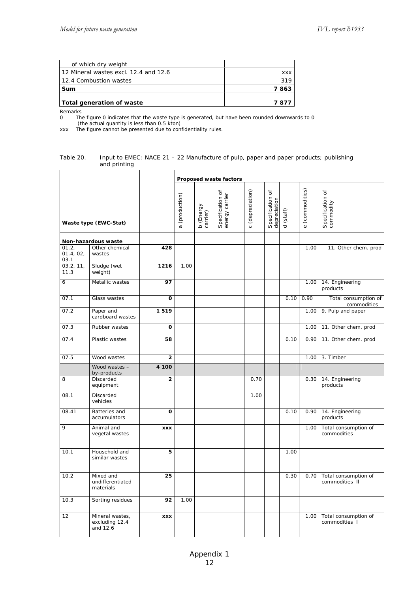| Total generation of waste               | 7877 |
|-----------------------------------------|------|
| Sum                                     | 7863 |
| 12.4 Combustion wastes                  | 319  |
| l 12 Mineral wastes excl. 12.4 and 12.6 | XXX  |
| of which dry weight                     |      |

Remarks

0 The figure 0 indicates that the waste type is generated, but have been rounded downwards to 0

(the actual quantity is less than 0.5 kton)

xxx The figure cannot be presented due to confidentiality rules.

#### Table 20. Input to EMEC: NACE 21 – 22 Manufacture of pulp, paper and paper products; publishing and printing

|                            |                                               |              |                          |                       | Proposed waste factors                  |                  |                       |                    |                           |                                             |
|----------------------------|-----------------------------------------------|--------------|--------------------------|-----------------------|-----------------------------------------|------------------|-----------------------|--------------------|---------------------------|---------------------------------------------|
|                            | Waste type (EWC-Stat)                         |              | (production)<br>$\sigma$ | b (Energy<br>carrier) | ð<br>Specification of<br>energy carrier | c (depreciation) | ৳<br>Specification of | (stat)<br>$\sigma$ | (commodities)<br>$\omega$ | $\rm 5$<br>Specification commodity          |
|                            | Non-hazardous waste                           |              |                          |                       |                                         |                  |                       |                    |                           |                                             |
| 01.2,<br>01.4, 02,<br>03.1 | Other chemical<br>wastes                      | 428          |                          |                       |                                         |                  |                       |                    | 1.00                      | 11. Other chem. prod                        |
| 03.2, 11,<br>11.3          | Sludge (wet<br>weight)                        | 1216         | 1.00                     |                       |                                         |                  |                       |                    |                           |                                             |
| 6                          | Metallic wastes                               | 97           |                          |                       |                                         |                  |                       |                    | 1.00                      | 14. Engineering<br>products                 |
| 07.1                       | Glass wastes                                  | $\mathbf{o}$ |                          |                       |                                         |                  |                       | 0.10               | 0.90                      | Total consumption of<br>commodities         |
| 07.2                       | Paper and<br>cardboard wastes                 | 1519         |                          |                       |                                         |                  |                       |                    |                           | 1.00 9. Pulp and paper                      |
| 07.3                       | Rubber wastes                                 | $\Omega$     |                          |                       |                                         |                  |                       |                    |                           | 1.00 11. Other chem. prod                   |
| 07.4                       | Plastic wastes                                | 58           |                          |                       |                                         |                  |                       | 0.10               |                           | 0.90 11. Other chem. prod                   |
| 07.5                       | Wood wastes                                   | $\mathbf{2}$ |                          |                       |                                         |                  |                       |                    |                           | 1.00 3. Timber                              |
|                            | Wood wastes -<br>by-products                  | 4 100        |                          |                       |                                         |                  |                       |                    |                           |                                             |
| 8                          | Discarded<br>equipment                        | $\mathbf{2}$ |                          |                       |                                         | 0.70             |                       |                    | 0.30                      | 14. Engineering<br>products                 |
| 08.1                       | Discarded<br>vehicles                         |              |                          |                       |                                         | 1.00             |                       |                    |                           |                                             |
| 08.41                      | Batteries and<br>accumulators                 | O            |                          |                       |                                         |                  |                       | 0.10               | 0.90                      | 14. Engineering<br>products                 |
| 9                          | Animal and<br>vegetal wastes                  | <b>XXX</b>   |                          |                       |                                         |                  |                       |                    | 1.00                      | Total consumption of<br>commodities         |
| 10.1                       | Household and<br>similar wastes               | 5            |                          |                       |                                         |                  |                       | 1.00               |                           |                                             |
| 10.2                       | Mixed and<br>undifferentiated<br>materials    | 25           |                          |                       |                                         |                  |                       | 0.30               |                           | 0.70 Total consumption of<br>commodities II |
| 10.3                       | Sorting residues                              | 92           | 1.00                     |                       |                                         |                  |                       |                    |                           |                                             |
| 12                         | Mineral wastes,<br>excluding 12.4<br>and 12.6 | <b>XXX</b>   |                          |                       |                                         |                  |                       |                    | 1.00                      | Total consumption of<br>commodities I       |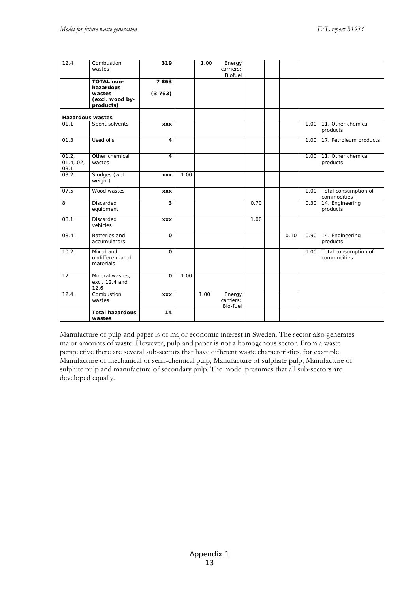| 12.4                       | Combustion<br>wastes                                                     | 319            |      | 1.00 | Energy<br>carriers:<br>Biofuel  |      |      |      |                                          |
|----------------------------|--------------------------------------------------------------------------|----------------|------|------|---------------------------------|------|------|------|------------------------------------------|
|                            | <b>TOTAL non-</b><br>hazardous<br>wastes<br>(excl. wood by-<br>products) | 7863<br>(3763) |      |      |                                 |      |      |      |                                          |
| <b>Hazardous wastes</b>    |                                                                          |                |      |      |                                 |      |      |      |                                          |
| 01.1                       | Spent solvents                                                           | <b>XXX</b>     |      |      |                                 |      |      | 1.00 | 11. Other chemical<br>products           |
| 01.3                       | Used oils                                                                | 4              |      |      |                                 |      |      |      | 1.00 17. Petroleum products              |
| 01.2,<br>01.4, 02,<br>03.1 | Other chemical<br>wastes                                                 | 4              |      |      |                                 |      |      | 1.00 | 11. Other chemical<br>products           |
| 03.2                       | Sludges (wet<br>weight)                                                  | <b>XXX</b>     | 1.00 |      |                                 |      |      |      |                                          |
| 07.5                       | Wood wastes                                                              | <b>XXX</b>     |      |      |                                 |      |      |      | 1.00 Total consumption of<br>commodities |
| 8                          | Discarded<br>equipment                                                   | 3              |      |      |                                 | 0.70 |      | 0.30 | 14. Engineering<br>products              |
| 08.1                       | Discarded<br>vehicles                                                    | <b>XXX</b>     |      |      |                                 | 1.00 |      |      |                                          |
| 08.41                      | <b>Batteries</b> and<br>accumulators                                     | $\mathbf 0$    |      |      |                                 |      | 0.10 | 0.90 | 14. Engineering<br>products              |
| 10.2                       | Mixed and<br>undifferentiated<br>materials                               | $\Omega$       |      |      |                                 |      |      | 1.00 | Total consumption of<br>commodities      |
| 12                         | Mineral wastes,<br>excl. 12.4 and<br>12.6                                | $\Omega$       | 1.00 |      |                                 |      |      |      |                                          |
| 12.4                       | Combustion<br>wastes                                                     | <b>XXX</b>     |      | 1.00 | Energy<br>carriers:<br>Bio-fuel |      |      |      |                                          |
|                            | <b>Total hazardous</b><br>wastes                                         | 14             |      |      |                                 |      |      |      |                                          |

Manufacture of pulp and paper is of major economic interest in Sweden. The sector also generates major amounts of waste. However, pulp and paper is not a homogenous sector. From a waste perspective there are several sub-sectors that have different waste characteristics, for example Manufacture of mechanical or semi-chemical pulp, Manufacture of sulphate pulp, Manufacture of sulphite pulp and manufacture of secondary pulp. The model presumes that all sub-sectors are developed equally.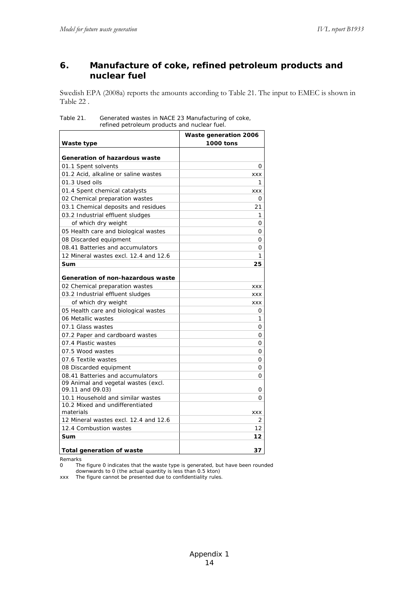#### **6. Manufacture of coke, refined petroleum products and nuclear fuel**

Swedish EPA (2008a) reports the amounts according to Table 21. The input to EMEC is shown in Table 22 .

| Table 21. | Generated wastes in NACE 23 Manufacturing of coke, |
|-----------|----------------------------------------------------|
|           | refined petroleum products and nuclear fuel.       |

| Waste type                                                      | Waste generation 2006<br>1000 tons |
|-----------------------------------------------------------------|------------------------------------|
|                                                                 |                                    |
| Generation of hazardous waste                                   |                                    |
| 01.1 Spent solvents                                             | 0                                  |
| 01.2 Acid, alkaline or saline wastes                            | <b>XXX</b>                         |
| 01.3 Used oils                                                  | 1                                  |
| 01.4 Spent chemical catalysts                                   | XXX                                |
| 02 Chemical preparation wastes                                  | Ο                                  |
| 03.1 Chemical deposits and residues                             | 21                                 |
| 03.2 Industrial effluent sludges                                | 1                                  |
| of which dry weight                                             | Ο                                  |
| 05 Health care and biological wastes                            | Ο                                  |
| 08 Discarded equipment                                          | Ο                                  |
| 08.41 Batteries and accumulators                                | Ο                                  |
| 12 Mineral wastes excl. 12.4 and 12.6                           | 1                                  |
| Sum                                                             | 25                                 |
|                                                                 |                                    |
| Generation of non-hazardous waste                               |                                    |
| 02 Chemical preparation wastes                                  | <b>XXX</b>                         |
| 03.2 Industrial effluent sludges                                | XXX                                |
| of which dry weight                                             | <b>XXX</b>                         |
| 05 Health care and biological wastes                            | 0                                  |
| 06 Metallic wastes                                              | 1                                  |
| 07.1 Glass wastes                                               | Ο                                  |
| 07.2 Paper and cardboard wastes                                 | Ο                                  |
| 07.4 Plastic wastes                                             | 0                                  |
| 07.5 Wood wastes                                                | Ο                                  |
| 07.6 Textile wastes                                             | Ο                                  |
| 08 Discarded equipment                                          | 0                                  |
| 08.41 Batteries and accumulators                                | O                                  |
| 09 Animal and vegetal wastes (excl.                             |                                    |
| 09.11 and 09.03)                                                | 0                                  |
| 10.1 Household and similar wastes                               | Ο                                  |
| 10.2 Mixed and undifferentiated<br>materials                    |                                    |
|                                                                 | <b>XXX</b>                         |
| 12 Mineral wastes excl. 12.4 and 12.6<br>12.4 Combustion wastes | 2<br>12                            |
| Sum                                                             | 12                                 |
|                                                                 |                                    |
| <b>Total generation of waste</b>                                | 37                                 |

Remarks<br>0 The

The figure 0 indicates that the waste type is generated, but have been rounded downwards to 0 (the actual quantity is less than 0.5 kton)

xxx The figure cannot be presented due to confidentiality rules.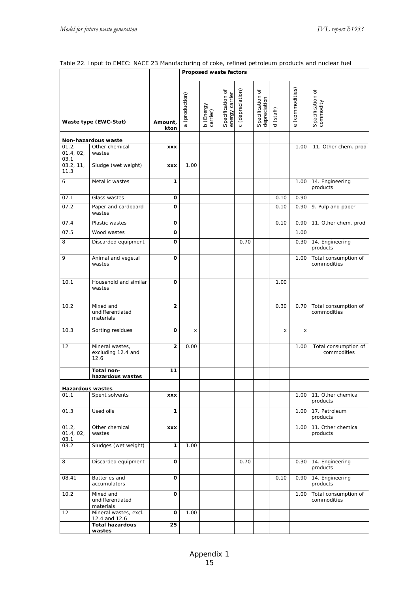| Table 22. Input to EMEC: NACE 23 Manufacturing of coke, refined petroleum products and nuclear fuel |  |
|-----------------------------------------------------------------------------------------------------|--|
|-----------------------------------------------------------------------------------------------------|--|

|                            |                                                 |                 |                | Proposed waste factors |                                    |                           |                                      |                     |                           |                                          |
|----------------------------|-------------------------------------------------|-----------------|----------------|------------------------|------------------------------------|---------------------------|--------------------------------------|---------------------|---------------------------|------------------------------------------|
|                            | Waste type (EWC-Stat)                           | Amount,<br>kton | a (production) | b (Energy<br>carrier)  | Specification of<br>energy carrier | (depreciation)<br>$\circ$ | đ<br>Specification c<br>depreciation | (staff)<br>$\sigma$ | (commodities)<br>$\omega$ | Specification of<br>commodity            |
|                            |                                                 |                 |                |                        |                                    |                           |                                      |                     |                           |                                          |
| 01.2,<br>01.4, 02,<br>03.1 | Non-hazardous waste<br>Other chemical<br>wastes | XXX             |                |                        |                                    |                           |                                      |                     | 1.00                      | 11. Other chem. prod                     |
| 03.2, 11,<br>11.3          | Sludge (wet weight)                             | <b>XXX</b>      | 1.00           |                        |                                    |                           |                                      |                     |                           |                                          |
| 6                          | Metallic wastes                                 | 1               |                |                        |                                    |                           |                                      |                     |                           | 1.00 14. Engineering<br>products         |
| 07.1                       | Glass wastes                                    | 0               |                |                        |                                    |                           |                                      | 0.10                | 0.90                      |                                          |
| 07.2                       | Paper and cardboard<br>wastes                   | O               |                |                        |                                    |                           |                                      | 0.10                |                           | 0.90 9. Pulp and paper                   |
| 07.4                       | Plastic wastes                                  | O               |                |                        |                                    |                           |                                      | 0.10                |                           | 0.90 11. Other chem. prod                |
| 07.5                       | Wood wastes                                     | O               |                |                        |                                    |                           |                                      |                     | 1.00                      |                                          |
| 8                          | Discarded equipment                             | O               |                |                        |                                    | 0.70                      |                                      |                     |                           | 0.30 14. Engineering<br>products         |
| 9                          | Animal and vegetal<br>wastes                    | O               |                |                        |                                    |                           |                                      |                     |                           | 1.00 Total consumption of<br>commodities |
| 10.1                       | Household and similar<br>wastes                 | O               |                |                        |                                    |                           |                                      | 1.00                |                           |                                          |
| 10.2                       | Mixed and<br>undifferentiated<br>materials      | $\mathbf{2}$    |                |                        |                                    |                           |                                      | 0.30                |                           | 0.70 Total consumption of<br>commodities |
| 10.3                       | Sorting residues                                | $\mathbf{o}$    | x              |                        |                                    |                           |                                      | X                   | x                         |                                          |
| 12                         | Mineral wastes,<br>excluding 12.4 and<br>12.6   | $\overline{2}$  | 0.00           |                        |                                    |                           |                                      |                     | 1.00                      | Total consumption of<br>commodities      |
|                            | Total non-<br>hazardous wastes                  | 11              |                |                        |                                    |                           |                                      |                     |                           |                                          |
| <b>Hazardous wastes</b>    |                                                 |                 |                |                        |                                    |                           |                                      |                     |                           |                                          |
| 01.1                       | Spent solvents                                  | <b>XXX</b>      |                |                        |                                    |                           |                                      |                     |                           | 1.00 11. Other chemical<br>products      |
| 01.3                       | Used oils                                       | 1               |                |                        |                                    |                           |                                      |                     |                           | 1.00 17. Petroleum<br>products           |
| 01.2,<br>01.4, 02,<br>03.1 | Other chemical<br>wastes                        | XXX             |                |                        |                                    |                           |                                      |                     |                           | 1.00 11. Other chemical<br>products      |
| 03.2                       | Sludges (wet weight)                            | 1               | 1.00           |                        |                                    |                           |                                      |                     |                           |                                          |
| 8                          | Discarded equipment                             | O               |                |                        |                                    | 0.70                      |                                      |                     |                           | 0.30 14. Engineering<br>products         |
| 08.41                      | Batteries and<br>accumulators                   | o               |                |                        |                                    |                           |                                      | 0.10                |                           | 0.90 14. Engineering<br>products         |
| 10.2                       | Mixed and<br>undifferentiated<br>materials      | O               |                |                        |                                    |                           |                                      |                     |                           | 1.00 Total consumption of<br>commodities |
| 12                         | Mineral wastes, excl.<br>12.4 and 12.6          | O               | 1.00           |                        |                                    |                           |                                      |                     |                           |                                          |
|                            | <b>Total hazardous</b><br>wastes                | 25              |                |                        |                                    |                           |                                      |                     |                           |                                          |
|                            |                                                 |                 |                |                        |                                    |                           |                                      |                     |                           |                                          |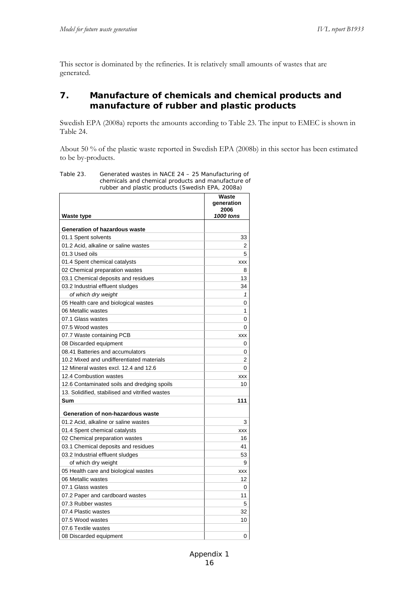This sector is dominated by the refineries. It is relatively small amounts of wastes that are generated.

#### **7. Manufacture of chemicals and chemical products and manufacture of rubber and plastic products**

Swedish EPA (2008a) reports the amounts according to Table 23. The input to EMEC is shown in Table 24.

About 50 % of the plastic waste reported in Swedish EPA (2008b) in this sector has been estimated to be by-products.

| simcars and cricmical products and manufacture<br>rubber and plastic products (Swedish EPA, 2008a) |                                          |
|----------------------------------------------------------------------------------------------------|------------------------------------------|
| <b>Waste type</b>                                                                                  | Waste<br>generation<br>2006<br>1000 tons |
| Generation of hazardous waste                                                                      |                                          |
| 01.1 Spent solvents                                                                                | 33                                       |
| 01.2 Acid, alkaline or saline wastes                                                               | 2                                        |
| 01.3 Used oils                                                                                     | 5                                        |
| 01.4 Spent chemical catalysts                                                                      | XXX                                      |
| 02 Chemical preparation wastes                                                                     | 8                                        |
| 03.1 Chemical deposits and residues                                                                | 13                                       |
| 03.2 Industrial effluent sludges                                                                   | 34                                       |
|                                                                                                    | 1                                        |
| of which dry weight                                                                                |                                          |
| 05 Health care and biological wastes                                                               | 0<br>1                                   |
| 06 Metallic wastes                                                                                 |                                          |
| 07.1 Glass wastes                                                                                  | 0                                        |
| 07.5 Wood wastes                                                                                   | 0                                        |
| 07.7 Waste containing PCB                                                                          | XXX                                      |
| 08 Discarded equipment                                                                             | 0                                        |
| 08.41 Batteries and accumulators                                                                   | 0                                        |
| 10.2 Mixed and undifferentiated materials                                                          | 2                                        |
| 12 Mineral wastes excl. 12.4 and 12.6                                                              | 0                                        |
| 12.4 Combustion wastes                                                                             | XXX                                      |
| 12.6 Contaminated soils and dredging spoils                                                        | 10                                       |
| 13. Solidified, stabilised and vitrified wastes                                                    |                                          |
| Sum                                                                                                | 111                                      |
| Generation of non-hazardous waste                                                                  |                                          |
| 01.2 Acid, alkaline or saline wastes                                                               | 3                                        |
| 01.4 Spent chemical catalysts                                                                      | XXX                                      |
| 02 Chemical preparation wastes                                                                     | 16                                       |
| 03.1 Chemical deposits and residues                                                                | 41                                       |
| 03.2 Industrial effluent sludges                                                                   | 53                                       |
| of which dry weight                                                                                | 9                                        |
| 05 Health care and biological wastes                                                               | XXX                                      |
| 06 Metallic wastes                                                                                 | 12                                       |
| 07.1 Glass wastes                                                                                  | 0                                        |
| 07.2 Paper and cardboard wastes                                                                    | 11                                       |
| 07.3 Rubber wastes                                                                                 |                                          |
| 07.4 Plastic wastes                                                                                | 5                                        |
| 07.5 Wood wastes                                                                                   | 32                                       |
|                                                                                                    | 10                                       |
| 07.6 Textile wastes                                                                                |                                          |
| 08 Discarded equipment                                                                             | 0                                        |

Table 23. Generated wastes in NACE 24 – 25 Manufacturing of chemicals and chemical products and manufacture of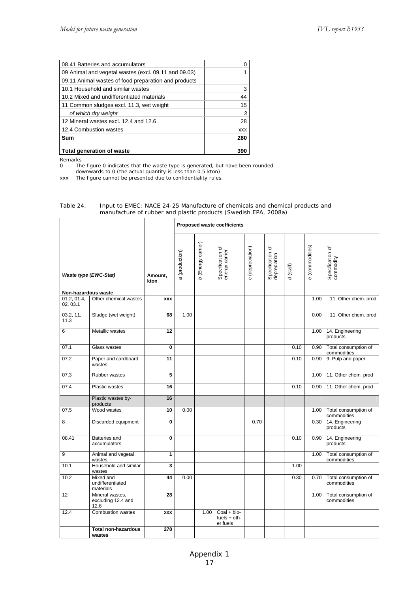| 08.41 Batteries and accumulators                     |            |
|------------------------------------------------------|------------|
| 09 Animal and vegetal wastes (excl. 09.11 and 09.03) |            |
| 09.11 Animal wastes of food preparation and products |            |
| 10.1 Household and similar wastes                    | 3          |
| 10.2 Mixed and undifferentiated materials            | 44         |
| 11 Common sludges excl. 11.3, wet weight             | 15         |
| of which dry weight                                  | 3          |
| 12 Mineral wastes excl. 12.4 and 12.6                | 28         |
| 12.4 Combustion wastes                               | <b>XXX</b> |
| Sum                                                  | 280        |
| Total generation of waste                            | 390        |

Remarks<br>0 Th

0 The figure 0 indicates that the waste type is generated, but have been rounded

 downwards to 0 (the actual quantity is less than 0.5 kton) xxx The figure cannot be presented due to confidentiality rules.

|                         |                                               |                 |                |                    | Proposed waste coefficients                 |                  |                                  |             |                 |                                          |
|-------------------------|-----------------------------------------------|-----------------|----------------|--------------------|---------------------------------------------|------------------|----------------------------------|-------------|-----------------|------------------------------------------|
| Waste type (EWC-Stat)   |                                               | Amount,<br>kton | a (production) | b (Energy carrier) | Specification of<br>energy carrier          | c (depreciation) | Specification of<br>depreciation | $d$ (staff) | e (commodities) | Specification of<br>commodity            |
| Non-hazardous waste     |                                               |                 |                |                    |                                             |                  |                                  |             |                 |                                          |
| 01.2, 01.4,<br>02, 03.1 | Other chemical wastes                         | <b>XXX</b>      |                |                    |                                             |                  |                                  |             | 1.00            | 11. Other chem. prod                     |
| 03.2, 11,<br>11.3       | Sludge (wet weight)                           | 68              | 1.00           |                    |                                             |                  |                                  |             | 0.00            | 11. Other chem. prod                     |
| 6                       | Metallic wastes                               | 12              |                |                    |                                             |                  |                                  |             | 1.00            | 14. Engineering<br>products              |
| 07.1                    | Glass wastes                                  | $\mathbf{0}$    |                |                    |                                             |                  |                                  | 0.10        |                 | 0.90 Total consumption of<br>commodities |
| 07.2                    | Paper and cardboard<br>wastes                 | 11              |                |                    |                                             |                  |                                  | 0.10        |                 | 0.90 9. Pulp and paper                   |
| 07.3                    | Rubber wastes                                 | 5               |                |                    |                                             |                  |                                  |             |                 | 1.00 11. Other chem. prod                |
| 07.4                    | Plastic wastes                                | $\overline{16}$ |                |                    |                                             |                  |                                  | 0.10        |                 | 0.90 11. Other chem. prod                |
|                         | Plastic wastes by-<br>products                | 16              |                |                    |                                             |                  |                                  |             |                 |                                          |
| 07.5                    | Wood wastes                                   | 10              | 0.00           |                    |                                             |                  |                                  |             |                 | 1.00 Total consumption of<br>commodities |
| 8                       | Discarded equipment                           | 0               |                |                    |                                             | 0.70             |                                  |             | 0.30            | 14. Engineering<br>products              |
| 08.41                   | Batteries and<br>accumulators                 | 0               |                |                    |                                             |                  |                                  | 0.10        | 0.90            | 14. Engineering<br>products              |
| 9                       | Animal and vegetal<br>wastes                  | 1               |                |                    |                                             |                  |                                  |             | 1.00            | Total consumption of<br>commodities      |
| 10.1                    | Household and similar<br>wastes               | 3               |                |                    |                                             |                  |                                  | 1.00        |                 |                                          |
| 10.2                    | Mixed and<br>undifferentiated<br>materials    | 44              | 0.00           |                    |                                             |                  |                                  | 0.30        |                 | 0.70 Total consumption of<br>commodities |
| 12                      | Mineral wastes,<br>excluding 12.4 and<br>12.6 | 28              |                |                    |                                             |                  |                                  |             |                 | 1.00 Total consumption of<br>commodities |
| 12.4                    | <b>Combustion wastes</b>                      | <b>XXX</b>      |                | 1.00               | $Coal + bio-$<br>fuels $+$ oth-<br>er fuels |                  |                                  |             |                 |                                          |
|                         | Total non-hazardous<br>wastes                 | 278             |                |                    |                                             |                  |                                  |             |                 |                                          |

#### Table 24. Input to EMEC: NACE 24-25 Manufacture of chemicals and chemical products and manufacture of rubber and plastic products (Swedish EPA, 2008a)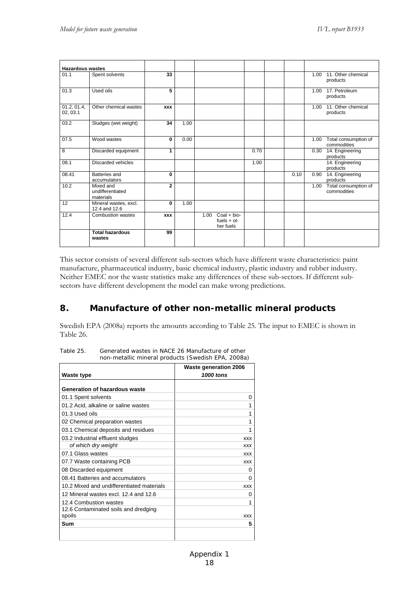| <b>Hazardous wastes</b> |                                            |                |      |      |                                             |      |      |      |                                     |
|-------------------------|--------------------------------------------|----------------|------|------|---------------------------------------------|------|------|------|-------------------------------------|
| 01.1                    | Spent solvents                             | 33             |      |      |                                             |      |      | 1.00 | 11. Other chemical<br>products      |
| 01.3                    | Used oils                                  | 5              |      |      |                                             |      |      | 1.00 | 17. Petroleum<br>products           |
| 01.2, 01.4,<br>02, 03.1 | Other chemical wastes                      | <b>XXX</b>     |      |      |                                             |      |      | 1.00 | 11. Other chemical<br>products      |
| 03.2                    | Sludges (wet weight)                       | 34             | 1.00 |      |                                             |      |      |      |                                     |
| 07.5                    | Wood wastes                                | 0              | 0.00 |      |                                             |      |      | 1.00 | Total consumption of<br>commodities |
| 8                       | Discarded equipment                        | 1              |      |      |                                             | 0.70 |      | 0.30 | 14. Engineering<br>products         |
| 08.1                    | Discarded vehicles                         |                |      |      |                                             | 1.00 |      |      | 14. Engineering<br>products         |
| 08.41                   | Batteries and<br>accumulators              | 0              |      |      |                                             |      | 0.10 | 0.90 | 14. Engineering<br>products         |
| 10.2                    | Mixed and<br>undifferentiated<br>materials | $\overline{2}$ |      |      |                                             |      |      | 1.00 | Total consumption of<br>commodities |
| $\overline{12}$         | Mineral wastes, excl.<br>12.4 and 12.6     | $\Omega$       | 1.00 |      |                                             |      |      |      |                                     |
| 12.4                    | <b>Combustion wastes</b>                   | <b>XXX</b>     |      | 1.00 | $Coal + bio-$<br>$fuels + ot-$<br>her fuels |      |      |      |                                     |
|                         | <b>Total hazardous</b><br>wastes           | 99             |      |      |                                             |      |      |      |                                     |

This sector consists of several different sub-sectors which have different waste characteristics: paint manufacture, pharmaceutical industry, basic chemical industry, plastic industry and rubber industry. Neither EMEC nor the waste statistics make any differences of these sub-sectors. If different subsectors have different development the model can make wrong predictions.

## **8. Manufacture of other non-metallic mineral products**

Swedish EPA (2008a) reports the amounts according to Table 25. The input to EMEC is shown in Table 26.

| Waste type                                     | <b>Waste generation 2006</b><br>1000 tons |
|------------------------------------------------|-------------------------------------------|
| Generation of hazardous waste                  |                                           |
| 01.1 Spent solvents                            | 0                                         |
| 01.2 Acid, alkaline or saline wastes           | 1                                         |
| 01.3 Used oils                                 | 1                                         |
| 02 Chemical preparation wastes                 | 1                                         |
| 03.1 Chemical deposits and residues            | 1                                         |
| 03.2 Industrial effluent sludges               | <b>XXX</b>                                |
| of which dry weight                            | <b>XXX</b>                                |
| 07.1 Glass wastes                              | <b>XXX</b>                                |
| 07.7 Waste containing PCB                      | <b>XXX</b>                                |
| 08 Discarded equipment                         | 0                                         |
| 08.41 Batteries and accumulators               | 0                                         |
| 10.2 Mixed and undifferentiated materials      | <b>XXX</b>                                |
| 12 Mineral wastes excl. 12.4 and 12.6          | 0                                         |
| 12.4 Combustion wastes                         | 1                                         |
| 12.6 Contaminated soils and dredging<br>spoils | <b>XXX</b>                                |
| Sum                                            | 5                                         |

Table 25. Generated wastes in NACE 26 Manufacture of other non-metallic mineral products (Swedish EPA, 2008a)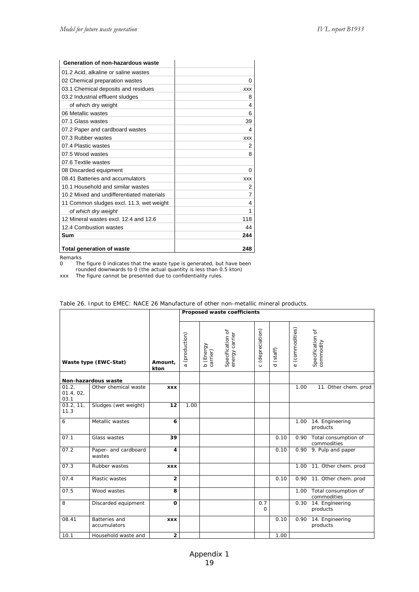| Generation of non-hazardous waste         |            |
|-------------------------------------------|------------|
| 01.2 Acid, alkaline or saline wastes      |            |
| 02 Chemical preparation wastes            | 0          |
| 03.1 Chemical deposits and residues       | <b>XXX</b> |
| 03.2 Industrial effluent sludges          | 8          |
| of which dry weight                       | 4          |
| 06 Metallic wastes                        | 6          |
| 07.1 Glass wastes                         | 39         |
| 07.2 Paper and cardboard wastes           | 4          |
| 07.3 Rubber wastes                        | <b>XXX</b> |
| 07.4 Plastic wastes                       | 2          |
| 07.5 Wood wastes                          | 8          |
| 07.6 Textile wastes                       |            |
| 08 Discarded equipment                    | 0          |
| 08.41 Batteries and accumulators          | <b>XXX</b> |
| 10.1 Household and similar wastes         | 2          |
| 10.2 Mixed and undifferentiated materials | 7          |
| 11 Common sludges excl. 11.3, wet weight  | 4          |
| of which dry weight                       | 1          |
| 12 Mineral wastes excl. 12.4 and 12.6     | 118        |
| 12.4 Combustion wastes                    | 44         |
| Sum                                       | 244        |
| <b>Total generation of waste</b>          | 248        |

Remarks

0 The figure 0 indicates that the waste type is generated, but have been rounded downwards to 0 (the actual quantity is less than 0.5 kton)

xxx The figure cannot be presented due to confidentiality rules.

|                            |                                      |                 |                |                                 | Proposed waste coefficients        |                           |                     |                           |                                     |
|----------------------------|--------------------------------------|-----------------|----------------|---------------------------------|------------------------------------|---------------------------|---------------------|---------------------------|-------------------------------------|
|                            | Waste type (EWC-Stat)                | Amount,<br>kton | a (production) | (Energy<br>b (Energ<br>carrier) | Specification of<br>energy carrier | (depreciation)<br>$\circ$ | (staff)<br>$\sigma$ | (commodities)<br>$\omega$ | Specification of<br>commodity       |
|                            | Non-hazardous waste                  |                 |                |                                 |                                    |                           |                     |                           |                                     |
| 01.2,<br>01.4, 02,<br>03.1 | Other chemical waste                 | <b>XXX</b>      |                |                                 |                                    |                           |                     | 1.00                      | 11. Other chem. prod                |
| 03.2, 11,<br>11.3          | Sludges (wet weight)                 | 12              | 1.00           |                                 |                                    |                           |                     |                           |                                     |
| 6                          | Metallic wastes                      | 6               |                |                                 |                                    |                           |                     | 1.00                      | 14. Engineering<br>products         |
| 07.1                       | Glass wastes                         | 39              |                |                                 |                                    |                           | 0.10                | 0.90                      | Total consumption of<br>commodities |
| 07.2                       | Paper- and cardboard<br>wastes       | 4               |                |                                 |                                    |                           | 0.10                | 0.90                      | $\overline{9}$ . Pulp and paper     |
| 07.3                       | Rubber wastes                        | <b>XXX</b>      |                |                                 |                                    |                           |                     | 1.00                      | 11. Other chem. prod                |
| 07.4                       | Plastic wastes                       | $\overline{2}$  |                |                                 |                                    |                           | 0.10                | 0.90                      | 11. Other chem. prod                |
| 07.5                       | Wood wastes                          | 8               |                |                                 |                                    |                           |                     | 1.00                      | Total consumption of<br>commodities |
| 8                          | Discarded equipment                  | $\mathbf{o}$    |                |                                 |                                    | 0.7<br>$\Omega$           |                     | 0.30                      | 14. Engineering<br>products         |
| 08.41                      | <b>Batteries</b> and<br>accumulators | <b>XXX</b>      |                |                                 |                                    |                           | 0.10                | 0.90                      | 14. Engineering<br>products         |
| 10.1                       | Household waste and                  | $\overline{2}$  |                |                                 |                                    |                           | 1.00                |                           |                                     |

#### Table 26. Input to EMEC: NACE 26 Manufacture of other non-metallic mineral products.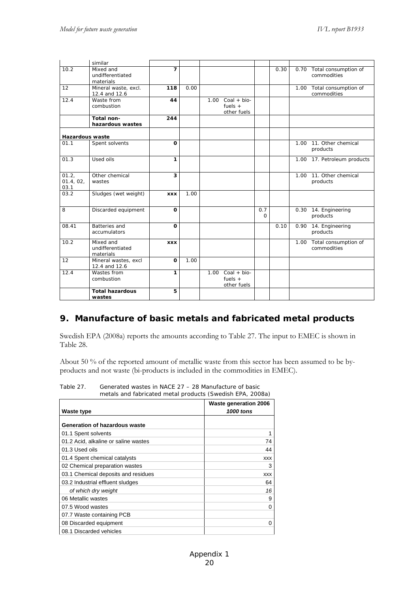|                            | similar                                    |                          |      |      |                                           |                 |      |      |                                          |
|----------------------------|--------------------------------------------|--------------------------|------|------|-------------------------------------------|-----------------|------|------|------------------------------------------|
| 10.2                       | Mixed and<br>undifferentiated<br>materials | $\overline{\phantom{a}}$ |      |      |                                           |                 | 0.30 | 0.70 | Total consumption of<br>commodities      |
| 12                         | Mineral waste, excl.<br>12.4 and 12.6      | 118                      | 0.00 |      |                                           |                 |      |      | 1.00 Total consumption of<br>commodities |
| 12.4                       | Waste from<br>combustion                   | 44                       |      | 1.00 | $Coal + bio-$<br>fuels $+$<br>other fuels |                 |      |      |                                          |
|                            | Total non-<br>hazardous wastes             | 244                      |      |      |                                           |                 |      |      |                                          |
| <b>Hazardous waste</b>     |                                            |                          |      |      |                                           |                 |      |      |                                          |
| 01.1                       | Spent solvents                             | $\Omega$                 |      |      |                                           |                 |      | 1.00 | 11. Other chemical<br>products           |
| 01.3                       | Used oils                                  | 1                        |      |      |                                           |                 |      |      | 1.00 17. Petroleum products              |
| 01.2,<br>01.4, 02,<br>03.1 | Other chemical<br>wastes                   | 3                        |      |      |                                           |                 |      | 1.00 | 11. Other chemical<br>products           |
| 03.2                       | Sludges (wet weight)                       | <b>XXX</b>               | 1.00 |      |                                           |                 |      |      |                                          |
| 8                          | Discarded equipment                        | $\Omega$                 |      |      |                                           | 0.7<br>$\Omega$ |      |      | 0.30 14. Engineering<br>products         |
| 08.41                      | <b>Batteries</b> and<br>accumulators       | $\Omega$                 |      |      |                                           |                 | 0.10 | 0.90 | 14. Engineering<br>products              |
| 10.2                       | Mixed and<br>undifferentiated<br>materials | <b>XXX</b>               |      |      |                                           |                 |      | 1.00 | Total consumption of<br>commodities      |
| 12                         | Mineral wastes, excl<br>12.4 and 12.6      | $\Omega$                 | 1.00 |      |                                           |                 |      |      |                                          |
| 12.4                       | Wastes from<br>combustion                  | 1                        |      | 1.00 | $Coal + bio-$<br>fuels $+$<br>other fuels |                 |      |      |                                          |
|                            | <b>Total hazardous</b><br>wastes           | 5                        |      |      |                                           |                 |      |      |                                          |

#### **9. Manufacture of basic metals and fabricated metal products**

Swedish EPA (2008a) reports the amounts according to Table 27. The input to EMEC is shown in Table 28.

About 50 % of the reported amount of metallic waste from this sector has been assumed to be byproducts and not waste (bi-products is included in the commodities in EMEC).

|                                      | <b>Waste generation 2006</b> |
|--------------------------------------|------------------------------|
| Waste type                           | 1000 tons                    |
| Generation of hazardous waste        |                              |
| 01.1 Spent solvents                  |                              |
| 01.2 Acid, alkaline or saline wastes | 74                           |
| 01.3 Used oils                       | 44                           |
| 01.4 Spent chemical catalysts        | <b>XXX</b>                   |
| 02 Chemical preparation wastes       | 3                            |
| 03.1 Chemical deposits and residues  | <b>XXX</b>                   |
| 03.2 Industrial effluent sludges     | 64                           |
| of which dry weight                  | 16                           |
| 06 Metallic wastes                   | 9                            |
| 07.5 Wood wastes                     | $\Omega$                     |
| 07.7 Waste containing PCB            |                              |
| 08 Discarded equipment               | 0                            |
| 08.1 Discarded vehicles              |                              |

Table 27. Generated wastes in NACE 27 – 28 Manufacture of basic metals and fabricated metal products (Swedish EPA, 2008a)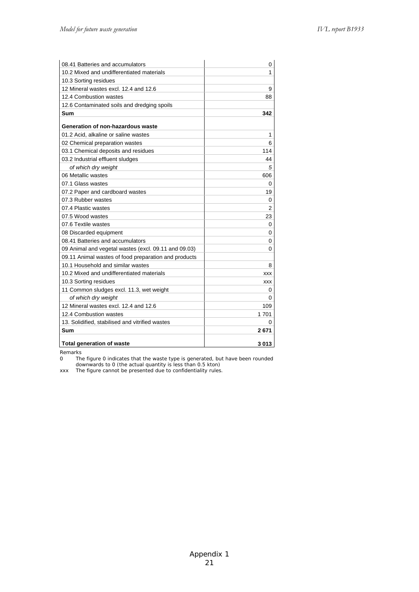| 08.41 Batteries and accumulators                     | 0          |
|------------------------------------------------------|------------|
| 10.2 Mixed and undifferentiated materials            | 1          |
| 10.3 Sorting residues                                |            |
| 12 Mineral wastes excl. 12.4 and 12.6                | 9          |
| 12.4 Combustion wastes                               | 88         |
| 12.6 Contaminated soils and dredging spoils          |            |
| Sum                                                  | 342        |
| Generation of non-hazardous waste                    |            |
| 01.2 Acid, alkaline or saline wastes                 | 1          |
| 02 Chemical preparation wastes                       | 6          |
| 03.1 Chemical deposits and residues                  | 114        |
| 03.2 Industrial effluent sludges                     | 44         |
| of which dry weight                                  | 5          |
| 06 Metallic wastes                                   | 606        |
| 07.1 Glass wastes                                    | 0          |
| 07.2 Paper and cardboard wastes                      | 19         |
| 07.3 Rubber wastes                                   | 0          |
| 07.4 Plastic wastes                                  | 2          |
| 07.5 Wood wastes                                     | 23         |
| 07.6 Textile wastes                                  | 0          |
| 08 Discarded equipment                               | 0          |
| 08.41 Batteries and accumulators                     | 0          |
| 09 Animal and vegetal wastes (excl. 09.11 and 09.03) | 0          |
| 09.11 Animal wastes of food preparation and products |            |
| 10.1 Household and similar wastes                    | 8          |
| 10.2 Mixed and undifferentiated materials            | <b>XXX</b> |
| 10.3 Sorting residues                                | <b>XXX</b> |
| 11 Common sludges excl. 11.3, wet weight             | 0          |
| of which dry weight                                  | 0          |
| 12 Mineral wastes excl. 12.4 and 12.6                | 109        |
| 12.4 Combustion wastes                               | 1701       |
| 13. Solidified, stabilised and vitrified wastes      | 0          |
| Sum                                                  | 2671       |
| <b>Total generation of waste</b>                     | 3013       |

Remarks

0 The figure 0 indicates that the waste type is generated, but have been rounded downwards to 0 (the actual quantity is less than 0.5 kton)

xxx The figure cannot be presented due to confidentiality rules.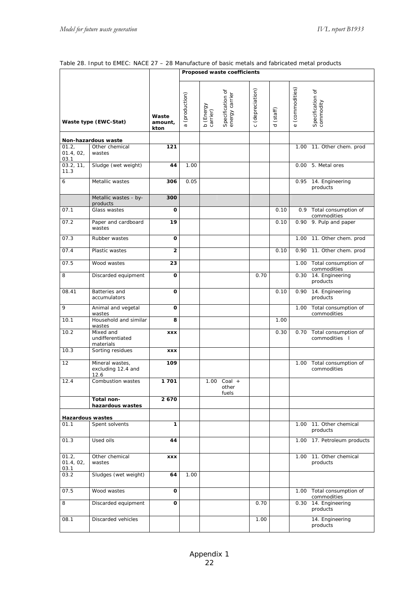#### Table 28. Input to EMEC: NACE 27 – 28 Manufacture of basic metals and fabricated metal products

|                            |                                               |                          | Proposed waste coefficients |                                                             |                           |                     |                         |                                            |  |
|----------------------------|-----------------------------------------------|--------------------------|-----------------------------|-------------------------------------------------------------|---------------------------|---------------------|-------------------------|--------------------------------------------|--|
|                            | Waste type (EWC-Stat)                         | Waste<br>amount,<br>kton | a (production)              | Specification of<br>energy carrier<br>b (Energy<br>carrier) | (depreciation)<br>$\circ$ | (staff)<br>$\sigma$ | (commodities)<br>$\Phi$ | Specification of<br>commodity              |  |
|                            | Non-hazardous waste                           |                          |                             |                                                             |                           |                     |                         |                                            |  |
| 01.2,<br>01.4, 02,<br>03.1 | Other chemical<br>wastes                      | 121                      |                             |                                                             |                           |                     | 1.00                    | 11. Other chem. prod                       |  |
| 03.2, 11,<br>11.3          | Sludge (wet weight)                           | 44                       | 1.00                        |                                                             |                           |                     | 0.00                    | 5. Metal ores                              |  |
| 6                          | Metallic wastes                               | 306                      | 0.05                        |                                                             |                           |                     |                         | 0.95 14. Engineering<br>products           |  |
|                            | Metallic wastes - by-<br>products             | 300                      |                             |                                                             |                           |                     |                         |                                            |  |
| 07.1                       | Glass wastes                                  | O                        |                             |                                                             |                           | 0.10                |                         | 0.9 Total consumption of                   |  |
| 07.2                       | Paper and cardboard<br>wastes                 | 19                       |                             |                                                             |                           | 0.10                |                         | commodities<br>0.90 9. Pulp and paper      |  |
| 07.3                       | Rubber wastes                                 | O                        |                             |                                                             |                           |                     |                         | 1.00 11. Other chem. prod                  |  |
| 07.4                       | Plastic wastes                                | $\overline{2}$           |                             |                                                             |                           | 0.10                |                         | 0.90 11. Other chem. prod                  |  |
| 07.5                       | Wood wastes                                   | 23                       |                             |                                                             |                           |                     |                         | 1.00 Total consumption of<br>commodities   |  |
| 8                          | Discarded equipment                           | O                        |                             |                                                             | 0.70                      |                     |                         | 0.30 14. Engineering<br>products           |  |
| 08.41                      | Batteries and<br>accumulators                 | $\mathbf 0$              |                             |                                                             |                           | 0.10                | 0.90                    | 14. Engineering<br>products                |  |
| 9                          | Animal and vegetal<br>wastes                  | O                        |                             |                                                             |                           |                     | 1.00                    | Total consumption of<br>commodities        |  |
| 10.1                       | Household and similar<br>wastes               | 8                        |                             |                                                             |                           | 1.00                |                         |                                            |  |
| 10.2                       | Mixed and<br>undifferentiated<br>materials    | <b>XXX</b>               |                             |                                                             |                           | 0.30                |                         | 0.70 Total consumption of<br>commodities I |  |
| 10.3                       | Sorting residues                              | <b>XXX</b>               |                             |                                                             |                           |                     |                         |                                            |  |
| 12                         | Mineral wastes,<br>excluding 12.4 and<br>12.6 | 109                      |                             |                                                             |                           |                     |                         | 1.00 Total consumption of<br>commodities   |  |
| 12.4                       | Combustion wastes                             | 1701                     |                             | 1.00 Coal +<br>other<br>fuels                               |                           |                     |                         |                                            |  |
|                            | Total non-<br>hazardous wastes                | 2670                     |                             |                                                             |                           |                     |                         |                                            |  |
| <b>Hazardous wastes</b>    |                                               |                          |                             |                                                             |                           |                     |                         |                                            |  |
| 01.1                       | Spent solvents                                | 1                        |                             |                                                             |                           |                     | 1.00                    | 11. Other chemical<br>products             |  |
| 01.3                       | Used oils                                     | 44                       |                             |                                                             |                           |                     |                         | 1.00 17. Petroleum products                |  |
| 01.2.<br>01.4, 02,<br>03.1 | Other chemical<br>wastes                      | <b>XXX</b>               |                             |                                                             |                           |                     | 1.00                    | 11. Other chemical<br>products             |  |
| 03.2                       | Sludges (wet weight)                          | 64                       | 1.00                        |                                                             |                           |                     |                         |                                            |  |
| 07.5                       | Wood wastes                                   | O                        |                             |                                                             |                           |                     |                         | 1.00 Total consumption of<br>commodities   |  |
| 8                          | Discarded equipment                           | O                        |                             |                                                             | 0.70                      |                     |                         | 0.30 14. Engineering<br>products           |  |
| 08.1                       | Discarded vehicles                            |                          |                             |                                                             | 1.00                      |                     |                         | 14. Engineering<br>products                |  |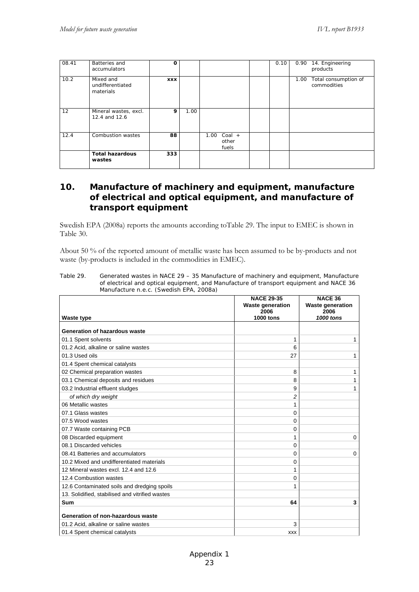| 08.41 | Batteries and<br>accumulators              | O          |      |                                    | 0.10 |      | 0.90 14. Engineering<br>products    |
|-------|--------------------------------------------|------------|------|------------------------------------|------|------|-------------------------------------|
| 10.2  | Mixed and<br>undifferentiated<br>materials | <b>XXX</b> |      |                                    |      | 1.00 | Total consumption of<br>commodities |
| 12    | Mineral wastes, excl.<br>12.4 and 12.6     | 9          | 1.00 |                                    |      |      |                                     |
| 12.4  | Combustion wastes                          | 88         |      | $Coal +$<br>1.00<br>other<br>fuels |      |      |                                     |
|       | <b>Total hazardous</b><br>wastes           | 333        |      |                                    |      |      |                                     |

### **10. Manufacture of machinery and equipment, manufacture of electrical and optical equipment, and manufacture of transport equipment**

Swedish EPA (2008a) reports the amounts according toTable 29. The input to EMEC is shown in Table 30.

About 50 % of the reported amount of metallic waste has been assumed to be by-products and not waste (by-products is included in the commodities in EMEC).

| Table 29. | Generated wastes in NACE 29 – 35 Manufacture of machinery and equipment, Manufacture    |
|-----------|-----------------------------------------------------------------------------------------|
|           | of electrical and optical equipment, and Manufacture of transport equipment and NACE 36 |
|           | Manufacture n.e.c. (Swedish EPA, 2008a)                                                 |

| <b>Waste type</b>                               | <b>NACE 29-35</b><br><b>Waste generation</b><br>2006<br><b>1000 tons</b> | <b>NACE 36</b><br><b>Waste generation</b><br>2006<br>1000 tons |
|-------------------------------------------------|--------------------------------------------------------------------------|----------------------------------------------------------------|
| Generation of hazardous waste                   |                                                                          |                                                                |
| 01.1 Spent solvents                             | 1                                                                        | 1                                                              |
| 01.2 Acid, alkaline or saline wastes            | 6                                                                        |                                                                |
| 01.3 Used oils                                  | 27                                                                       | 1                                                              |
| 01.4 Spent chemical catalysts                   |                                                                          |                                                                |
| 02 Chemical preparation wastes                  | 8                                                                        | 1                                                              |
| 03.1 Chemical deposits and residues             | 8                                                                        | 1                                                              |
| 03.2 Industrial effluent sludges                | 9                                                                        | 1                                                              |
| of which dry weight                             | $\overline{c}$                                                           |                                                                |
| 06 Metallic wastes                              | 1                                                                        |                                                                |
| 07.1 Glass wastes                               | $\Omega$                                                                 |                                                                |
| 07.5 Wood wastes                                | $\Omega$                                                                 |                                                                |
| 07.7 Waste containing PCB                       | 0                                                                        |                                                                |
| 08 Discarded equipment                          | 1                                                                        | $\Omega$                                                       |
| 08.1 Discarded vehicles                         | $\Omega$                                                                 |                                                                |
| 08.41 Batteries and accumulators                | $\Omega$                                                                 | $\Omega$                                                       |
| 10.2 Mixed and undifferentiated materials       | 0                                                                        |                                                                |
| 12 Mineral wastes excl. 12.4 and 12.6           | 1                                                                        |                                                                |
| 12.4 Combustion wastes                          | 0                                                                        |                                                                |
| 12.6 Contaminated soils and dredging spoils     | 1                                                                        |                                                                |
| 13. Solidified, stabilised and vitrified wastes |                                                                          |                                                                |
| Sum                                             | 64                                                                       | 3                                                              |
| Generation of non-hazardous waste               |                                                                          |                                                                |
| 01.2 Acid, alkaline or saline wastes            | 3                                                                        |                                                                |
| 01.4 Spent chemical catalysts                   | <b>XXX</b>                                                               |                                                                |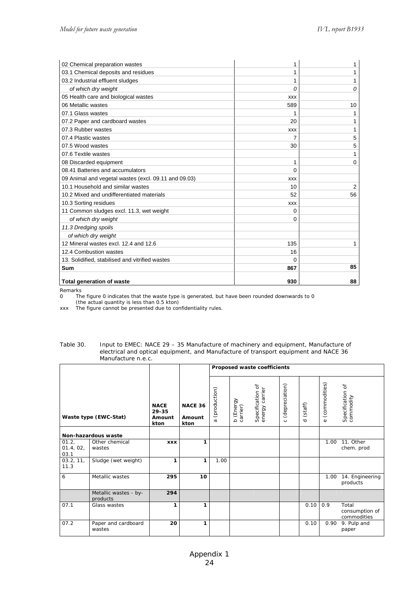| 02 Chemical preparation wastes                       | 1          | 1              |
|------------------------------------------------------|------------|----------------|
| 03.1 Chemical deposits and residues                  | 1          | 1              |
| 03.2 Industrial effluent sludges                     | 1          | 1              |
| of which dry weight                                  | 0          | 0              |
| 05 Health care and biological wastes                 | <b>XXX</b> |                |
| 06 Metallic wastes                                   | 589        | 10             |
| 07.1 Glass wastes                                    |            |                |
| 07.2 Paper and cardboard wastes                      | 20         | 1              |
| 07.3 Rubber wastes                                   | <b>XXX</b> | 1              |
| 07.4 Plastic wastes                                  |            | 5              |
| 07.5 Wood wastes                                     | 30         | 5              |
| 07.6 Textile wastes                                  |            | 1              |
| 08 Discarded equipment                               | 1          | 0              |
| 08.41 Batteries and accumulators                     | 0          |                |
| 09 Animal and vegetal wastes (excl. 09.11 and 09.03) | <b>XXX</b> |                |
| 10.1 Household and similar wastes                    | 10         | $\overline{2}$ |
| 10.2 Mixed and undifferentiated materials            | 52         | 56             |
| 10.3 Sorting residues                                | <b>XXX</b> |                |
| 11 Common sludges excl. 11.3, wet weight             | 0          |                |
| of which dry weight                                  | 0          |                |
| 11.3 Dredging spoils                                 |            |                |
| of which dry weight                                  |            |                |
| 12 Mineral wastes excl. 12.4 and 12.6                | 135        | 1              |
| 12.4 Combustion wastes                               | 16         |                |
| 13. Solidified, stabilised and vitrified wastes      | 0          |                |
| Sum                                                  | 867        | 85             |
| <b>Total generation of waste</b>                     | 930        | 88             |

Remarks<br>0 The 0 The figure 0 indicates that the waste type is generated, but have been rounded downwards to 0 (the actual quantity is less than 0.5 kton)

xxx The figure cannot be presented due to confidentiality rules.

#### Table 30. Input to EMEC: NACE 29 – 35 Manufacture of machinery and equipment, Manufacture of electrical and optical equipment, and Manufacture of transport equipment and NACE 36 Manufacture n.e.c.

|                            |                                   |                                        |                                  | Proposed waste coefficients |                       |                                    |                           |                     |                           |                                        |
|----------------------------|-----------------------------------|----------------------------------------|----------------------------------|-----------------------------|-----------------------|------------------------------------|---------------------------|---------------------|---------------------------|----------------------------------------|
|                            | Waste type (EWC-Stat)             | <b>NACE</b><br>29-35<br>Amount<br>kton | <b>NACE 36</b><br>Amount<br>kton | (production)<br>$\sigma$    | b (Energy<br>carrier) | Specification of<br>energy carrier | (depreciation)<br>$\circ$ | (staff)<br>$\sigma$ | (commodities)<br>$\omega$ | Specification of<br>commodity          |
|                            | Non-hazardous waste               |                                        |                                  |                             |                       |                                    |                           |                     |                           |                                        |
| 01.2,<br>01.4, 02,<br>03.1 | Other chemical<br>wastes          | <b>XXX</b>                             | 1                                |                             |                       |                                    |                           |                     | 1.00                      | 11. Other<br>chem. prod                |
| 03.2, 11,<br>11.3          | Sludge (wet weight)               | 1                                      | 1                                | 1.00                        |                       |                                    |                           |                     |                           |                                        |
| 6                          | Metallic wastes                   | 295                                    | 10                               |                             |                       |                                    |                           |                     | 1.00                      | 14. Engineering<br>products            |
|                            | Metallic wastes - by-<br>products | 294                                    |                                  |                             |                       |                                    |                           |                     |                           |                                        |
| 07.1                       | Glass wastes                      | 1                                      | 1                                |                             |                       |                                    |                           | 0.10                | 0.9                       | Total<br>consumption of<br>commodities |
| 07.2                       | Paper and cardboard<br>wastes     | 20                                     | 1                                |                             |                       |                                    |                           | 0.10                | 0.90                      | 9. Pulp and<br>paper                   |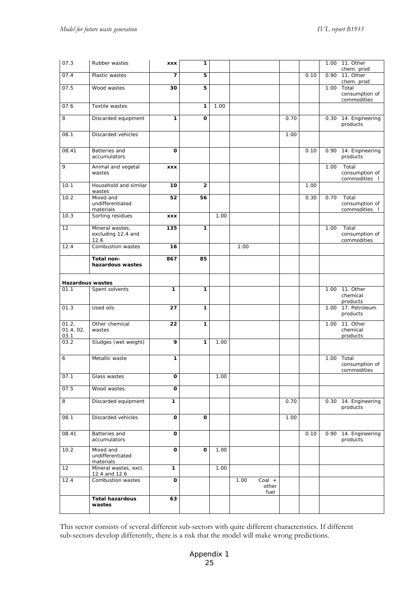| 07.3                       | Rubber wastes                                 | <b>XXX</b>   | 1            |      |      |                         |      |      | 1.00 | 11. Other                              |
|----------------------------|-----------------------------------------------|--------------|--------------|------|------|-------------------------|------|------|------|----------------------------------------|
| 07.4                       | Plastic wastes                                | 7            | 5            |      |      |                         |      | 0.10 | 0.90 | chem. prod<br>11. Other                |
|                            |                                               |              |              |      |      |                         |      |      |      | chem. prod                             |
| 07.5                       | Wood wastes                                   | 30           | 5            |      |      |                         |      |      | 1.00 | Total<br>consumption of                |
|                            |                                               |              |              |      |      |                         |      |      |      | commodities                            |
| 07.6                       | Textile wastes                                |              | 1            | 1.00 |      |                         |      |      |      |                                        |
| 8                          | Discarded equipment                           | 1            | O            |      |      |                         | 0.70 |      | 0.30 | 14. Engineering<br>products            |
| 08.1                       | Discarded vehicles                            |              |              |      |      |                         | 1.00 |      |      |                                        |
| 08.41                      | Batteries and<br>accumulators                 | o            |              |      |      |                         |      | 0.10 | 0.90 | 14. Engineering<br>products            |
| 9                          | Animal and vegetal<br>wastes                  | <b>XXX</b>   |              |      |      |                         |      |      | 1.00 | Total<br>consumption of<br>commodities |
| 10.1                       | Household and similar<br>wastes               | 10           | $\mathbf 2$  |      |      |                         |      | 1.00 |      |                                        |
| 10.2                       | Mixed and<br>undifferentiated<br>materials    | 52           | 56           |      |      |                         |      | 0.30 | 0.70 | Total<br>consumption of<br>commodities |
| 10.3                       | Sorting residues                              | <b>XXX</b>   |              | 1.00 |      |                         |      |      |      |                                        |
| 12                         | Mineral wastes,<br>excluding 12.4 and<br>12.6 | 135          | 1            |      |      |                         |      |      | 1.00 | Total<br>consumption of<br>commodities |
| 12.4                       | Combustion wastes                             | 16           |              |      | 1.00 |                         |      |      |      |                                        |
|                            | Total non-<br>hazardous wastes                | 867          | 85           |      |      |                         |      |      |      |                                        |
| <b>Hazardous wastes</b>    |                                               |              |              |      |      |                         |      |      |      |                                        |
| 01.1                       | Spent solvents                                | 1            | 1            |      |      |                         |      |      | 1.00 | 11. Other<br>chemical<br>products      |
| 01.3                       | Used oils                                     | 27           | 1            |      |      |                         |      |      | 1.00 | 17. Petroleum<br>products              |
| 01.2,<br>01.4, 02,<br>03.1 | Other chemical<br>wastes                      | 22           | $\mathbf{1}$ |      |      |                         |      |      | 1.00 | 11. Other<br>chemical<br>products      |
| 03.2                       | Sludges (wet weight)                          | 9            | 1            | 1.00 |      |                         |      |      |      |                                        |
| 6                          | Metallic waste                                | 1            |              |      |      |                         |      |      | 1.00 | Total<br>consumption of<br>commodities |
| 07.1                       | Glass wastes                                  | O            |              | 1.00 |      |                         |      |      |      |                                        |
| 07.5                       | Wood wastes                                   | $\mathbf{o}$ |              |      |      |                         |      |      |      |                                        |
| 8                          | Discarded equipment                           | 1            |              |      |      |                         | 0.70 |      |      | 0.30 14. Engineering<br>products       |
| 08.1                       | Discarded vehicles                            | O            | O            |      |      |                         | 1.00 |      |      |                                        |
| 08.41                      | Batteries and<br>accumulators                 | $\mathbf{o}$ |              |      |      |                         |      | 0.10 |      | 0.90 14. Engineering<br>products       |
| 10.2                       | Mixed and<br>undifferentiated<br>materials    | $\mathbf 0$  | O            | 1.00 |      |                         |      |      |      |                                        |
| 12                         | Mineral wastes, excl.<br>12.4 and 12.6        | 1            |              | 1.00 |      |                         |      |      |      |                                        |
| 12.4                       | Combustion wastes                             | O            |              |      | 1.00 | Coal +<br>other<br>fuel |      |      |      |                                        |
|                            | <b>Total hazardous</b><br>wastes              | 63           |              |      |      |                         |      |      |      |                                        |

This sector consists of several different sub-sectors with quite different characteristics. If different sub-sectors develop differently, there is a risk that the model will make wrong predictions.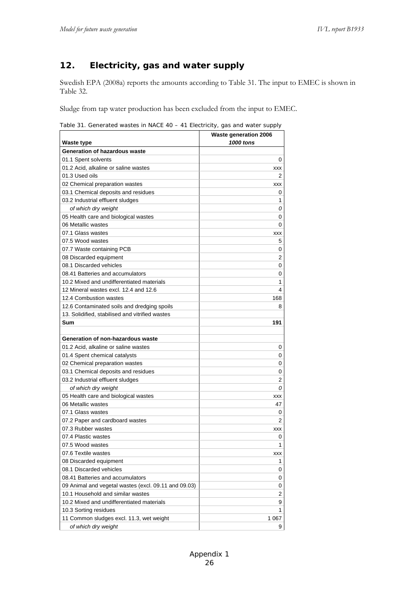## **12. Electricity, gas and water supply**

Swedish EPA (2008a) reports the amounts according to Table 31. The input to EMEC is shown in Table 32.

Sludge from tap water production has been excluded from the input to EMEC.

Table 31. Generated wastes in NACE 40 – 41 Electricity, gas and water supply

|                                                      | <b>Waste generation 2006</b> |
|------------------------------------------------------|------------------------------|
| Waste type                                           | 1000 tons                    |
| Generation of hazardous waste                        |                              |
| 01.1 Spent solvents                                  | 0                            |
| 01.2 Acid, alkaline or saline wastes                 | <b>XXX</b>                   |
| 01.3 Used oils                                       | 2                            |
| 02 Chemical preparation wastes                       | XXX                          |
| 03.1 Chemical deposits and residues                  | 0                            |
| 03.2 Industrial effluent sludges                     | 1                            |
| of which dry weight                                  | 0                            |
| 05 Health care and biological wastes                 | 0                            |
| 06 Metallic wastes                                   | 0                            |
| 07.1 Glass wastes                                    | XXX                          |
| 07.5 Wood wastes                                     | 5                            |
| 07.7 Waste containing PCB                            | 0                            |
| 08 Discarded equipment                               | 2                            |
| 08.1 Discarded vehicles                              | 0                            |
| 08.41 Batteries and accumulators                     | 0                            |
| 10.2 Mixed and undifferentiated materials            | 1                            |
| 12 Mineral wastes excl. 12.4 and 12.6                | 4                            |
| 12.4 Combustion wastes                               | 168                          |
| 12.6 Contaminated soils and dredging spoils          | 8                            |
| 13. Solidified, stabilised and vitrified wastes      |                              |
| Sum                                                  | 191                          |
|                                                      |                              |
| Generation of non-hazardous waste                    |                              |
| 01.2 Acid, alkaline or saline wastes                 | 0                            |
| 01.4 Spent chemical catalysts                        | 0                            |
| 02 Chemical preparation wastes                       | 0                            |
| 03.1 Chemical deposits and residues                  | 0                            |
| 03.2 Industrial effluent sludges                     | 2                            |
| of which dry weight                                  | 0                            |
| 05 Health care and biological wastes                 | <b>XXX</b>                   |
| 06 Metallic wastes                                   | 47                           |
| 07.1 Glass wastes                                    | 0                            |
| 07.2 Paper and cardboard wastes                      | 2                            |
| 07.3 Rubber wastes                                   | XXX                          |
| 07.4 Plastic wastes                                  | 0                            |
| 07.5 Wood wastes                                     | 1                            |
| 07.6 Textile wastes                                  | XXX                          |
| 08 Discarded equipment                               | 1                            |
| 08.1 Discarded vehicles                              | 0                            |
| 08.41 Batteries and accumulators                     | 0                            |
| 09 Animal and vegetal wastes (excl. 09.11 and 09.03) | 0                            |
| 10.1 Household and similar wastes                    | $\overline{\mathbf{c}}$      |
| 10.2 Mixed and undifferentiated materials            | 9                            |
| 10.3 Sorting residues                                | 1                            |
| 11 Common sludges excl. 11.3, wet weight             | 1 067                        |
| of which dry weight                                  | 9                            |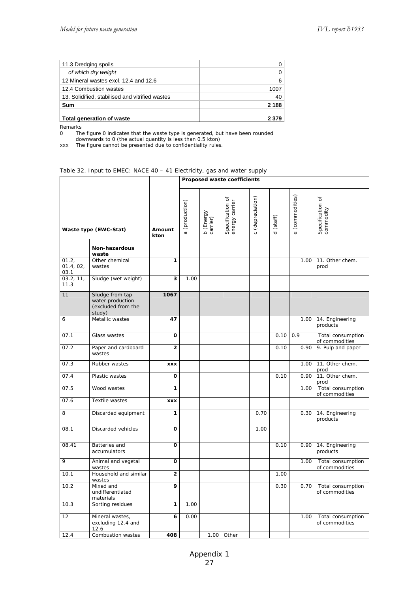| 11.3 Dredging spoils                            |         |
|-------------------------------------------------|---------|
| of which dry weight                             |         |
| 12 Mineral wastes excl. 12.4 and 12.6           |         |
| 12.4 Combustion wastes                          | 1007    |
| 13. Solidified, stabilised and vitrified wastes | 40      |
| Sum                                             | 2 1 8 8 |
| Total generation of waste                       | 2 370   |

Remarks<br>0 The

0 The figure 0 indicates that the waste type is generated, but have been rounded downwards to 0 (the actual quantity is less than 0.5 kton)

xxx The figure cannot be presented due to confidentiality rules.

#### Table 32. Input to EMEC: NACE 40 – 41 Electricity, gas and water supply

|                            |                                                                     |                         | Proposed waste coefficients |                       |                                    |                  |           |                           |                                     |
|----------------------------|---------------------------------------------------------------------|-------------------------|-----------------------------|-----------------------|------------------------------------|------------------|-----------|---------------------------|-------------------------------------|
| Waste type (EWC-Stat)      |                                                                     | Amount<br>kton          | a (production)              | b (Energy<br>carrier) | Specification of<br>energy carrier | c (depreciation) | d (staff) | (commodities)<br>$\omega$ | Specification of<br>commodity       |
|                            | Non-hazardous<br>waste                                              |                         |                             |                       |                                    |                  |           |                           |                                     |
| 01.2,<br>01.4, 02,<br>03.1 | Other chemical<br>wastes                                            | 1                       |                             |                       |                                    |                  |           | 1.00                      | 11. Other chem.<br>prod             |
| 03.2, 11,<br>11.3          | Sludge (wet weight)                                                 | 3                       | 1.00                        |                       |                                    |                  |           |                           |                                     |
| 11                         | Sludge from tap<br>water production<br>(excluded from the<br>study) | 1067                    |                             |                       |                                    |                  |           |                           |                                     |
| 6                          | Metallic wastes                                                     | 47                      |                             |                       |                                    |                  |           | 1.00                      | 14. Engineering<br>products         |
| 07.1                       | Glass wastes                                                        | O                       |                             |                       |                                    |                  | 0.10      | 0.9                       | Total consumption<br>of commodities |
| 07.2                       | Paper and cardboard<br>wastes                                       | $\overline{2}$          |                             |                       |                                    |                  | 0.10      | 0.90                      | 9. Pulp and paper                   |
| 07.3                       | Rubber wastes                                                       | <b>XXX</b>              |                             |                       |                                    |                  |           | 1.00                      | 11. Other chem.<br>prod             |
| 07.4                       | Plastic wastes                                                      | O                       |                             |                       |                                    |                  | 0.10      | 0.90                      | 11. Other chem.<br>prod             |
| 07.5                       | Wood wastes                                                         | 1                       |                             |                       |                                    |                  |           | 1.00                      | Total consumption<br>of commodities |
| 07.6                       | <b>Textile wastes</b>                                               | <b>XXX</b>              |                             |                       |                                    |                  |           |                           |                                     |
| 8                          | Discarded equipment                                                 | 1                       |                             |                       |                                    | 0.70             |           | 0.30                      | 14. Engineering<br>products         |
| 08.1                       | Discarded vehicles                                                  | O                       |                             |                       |                                    | 1.00             |           |                           |                                     |
| 08.41                      | Batteries and<br>accumulators                                       | O                       |                             |                       |                                    |                  | 0.10      | 0.90                      | 14. Engineering<br>products         |
| 9                          | Animal and vegetal<br>wastes                                        | O                       |                             |                       |                                    |                  |           | 1.00                      | Total consumption<br>of commodities |
| 10.1                       | Household and similar<br>wastes                                     | $\overline{\mathbf{c}}$ |                             |                       |                                    |                  | 1.00      |                           |                                     |
| 10.2                       | Mixed and<br>undifferentiated<br>materials                          | 9                       |                             |                       |                                    |                  | 0.30      | 0.70                      | Total consumption<br>of commodities |
| 10.3                       | Sorting residues                                                    | 1                       | 1.00                        |                       |                                    |                  |           |                           |                                     |
| 12                         | Mineral wastes,<br>excluding 12.4 and<br>12.6                       | 6                       | 0.00                        |                       |                                    |                  |           | 1.00                      | Total consumption<br>of commodities |
| 12.4                       | Combustion wastes                                                   | 408                     |                             | 1.00                  | Other                              |                  |           |                           |                                     |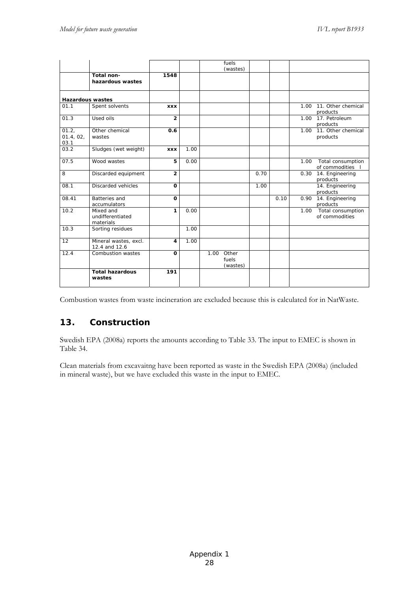|                            |                                            |                |      | fuels<br>(wastes)               |      |      |      |                                          |
|----------------------------|--------------------------------------------|----------------|------|---------------------------------|------|------|------|------------------------------------------|
|                            | Total non-<br>hazardous wastes             | 1548           |      |                                 |      |      |      |                                          |
| <b>Hazardous wastes</b>    |                                            |                |      |                                 |      |      |      |                                          |
| 01.1                       | Spent solvents                             | <b>XXX</b>     |      |                                 |      |      | 1.00 | 11. Other chemical<br>products           |
| 01.3                       | Used oils                                  | $\overline{2}$ |      |                                 |      |      |      | 1.00 17. Petroleum<br>products           |
| 01.2,<br>01.4, 02,<br>03.1 | Other chemical<br>wastes                   | 0.6            |      |                                 |      |      | 1.00 | 11. Other chemical<br>products           |
| 03.2                       | Sludges (wet weight)                       | <b>XXX</b>     | 1.00 |                                 |      |      |      |                                          |
| 07.5                       | Wood wastes                                | 5              | 0.00 |                                 |      |      | 1.00 | Total consumption<br>of commodities      |
| 8                          | Discarded equipment                        | $\overline{2}$ |      |                                 | 0.70 |      | 0.30 | 14. Engineering<br>products              |
| 08.1                       | Discarded vehicles                         | $\Omega$       |      |                                 | 1.00 |      |      | 14. Engineering<br>products              |
| 08.41                      | <b>Batteries and</b><br>accumulators       | O              |      |                                 |      | 0.10 | 0.90 | 14. Engineering<br>products              |
| 10.2                       | Mixed and<br>undifferentiated<br>materials | 1              | 0.00 |                                 |      |      |      | 1.00 Total consumption<br>of commodities |
| 10.3                       | Sorting residues                           |                | 1.00 |                                 |      |      |      |                                          |
| 12                         | Mineral wastes, excl.<br>12.4 and 12.6     | 4              | 1.00 |                                 |      |      |      |                                          |
| 12.4                       | Combustion wastes                          | O              |      | 1.00 Other<br>fuels<br>(wastes) |      |      |      |                                          |
|                            | <b>Total hazardous</b><br>wastes           | 191            |      |                                 |      |      |      |                                          |

Combustion wastes from waste incineration are excluded because this is calculated for in NatWaste.

## **13. Construction**

Swedish EPA (2008a) reports the amounts according to Table 33. The input to EMEC is shown in Table 34.

Clean materials from excavaitng have been reported as waste in the Swedish EPA (2008a) (included in mineral waste), but we have excluded this waste in the input to EMEC.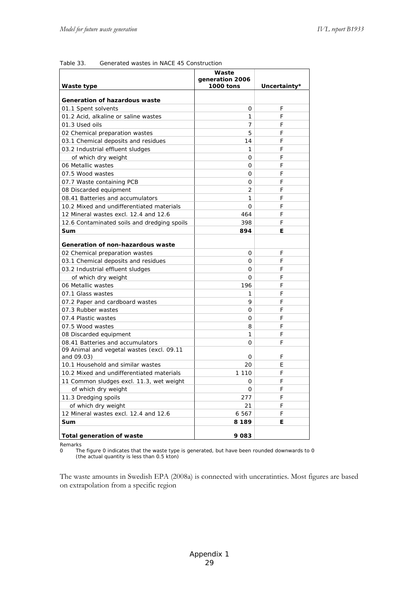|                                             | Waste<br>generation 2006 |              |
|---------------------------------------------|--------------------------|--------------|
| Waste type                                  | 1000 tons                | Uncertainty* |
| Generation of hazardous waste               |                          |              |
| 01.1 Spent solvents                         | 0                        | F            |
| 01.2 Acid, alkaline or saline wastes        | 1                        | F            |
| 01.3 Used oils                              | 7                        | F            |
| 02 Chemical preparation wastes              | 5                        | F            |
| 03.1 Chemical deposits and residues         | 14                       | F            |
| 03.2 Industrial effluent sludges            | 1                        | F            |
| of which dry weight                         | 0                        | F            |
| 06 Metallic wastes                          | 0                        | F            |
| 07.5 Wood wastes                            | 0                        | F            |
| 07.7 Waste containing PCB                   | 0                        | F            |
| 08 Discarded equipment                      | 2                        | F            |
| 08.41 Batteries and accumulators            | 1                        | F            |
| 10.2 Mixed and undifferentiated materials   | 0                        | F            |
| 12 Mineral wastes excl. 12.4 and 12.6       | 464                      | F            |
| 12.6 Contaminated soils and dredging spoils | 398                      | F            |
| Sum                                         | 894                      | Е            |
| Generation of non-hazardous waste           |                          |              |
| 02 Chemical preparation wastes              | 0                        | F            |
| 03.1 Chemical deposits and residues         | 0                        | F            |
| 03.2 Industrial effluent sludges            | 0                        | F            |
| of which dry weight                         | 0                        | F            |
| 06 Metallic wastes                          | 196                      | F            |
| 07.1 Glass wastes                           | 1                        | F            |
| 07.2 Paper and cardboard wastes             | 9                        | F            |
| 07.3 Rubber wastes                          | 0                        | F            |
| 07.4 Plastic wastes                         | 0                        | F            |
| 07.5 Wood wastes                            | 8                        | F            |
| 08 Discarded equipment                      | 1                        | F            |
| 08.41 Batteries and accumulators            | 0                        | F            |
| 09 Animal and vegetal wastes (excl. 09.11   |                          |              |
| and 09.03)                                  | 0                        | F            |
| 10.1 Household and similar wastes           | 20                       | Е            |
| 10.2 Mixed and undifferentiated materials   | 1 1 1 0                  | F            |
| 11 Common sludges excl. 11.3, wet weight    | 0                        | F            |
| of which dry weight                         | 0                        | F            |
| 11.3 Dredging spoils                        | 277                      | F            |
| of which dry weight                         | 21                       | F            |
| 12 Mineral wastes excl. 12.4 and 12.6       | 6 5 6 7                  | F            |
| Sum                                         | 8 189                    | E            |
| <b>Total generation of waste</b>            | 9 083                    |              |
| Remarks                                     |                          |              |

Table 33. Generated wastes in NACE 45 Construction

0 The figure 0 indicates that the waste type is generated, but have been rounded downwards to 0 (the actual quantity is less than 0.5 kton)

The waste amounts in Swedish EPA (2008a) is connected with unceratinties. Most figures are based on extrapolation from a specific region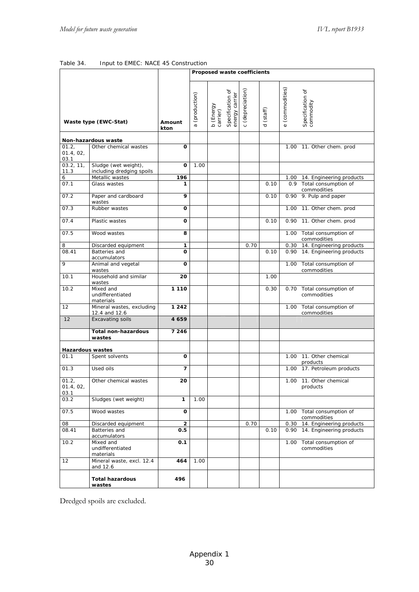| Table 34. |  |  | Input to EMEC: NACE 45 Construction |
|-----------|--|--|-------------------------------------|
|           |  |  |                                     |

|                            |                                                   |                |                | Proposed waste coefficients               |                                             |                     |                           |                                          |
|----------------------------|---------------------------------------------------|----------------|----------------|-------------------------------------------|---------------------------------------------|---------------------|---------------------------|------------------------------------------|
|                            | Waste type (EWC-Stat)                             | Amount<br>kton | a (production) | Specification of<br>b (Energy<br>carrier) | (depreciation)<br>energy carrier<br>$\circ$ | (staff)<br>$\sigma$ | (commodities)<br>$\omega$ | Specification of<br>commodity            |
|                            | Non-hazardous waste                               |                |                |                                           |                                             |                     |                           |                                          |
| 01.2,<br>01.4, 02,<br>03.1 | Other chemical wastes                             | O              |                |                                           |                                             |                     |                           | 1.00 11. Other chem. prod                |
| 03.2.11.<br>11.3           | Sludge (wet weight),<br>including dredging spoils | 0              | 1.00           |                                           |                                             |                     |                           |                                          |
| 6                          | Metallic wastes                                   | 196            |                |                                           |                                             |                     |                           | 1.00 14. Engineering products            |
| 07.1                       | Glass wastes                                      | 1              |                |                                           |                                             | 0.10                |                           | 0.9 Total consumption of<br>commodities  |
| 07.2                       | Paper and cardboard<br>wastes                     | 9              |                |                                           |                                             | 0.10                |                           | 0.90 9. Pulp and paper                   |
| 07.3                       | Rubber wastes                                     | O              |                |                                           |                                             |                     | 1.00                      | 11. Other chem. prod                     |
| 07.4                       | Plastic wastes                                    | 0              |                |                                           |                                             | 0.10                |                           | 0.90 11. Other chem. prod                |
| 07.5                       | Wood wastes                                       | 8              |                |                                           |                                             |                     |                           | 1.00 Total consumption of<br>commodities |
| 8                          | Discarded equipment                               | 1              |                |                                           | 0.70                                        |                     |                           | 0.30 14. Engineering products            |
| 08.41                      | Batteries and<br>accumulators                     | O              |                |                                           |                                             | 0.10                |                           | 0.90 14. Engineering products            |
| 9                          | Animal and vegetal<br>wastes                      | O              |                |                                           |                                             |                     |                           | 1.00 Total consumption of<br>commodities |
| 10.1                       | Household and similar<br>wastes                   | 20             |                |                                           |                                             | 1.00                |                           |                                          |
| 10.2                       | Mixed and<br>undifferentiated<br>materials        | 1 1 1 0        |                |                                           |                                             | 0.30                |                           | 0.70 Total consumption of<br>commodities |
| 12                         | Mineral wastes, excluding<br>12.4 and 12.6        | 1 2 4 2        |                |                                           |                                             |                     |                           | 1.00 Total consumption of<br>commodities |
| 12                         | <b>Excavating soils</b>                           | 4659           |                |                                           |                                             |                     |                           |                                          |
|                            | <b>Total non-hazardous</b><br>wastes              | 7 2 4 6        |                |                                           |                                             |                     |                           |                                          |
| <b>Hazardous wastes</b>    |                                                   |                |                |                                           |                                             |                     |                           |                                          |
| 01.1                       | Spent solvents                                    | o              |                |                                           |                                             |                     | 1.00                      | 11. Other chemical<br>products           |
| 01.3                       | Used oils                                         | 7              |                |                                           |                                             |                     | 1.00                      | 17. Petroleum products                   |
| 01.2,<br>01.4, 02,<br>03.1 | Other chemical wastes                             | 20             |                |                                           |                                             |                     |                           | 1.00 11. Other chemical<br>products      |
| 03.2                       | Sludges (wet weight)                              | 1              | 1.00           |                                           |                                             |                     |                           |                                          |
| 07.5                       | Wood wastes                                       | 0              |                |                                           |                                             |                     |                           | 1.00 Total consumption of<br>commodities |
| 08                         | Discarded equipment                               | $\overline{2}$ |                |                                           | 0.70                                        |                     | 0.30                      | 14. Engineering products                 |
| 08.41                      | Batteries and<br>accumulators                     | 0.5            |                |                                           |                                             | 0.10                |                           | 0.90 14. Engineering products            |
| 10.2                       | Mixed and<br>undifferentiated<br>materials        | 0.1            |                |                                           |                                             |                     | 1.00                      | Total consumption of<br>commodities      |
| 12                         | Mineral waste, excl. 12.4<br>and 12.6             | 464            | 1.00           |                                           |                                             |                     |                           |                                          |
|                            | <b>Total hazardous</b><br>wastes                  | 496            |                |                                           |                                             |                     |                           |                                          |

Dredged spoils are excluded.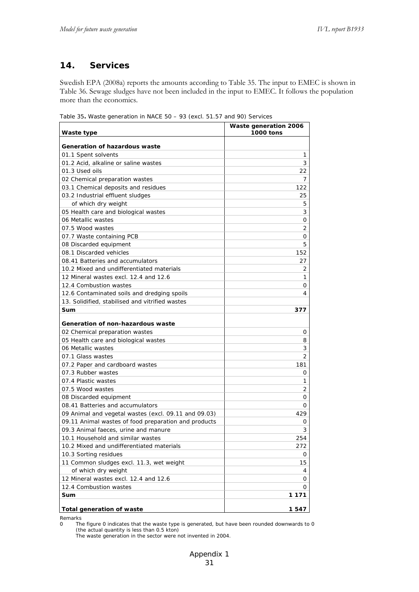## **14. Services**

Swedish EPA (2008a) reports the amounts according to Table 35. The input to EMEC is shown in Table 36. Sewage sludges have not been included in the input to EMEC. It follows the population more than the economics.

| Waste type                                           | Waste generation 2006<br><b>1000 tons</b> |
|------------------------------------------------------|-------------------------------------------|
| <b>Generation of hazardous waste</b>                 |                                           |
| 01.1 Spent solvents                                  | 1                                         |
| 01.2 Acid, alkaline or saline wastes                 | 3                                         |
| 01.3 Used oils                                       | 22                                        |
| 02 Chemical preparation wastes                       | 7                                         |
| 03.1 Chemical deposits and residues                  | 122                                       |
| 03.2 Industrial effluent sludges                     | 25                                        |
| of which dry weight                                  | 5                                         |
| 05 Health care and biological wastes                 | 3                                         |
| 06 Metallic wastes                                   | 0                                         |
| 07.5 Wood wastes                                     | 2                                         |
| 07.7 Waste containing PCB                            | 0                                         |
| 08 Discarded equipment                               | 5                                         |
| 08.1 Discarded vehicles                              | 152                                       |
| 08.41 Batteries and accumulators                     | 27                                        |
| 10.2 Mixed and undifferentiated materials            | 2                                         |
| 12 Mineral wastes excl. 12.4 and 12.6                | 1                                         |
| 12.4 Combustion wastes                               | 0                                         |
| 12.6 Contaminated soils and dredging spoils          | 4                                         |
| 13. Solidified, stabilised and vitrified wastes      |                                           |
| Sum                                                  | 377                                       |
|                                                      |                                           |
| Generation of non-hazardous waste                    |                                           |
| 02 Chemical preparation wastes                       | 0                                         |
| 05 Health care and biological wastes                 | 8                                         |
| 06 Metallic wastes                                   | 3                                         |
| 07.1 Glass wastes                                    | 2                                         |
| 07.2 Paper and cardboard wastes                      | 181                                       |
| 07.3 Rubber wastes                                   | 0                                         |
| 07.4 Plastic wastes                                  | 1                                         |
| 07.5 Wood wastes                                     | 2                                         |
| 08 Discarded equipment                               | 0                                         |
| 08.41 Batteries and accumulators                     | 0                                         |
| 09 Animal and vegetal wastes (excl. 09.11 and 09.03) | 429                                       |
| 09.11 Animal wastes of food preparation and products | 0                                         |
| 09.3 Animal faeces, urine and manure                 | 3                                         |
| 10.1 Household and similar wastes                    | 254                                       |
| 10.2 Mixed and undifferentiated materials            | 272                                       |
| 10.3 Sorting residues                                | 0                                         |
| 11 Common sludges excl. 11.3, wet weight             | 15                                        |
| of which dry weight                                  | 4                                         |
| 12 Mineral wastes excl. 12.4 and 12.6                | 0                                         |
| 12.4 Combustion wastes                               | 0                                         |
| Sum                                                  | 1 1 7 1                                   |
| <b>Total generation of waste</b>                     | 1547                                      |

Table 35**.** Waste generation in NACE 50 – 93 (excl. 51.57 and 90) Services

Remarks

0 The figure 0 indicates that the waste type is generated, but have been rounded downwards to 0 (the actual quantity is less than 0.5 kton)

The waste generation in the sector were not invented in 2004.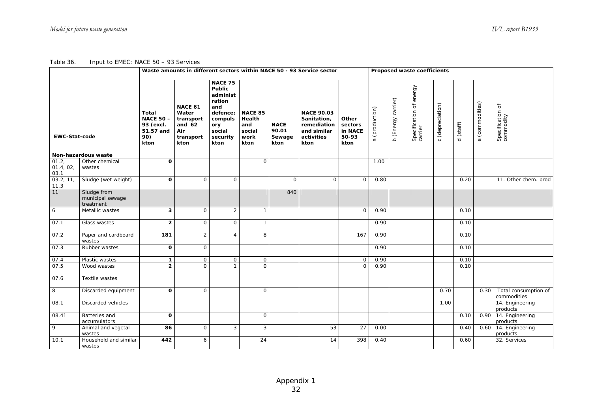Table 36. Input to EMEC: NACE 50 – 93 Services

|                           |                                              |                                                                                                                                                                                                                                                                                                                                                                     | Waste amounts in different sectors within NACE 50 - 93 Service sector |                |                                                                                      |                                              | Proposed waste coefficients |                                                                             |                  |                     |                 |                               |      |                                     |  |  |  |
|---------------------------|----------------------------------------------|---------------------------------------------------------------------------------------------------------------------------------------------------------------------------------------------------------------------------------------------------------------------------------------------------------------------------------------------------------------------|-----------------------------------------------------------------------|----------------|--------------------------------------------------------------------------------------|----------------------------------------------|-----------------------------|-----------------------------------------------------------------------------|------------------|---------------------|-----------------|-------------------------------|------|-------------------------------------|--|--|--|
| <b>EWC-Stat-code</b>      |                                              | <b>NACE 75</b><br>Public<br>administ<br>ration<br>NACE 61<br>and<br>Water<br>defence:<br><b>NACE 85</b><br><b>Total</b><br><b>NACE 50-</b><br>Health<br>transport<br>compuls<br>and $62$<br>93 (excl.<br>and<br><b>NACE</b><br>ory<br>90.01<br>51.57 and<br>Air<br>social<br>social<br>security<br>90)<br>transport<br>work<br>kton<br>kton<br>kton<br>kton<br>kton |                                                                       | Sewage         | <b>NACE 90.03</b><br>Sanitation,<br>remediation<br>and similar<br>activities<br>kton | Other<br>sectors<br>in NACE<br>50-93<br>kton | (production)<br>$\sigma$    | Specification of energy<br>carrier<br>(Energy carrier)<br>$\mathbf{\Omega}$ | c (depreciation) | (staff)<br>$\sigma$ | e (commodities) | Specification of<br>commodity |      |                                     |  |  |  |
|                           | Non-hazardous waste                          |                                                                                                                                                                                                                                                                                                                                                                     |                                                                       |                |                                                                                      |                                              |                             |                                                                             |                  |                     |                 |                               |      |                                     |  |  |  |
| 01.2<br>01.4, 02,<br>03.1 | Other chemical<br>wastes                     | $\Omega$                                                                                                                                                                                                                                                                                                                                                            |                                                                       |                | $\mathsf{O}$                                                                         |                                              |                             |                                                                             | 1.00             |                     |                 |                               |      |                                     |  |  |  |
| 03.2, 11,<br>11.3         | Sludge (wet weight)                          | $\mathbf{o}$                                                                                                                                                                                                                                                                                                                                                        | $\mathbf 0$                                                           | $\mathsf{O}$   |                                                                                      | $\mathsf{O}$                                 | $\mathsf{O}$                | $\circ$                                                                     | 0.80             |                     |                 | 0.20                          |      | 11. Other chem. prod                |  |  |  |
| 11                        | Sludge from<br>municipal sewage<br>treatment |                                                                                                                                                                                                                                                                                                                                                                     |                                                                       |                |                                                                                      | 840                                          |                             |                                                                             |                  |                     |                 |                               |      |                                     |  |  |  |
| 6                         | Metallic wastes                              | 3                                                                                                                                                                                                                                                                                                                                                                   | $\mathbf 0$                                                           | $\overline{2}$ | $\mathbf{1}$                                                                         |                                              |                             | $\Omega$                                                                    | 0.90             |                     |                 | 0.10                          |      |                                     |  |  |  |
| 07.1                      | Glass wastes                                 | $\overline{2}$                                                                                                                                                                                                                                                                                                                                                      | $\circ$                                                               | $\mathbf 0$    | $\mathbf{1}$                                                                         |                                              |                             |                                                                             | 0.90             |                     |                 | 0.10                          |      |                                     |  |  |  |
| 07.2                      | Paper and cardboard<br>wastes                | 181                                                                                                                                                                                                                                                                                                                                                                 | $\overline{2}$                                                        | $\overline{4}$ | 8                                                                                    |                                              |                             | 167                                                                         | 0.90             |                     |                 | 0.10                          |      |                                     |  |  |  |
| 07.3                      | Rubber wastes                                | $\mathbf{o}$                                                                                                                                                                                                                                                                                                                                                        | $\mathsf{O}$                                                          |                |                                                                                      |                                              |                             |                                                                             | 0.90             |                     |                 | 0.10                          |      |                                     |  |  |  |
| 07.4                      | Plastic wastes                               | $\mathbf{1}$                                                                                                                                                                                                                                                                                                                                                        | $\mathsf{O}$                                                          | $\mathbf 0$    | $\mathsf{O}$                                                                         |                                              |                             | $\mathbf 0$                                                                 | 0.90             |                     |                 | 0.10                          |      |                                     |  |  |  |
| 07.5                      | Wood wastes                                  | $\overline{2}$                                                                                                                                                                                                                                                                                                                                                      | $\Omega$                                                              | $\mathbf{1}$   | $\Omega$                                                                             |                                              |                             | $\Omega$                                                                    | 0.90             |                     |                 | 0.10                          |      |                                     |  |  |  |
| 07.6                      | Textile wastes                               |                                                                                                                                                                                                                                                                                                                                                                     |                                                                       |                |                                                                                      |                                              |                             |                                                                             |                  |                     |                 |                               |      |                                     |  |  |  |
| 8                         | Discarded equipment                          | $\Omega$                                                                                                                                                                                                                                                                                                                                                            | $\mathbf 0$                                                           |                | $\mathsf{O}$                                                                         |                                              |                             |                                                                             |                  |                     | 0.70            |                               | 0.30 | Total consumption of<br>commodities |  |  |  |
| 08.1                      | <b>Discarded vehicles</b>                    |                                                                                                                                                                                                                                                                                                                                                                     |                                                                       |                |                                                                                      |                                              |                             |                                                                             |                  |                     | 1.00            |                               |      | 14. Engineering<br>products         |  |  |  |
| 08.41                     | Batteries and<br>accumulators                | 0                                                                                                                                                                                                                                                                                                                                                                   |                                                                       |                | $\mathsf{O}$                                                                         |                                              |                             |                                                                             |                  |                     |                 | 0.10                          |      | 0.90 14. Engineering<br>products    |  |  |  |
| $\overline{9}$            | Animal and vegetal<br>wastes                 | 86                                                                                                                                                                                                                                                                                                                                                                  | $\mathbf 0$                                                           | 3              | 3                                                                                    |                                              | 53                          | 27                                                                          | 0.00             |                     |                 | 0.40                          |      | 0.60 14. Engineering<br>products    |  |  |  |
| 10.1                      | Household and similar<br>wastes              | 442                                                                                                                                                                                                                                                                                                                                                                 | 6                                                                     |                | 24                                                                                   |                                              | 14                          | 398                                                                         | 0.40             |                     |                 | 0.60                          |      | 32. Services                        |  |  |  |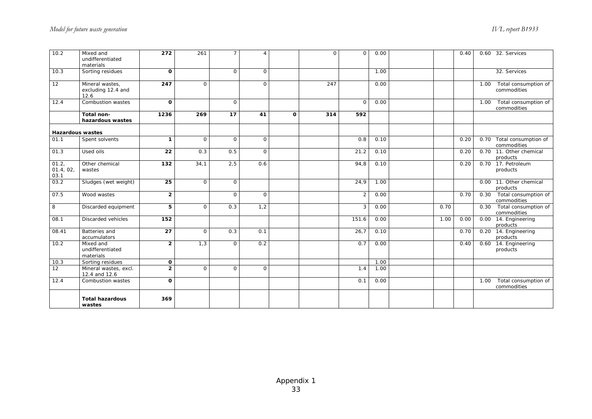| 10.2                      | Mixed and<br>undifferentiated<br>materials    | 272             | 261          | $\overline{7}$ | $\overline{4}$ |              | $\Omega$ | $\Omega$       | 0.00 |      | 0.40 |      | 0.60 32. Services                        |
|---------------------------|-----------------------------------------------|-----------------|--------------|----------------|----------------|--------------|----------|----------------|------|------|------|------|------------------------------------------|
| 10.3                      | Sorting residues                              | $\mathbf{o}$    |              | $\Omega$       | $\Omega$       |              |          |                | 1.00 |      |      |      | 32. Services                             |
| 12                        | Mineral wastes,<br>excluding 12.4 and<br>12.6 | 247             | $\Omega$     |                | $\mathbf{O}$   |              | 247      |                | 0.00 |      |      | 1.00 | Total consumption of<br>commodities      |
| 12.4                      | Combustion wastes                             | $\Omega$        |              | $\mathbf 0$    |                |              |          | $\Omega$       | 0.00 |      |      | 1.00 | Total consumption of<br>commodities      |
|                           | Total non-<br>hazardous wastes                | 1236            | 269          | 17             | 41             | $\mathbf{o}$ | 314      | 592            |      |      |      |      |                                          |
| <b>Hazardous wastes</b>   |                                               |                 |              |                |                |              |          |                |      |      |      |      |                                          |
| 01.1                      | Spent solvents                                | $\mathbf{1}$    | $\mathsf{O}$ | $\mathsf{O}$   | $\mathbf{O}$   |              |          | 0.8            | 0.10 |      | 0.20 |      | 0.70 Total consumption of<br>commodities |
| 01.3                      | Used oils                                     | 22              | 0.3          | 0.5            | $\mathbf{O}$   |              |          | 21.2           | 0.10 |      | 0.20 |      | 0.70 11. Other chemical<br>products      |
| 01.2<br>01.4, 02,<br>03.1 | Other chemical<br>wastes                      | 132             | 34,1         | 2,5            | 0.6            |              |          | 94,8           | 0.10 |      | 0.20 |      | 0.70 17. Petroleum<br>products           |
| 03.2                      | Sludges (wet weight)                          | 25              | $\mathbf{O}$ | $\mathsf{O}$   |                |              |          | 24,9           | 1.00 |      |      |      | 0.00 11. Other chemical<br>products      |
| 07.5                      | Wood wastes                                   | $\overline{2}$  |              | $\mathsf{O}$   | $\mathbf{O}$   |              |          | $\overline{2}$ | 0.00 |      | 0.70 | 0.30 | Total consumption of<br>commodities      |
| 8                         | Discarded equipment                           | 5               | $\Omega$     | 0.3            | 1,2            |              |          | 3              | 0.00 | 0.70 |      | 0.30 | Total consumption of<br>commodities      |
| 08.1                      | Discarded vehicles                            | 152             |              |                |                |              |          | 151.6          | 0.00 | 1.00 | 0.00 |      | 0.00 14. Engineering<br>products         |
| 08.41                     | Batteries and<br>accumulators                 | $\overline{27}$ | $\circ$      | 0.3            | 0.1            |              |          | 26,7           | 0.10 |      | 0.70 |      | 0.20 14. Engineering<br>products         |
| 10.2                      | Mixed and<br>undifferentiated<br>materials    | $\overline{2}$  | 1,3          | 0              | 0.2            |              |          | 0.7            | 0.00 |      | 0.40 |      | 0.60 14. Engineering<br>products         |
| 10.3                      | Sorting residues                              | $\mathbf{o}$    |              |                |                |              |          |                | 1.00 |      |      |      |                                          |
| 12                        | Mineral wastes, excl.<br>12.4 and 12.6        | $\overline{2}$  | $\mathsf{O}$ | $\Omega$       | $\Omega$       |              |          | 1.4            | 1.00 |      |      |      |                                          |
| 12.4                      | Combustion wastes                             | $\Omega$        |              |                |                |              |          | 0.1            | 0.00 |      |      | 1.00 | Total consumption of<br>commodities      |
|                           | <b>Total hazardous</b><br>wastes              | 369             |              |                |                |              |          |                |      |      |      |      |                                          |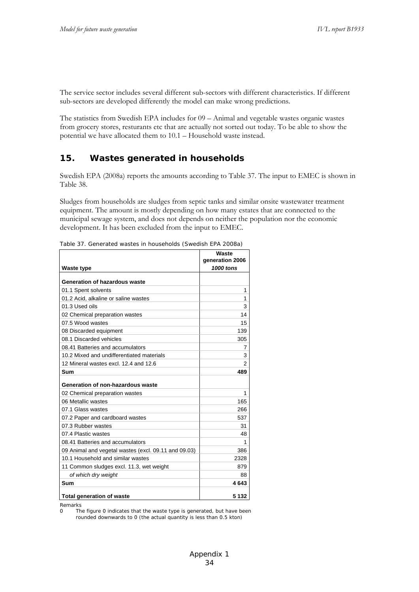The service sector includes several different sub-sectors with different characteristics. If different sub-sectors are developed differently the model can make wrong predictions.

The statistics from Swedish EPA includes for 09 – Animal and vegetable wastes organic wastes from grocery stores, resturants etc that are actually not sorted out today. To be able to show the potential we have allocated them to 10.1 – Household waste instead.

#### **15. Wastes generated in households**

Swedish EPA (2008a) reports the amounts according to Table 37. The input to EMEC is shown in Table 38.

Sludges from households are sludges from septic tanks and similar onsite wastewater treatment equipment. The amount is mostly depending on how many estates that are connected to the municipal sewage system, and does not depends on neither the population nor the economic development. It has been excluded from the input to EMEC.

| <b>Waste type</b>                                    | Waste<br>generation 2006<br>1000 tons |
|------------------------------------------------------|---------------------------------------|
|                                                      |                                       |
| Generation of hazardous waste                        |                                       |
| 01.1 Spent solvents                                  | 1                                     |
| 01.2 Acid, alkaline or saline wastes                 | 1                                     |
| 01.3 Used oils                                       | 3                                     |
| 02 Chemical preparation wastes                       | 14                                    |
| 07.5 Wood wastes                                     | 15                                    |
| 08 Discarded equipment                               | 139                                   |
| 08.1 Discarded vehicles                              | 305                                   |
| 08.41 Batteries and accumulators                     | 7                                     |
| 10.2 Mixed and undifferentiated materials            | 3                                     |
| 12 Mineral wastes excl. 12.4 and 12.6                | 2                                     |
| Sum                                                  | 489                                   |
| Generation of non-hazardous waste                    |                                       |
| 02 Chemical preparation wastes                       | 1                                     |
| 06 Metallic wastes                                   | 165                                   |
| 07.1 Glass wastes                                    | 266                                   |
| 07.2 Paper and cardboard wastes                      | 537                                   |
| 07.3 Rubber wastes                                   | 31                                    |
| 07.4 Plastic wastes                                  | 48                                    |
| 08.41 Batteries and accumulators                     | 1                                     |
| 09 Animal and vegetal wastes (excl. 09.11 and 09.03) | 386                                   |
| 10.1 Household and similar wastes                    | 2328                                  |
| 11 Common sludges excl. 11.3, wet weight             | 879                                   |
| of which dry weight                                  | 88                                    |
| Sum                                                  | 4643                                  |
| <b>Total generation of waste</b>                     | 5 132                                 |

Table 37. Generated wastes in households (Swedish EPA 2008a)

Remarks<br>0 Th

The figure 0 indicates that the waste type is generated, but have been rounded downwards to 0 (the actual quantity is less than 0.5 kton)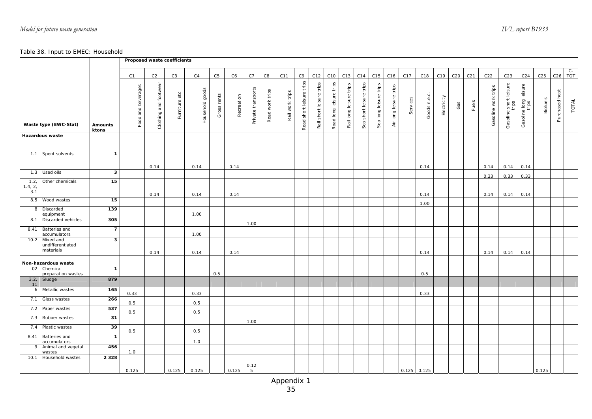#### Table 38. Input to EMEC: Household

|                       |                                            |                         | Proposed waste coefficients |                          |                |                 |                |            |                    |                 |                 |                          |                          |                         |                         |                         |                        |                        |               |                 |             |     |                 |                     |                                 |                                |                 |                 |               |
|-----------------------|--------------------------------------------|-------------------------|-----------------------------|--------------------------|----------------|-----------------|----------------|------------|--------------------|-----------------|-----------------|--------------------------|--------------------------|-------------------------|-------------------------|-------------------------|------------------------|------------------------|---------------|-----------------|-------------|-----|-----------------|---------------------|---------------------------------|--------------------------------|-----------------|-----------------|---------------|
|                       |                                            |                         | C1                          | C2                       | C <sub>3</sub> | C4              | C <sub>5</sub> | C6         | C7                 | C8              | C11             | C9                       | C12                      | C10                     | C13                     | C14                     | C15                    | C16                    | C17           | C18             | C19         | C20 | C <sub>21</sub> | C22                 | C <sub>23</sub>                 | C <sub>24</sub>                | C <sub>25</sub> | C <sub>26</sub> | $rac{C}{TOT}$ |
|                       | Waste type (EWC-Stat)                      | <b>Amounts</b><br>ktons | Food and beverages          | and footwear<br>Clothing | Furniture etc  | Household goods | Gross rents    | Recreation | Private transports | Road work trips | Rail work trips | Road short leisure trips | Rail short leisure trips | Road long leisure trips | Rail long leisure trips | Sea short leisure trips | Sea long leisure trips | Air long leisure trips | Services      | n.e.c.<br>Goods | Electricity | Gas | Fuels           | Gasoline work trips | Gasoline short leisure<br>trips | Gasoline long leisure<br>trips | Biofuels        | Purchased heat  | TOTAL         |
|                       | Hazardous waste                            |                         |                             |                          |                |                 |                |            |                    |                 |                 |                          |                          |                         |                         |                         |                        |                        |               |                 |             |     |                 |                     |                                 |                                |                 |                 |               |
|                       | 1.1 Spent solvents                         | $\mathbf{1}$            |                             |                          |                |                 |                |            |                    |                 |                 |                          |                          |                         |                         |                         |                        |                        |               |                 |             |     |                 |                     |                                 |                                |                 |                 |               |
|                       | 1.3 Used oils                              | 3                       |                             | 0.14                     |                | 0.14            |                | 0.14       |                    |                 |                 |                          |                          |                         |                         |                         |                        |                        |               | 0.14            |             |     |                 | 0.14                | 0.14                            | 0.14                           |                 |                 |               |
| 1.2<br>1.4, 2,<br>3.1 | Other chemicals                            | 15                      |                             |                          |                |                 |                |            |                    |                 |                 |                          |                          |                         |                         |                         |                        |                        |               |                 |             |     |                 | 0.33                | 0.33                            | 0.33                           |                 |                 |               |
| 8.5                   | Wood wastes                                | 15                      |                             | 0.14                     |                | 0.14            |                | 0.14       |                    |                 |                 |                          |                          |                         |                         |                         |                        |                        |               | 0.14            |             |     |                 | 0.14                | 0.14                            | 0.14                           |                 |                 |               |
| 8                     | Discarded<br>equipment                     | 139                     |                             |                          |                | 1.00            |                |            |                    |                 |                 |                          |                          |                         |                         |                         |                        |                        |               | 1.00            |             |     |                 |                     |                                 |                                |                 |                 |               |
| 8.1                   | Discarded vehicles                         | 305                     |                             |                          |                |                 |                |            | 1.00               |                 |                 |                          |                          |                         |                         |                         |                        |                        |               |                 |             |     |                 |                     |                                 |                                |                 |                 |               |
| 8.41                  | Batteries and<br>accumulators              | $\overline{7}$          |                             |                          |                | 1.00            |                |            |                    |                 |                 |                          |                          |                         |                         |                         |                        |                        |               |                 |             |     |                 |                     |                                 |                                |                 |                 |               |
| 10.2                  | Mixed and<br>undifferentiated<br>materials | 3                       |                             | 0.14                     |                | 0.14            |                | 0.14       |                    |                 |                 |                          |                          |                         |                         |                         |                        |                        |               | 0.14            |             |     |                 | 0.14                | 0.14                            | 0.14                           |                 |                 |               |
|                       | Non-hazardous waste                        |                         |                             |                          |                |                 |                |            |                    |                 |                 |                          |                          |                         |                         |                         |                        |                        |               |                 |             |     |                 |                     |                                 |                                |                 |                 |               |
| 02                    | Chemical<br>preparation wastes             | $\mathbf{1}$            |                             |                          |                |                 | 0.5            |            |                    |                 |                 |                          |                          |                         |                         |                         |                        |                        |               | 0.5             |             |     |                 |                     |                                 |                                |                 |                 |               |
| 3.2,<br>11            | Sludge                                     | 879                     |                             |                          |                |                 |                |            |                    |                 |                 |                          |                          |                         |                         |                         |                        |                        |               |                 |             |     |                 |                     |                                 |                                |                 |                 |               |
| 6                     | Metallic wastes                            | 165                     | 0.33                        |                          |                | 0.33            |                |            |                    |                 |                 |                          |                          |                         |                         |                         |                        |                        |               | 0.33            |             |     |                 |                     |                                 |                                |                 |                 |               |
| 7.1                   | Glass wastes                               | 266                     | 0.5                         |                          |                | 0.5             |                |            |                    |                 |                 |                          |                          |                         |                         |                         |                        |                        |               |                 |             |     |                 |                     |                                 |                                |                 |                 |               |
| 7.2                   | Paper wastes                               | 537                     | 0.5                         |                          |                | 0.5             |                |            |                    |                 |                 |                          |                          |                         |                         |                         |                        |                        |               |                 |             |     |                 |                     |                                 |                                |                 |                 |               |
| 7.3                   | Rubber wastes                              | 31                      |                             |                          |                |                 |                |            | 1.00               |                 |                 |                          |                          |                         |                         |                         |                        |                        |               |                 |             |     |                 |                     |                                 |                                |                 |                 |               |
| 7.4                   | Plastic wastes                             | 39                      | 0.5                         |                          |                | 0.5             |                |            |                    |                 |                 |                          |                          |                         |                         |                         |                        |                        |               |                 |             |     |                 |                     |                                 |                                |                 |                 |               |
| 8.41                  | Batteries and<br>accumulators              | $\mathbf{1}$            |                             |                          |                | 1.0             |                |            |                    |                 |                 |                          |                          |                         |                         |                         |                        |                        |               |                 |             |     |                 |                     |                                 |                                |                 |                 |               |
|                       | Animal and vegetal<br>wastes               | 456                     | 1.0                         |                          |                |                 |                |            |                    |                 |                 |                          |                          |                         |                         |                         |                        |                        |               |                 |             |     |                 |                     |                                 |                                |                 |                 |               |
| 10.1                  | Household wastes                           | 2 3 2 8                 | 0.125                       |                          | 0.125          | 0.125           |                | 0.125      | 0.12<br>5          |                 |                 |                          |                          |                         |                         |                         |                        |                        | $0.125$ 0.125 |                 |             |     |                 |                     |                                 |                                | 0.125           |                 |               |